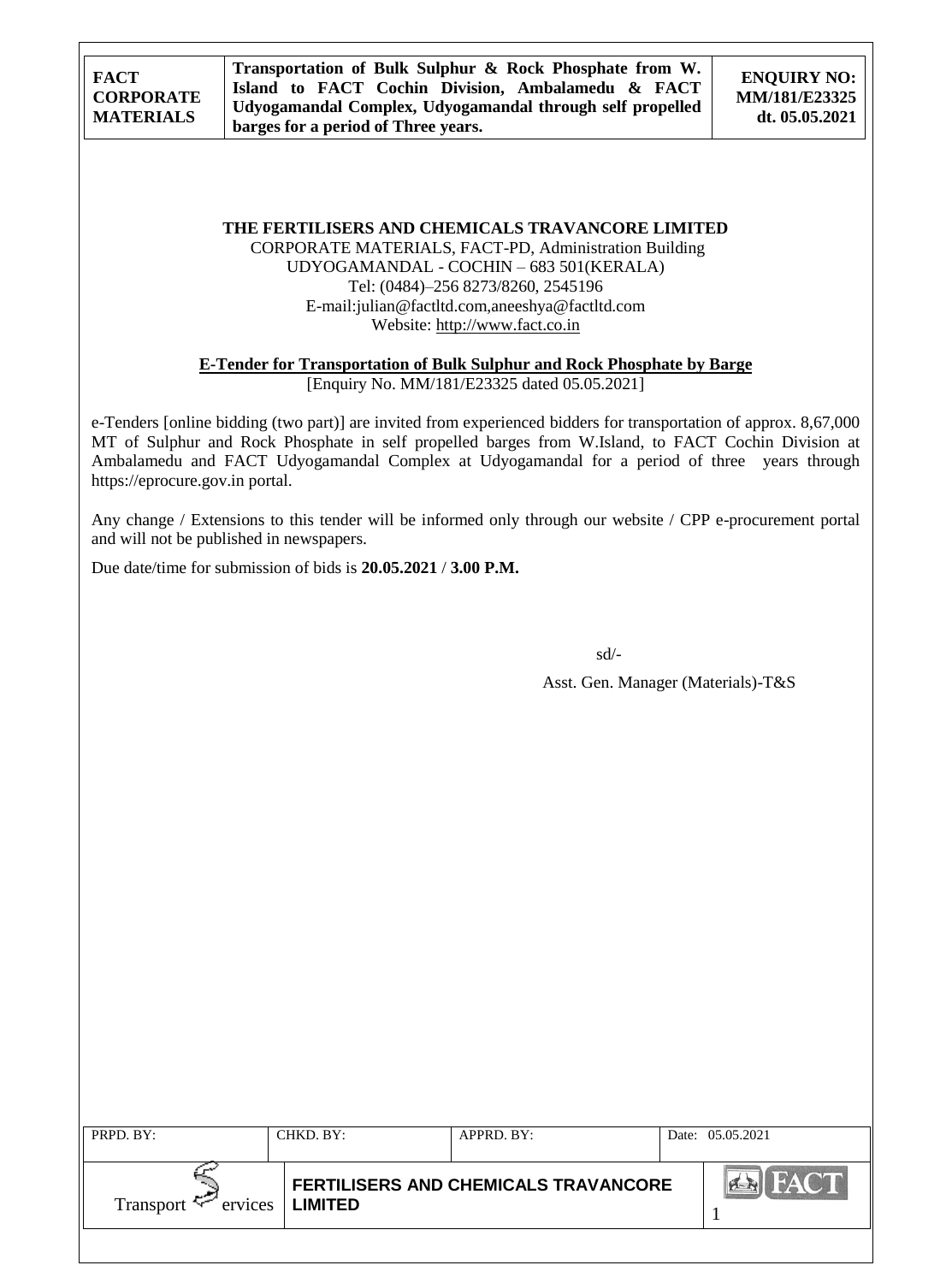**THE FERTILISERS AND CHEMICALS TRAVANCORE LIMITED**

CORPORATE MATERIALS, FACT-PD, Administration Building UDYOGAMANDAL - COCHIN – 683 501(KERALA) Tel: (0484)–256 8273/8260, 2545196 E-mail:julian@factltd.com,aneeshya@factltd.com Website: [http://www.fact.co.in](http://www.fact.co.in/)

**E-Tender for Transportation of Bulk Sulphur and Rock Phosphate by Barge**

[Enquiry No. MM/181/E23325 dated 05.05.2021]

e-Tenders [online bidding (two part)] are invited from experienced bidders for transportation of approx. 8,67,000 MT of Sulphur and Rock Phosphate in self propelled barges from W.Island, to FACT Cochin Division at Ambalamedu and FACT Udyogamandal Complex at Udyogamandal for a period of three years through https://eprocure.gov.in portal.

Any change / Extensions to this tender will be informed only through our website / CPP e-procurement portal and will not be published in newspapers.

Due date/time for submission of bids is **20.05.2021** / **3.00 P.M.**

sd/-

Asst. Gen. Manager (Materials)-T&S

| PRPD. BY:        | CHKD, BY:         | $APPRD$ . BY:                               | Date: 05.05.2021 |
|------------------|-------------------|---------------------------------------------|------------------|
| Transport $\sim$ | ervices   LIMITED | <b>FERTILISERS AND CHEMICALS TRAVANCORE</b> |                  |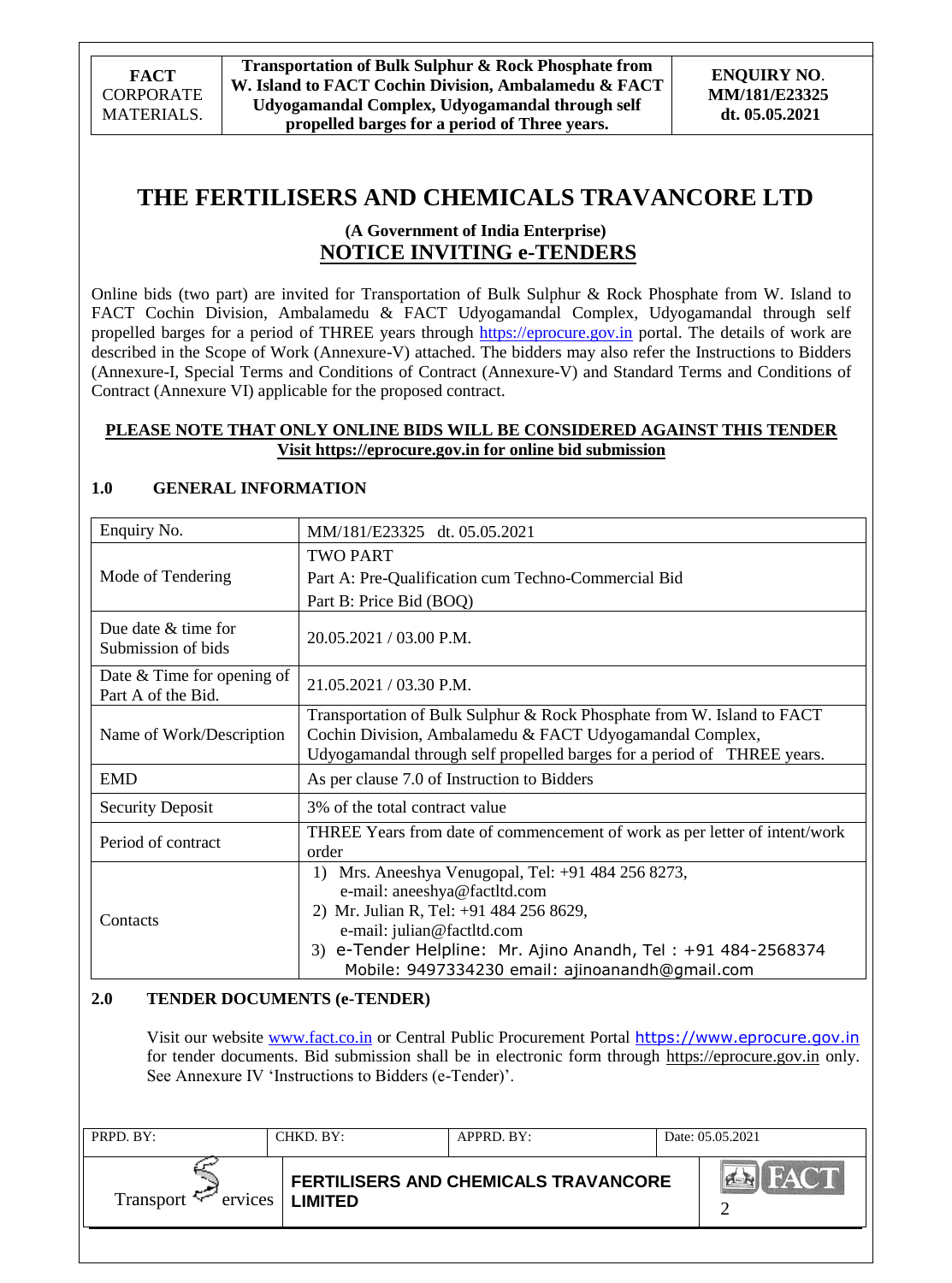# **THE FERTILISERS AND CHEMICALS TRAVANCORE LTD**

## **(A Government of India Enterprise) NOTICE INVITING e-TENDERS**

Online bids (two part) are invited for Transportation of Bulk Sulphur & Rock Phosphate from W. Island to FACT Cochin Division, Ambalamedu & FACT Udyogamandal Complex, Udyogamandal through self propelled barges for a period of THREE years through [https://eprocure.gov.in](https://eprocure.gov.in/) portal. The details of work are described in the Scope of Work (Annexure-V) attached. The bidders may also refer the Instructions to Bidders (Annexure-I, Special Terms and Conditions of Contract (Annexure-V) and Standard Terms and Conditions of Contract (Annexure VI) applicable for the proposed contract.

## **PLEASE NOTE THAT ONLY ONLINE BIDS WILL BE CONSIDERED AGAINST THIS TENDER Visit [https://eprocure.gov.in](https://eprocure.gov.in/) for online bid submission**

### Enquiry No. MM/181/E23325 dt. 05.05.2021 Mode of Tendering TWO PART Part A: Pre-Qualification cum Techno-Commercial Bid Part B: Price Bid (BOQ) Due date & time for Submission of bids  $20.05.2021 / 03.00 \text{ P.M.}$ Date & Time for opening of Part A of the Bid.  $21.05.2021 / 03.30$  P.M. Name of Work/Description Transportation of Bulk Sulphur & Rock Phosphate from W. Island to FACT Cochin Division, Ambalamedu & FACT Udyogamandal Complex, Udyogamandal through self propelled barges for a period of THREE years. EMD As per clause 7.0 of Instruction to Bidders Security Deposit 3% of the total contract value Period of contract THREE Years from date of commencement of work as per letter of intent/work order **Contacts** 1) Mrs. Aneeshya Venugopal, Tel: +91 484 256 8273, e-mail: aneeshya@factltd.com 2) Mr. Julian R, Tel: +91 484 256 8629, e-mail: julian@factltd.com 3) e-Tender Helpline: Mr. Ajino Anandh, Tel : +91 484-2568374 Mobile: 9497334230 email: ajinoanandh@gmail.com

## **1.0 GENERAL INFORMATION**

## **2.0 TENDER DOCUMENTS (e-TENDER)**

Visit our website [www.fact.co.in](http://www.fact.co.in/) or Central Public Procurement Portal [https://www.eprocure.gov.in](https://www.eprocure.gov.in/) for tender documents. Bid submission shall be in electronic form through [https://eprocure.gov.in](https://eprocure.gov.in/) only. See Annexure IV 'Instructions to Bidders (e-Tender)'.

| PRPD. BY:            | CHKD. BY:      | $APPRD$ . $BY$ :                            | Date: 05.05.2021 |
|----------------------|----------------|---------------------------------------------|------------------|
| Transport<br>ervices | <b>LIMITED</b> | <b>FERTILISERS AND CHEMICALS TRAVANCORE</b> |                  |
|                      |                |                                             |                  |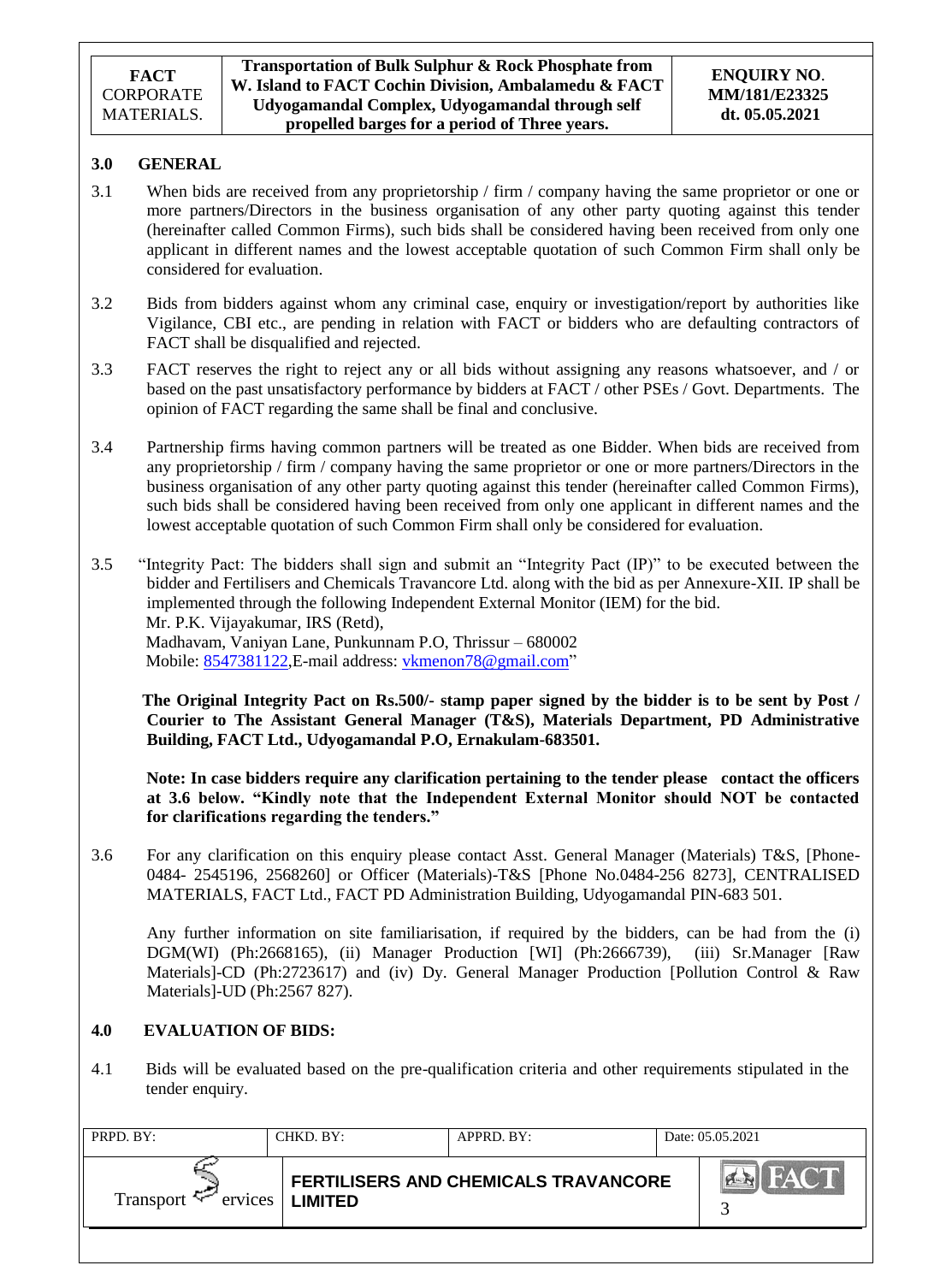**Transportation of Bulk Sulphur & Rock Phosphate from W. Island to FACT Cochin Division, Ambalamedu & FACT Udyogamandal Complex, Udyogamandal through self propelled barges for a period of Three years.**

## **3.0 GENERAL**

- 3.1 When bids are received from any proprietorship / firm / company having the same proprietor or one or more partners/Directors in the business organisation of any other party quoting against this tender (hereinafter called Common Firms), such bids shall be considered having been received from only one applicant in different names and the lowest acceptable quotation of such Common Firm shall only be considered for evaluation.
- 3.2 Bids from bidders against whom any criminal case, enquiry or investigation/report by authorities like Vigilance, CBI etc., are pending in relation with FACT or bidders who are defaulting contractors of FACT shall be disqualified and rejected.
- 3.3 FACT reserves the right to reject any or all bids without assigning any reasons whatsoever, and / or based on the past unsatisfactory performance by bidders at FACT / other PSEs / Govt. Departments. The opinion of FACT regarding the same shall be final and conclusive.
- 3.4 Partnership firms having common partners will be treated as one Bidder. When bids are received from any proprietorship / firm / company having the same proprietor or one or more partners/Directors in the business organisation of any other party quoting against this tender (hereinafter called Common Firms), such bids shall be considered having been received from only one applicant in different names and the lowest acceptable quotation of such Common Firm shall only be considered for evaluation.
- 3.5 "Integrity Pact: The bidders shall sign and submit an "Integrity Pact (IP)" to be executed between the bidder and Fertilisers and Chemicals Travancore Ltd. along with the bid as per Annexure-XII. IP shall be implemented through the following Independent External Monitor (IEM) for the bid. Mr. P.K. Vijayakumar, IRS (Retd), Madhavam, Vaniyan Lane, Punkunnam P.O, Thrissur – 680002 Mobile: [8547381122,](callto:8547381122) E-mail address: [vkmenon78@gmail.com"](mailto:vkmenon78@gmail.com)

 **The Original Integrity Pact on Rs.500/- stamp paper signed by the bidder is to be sent by Post / Courier to The Assistant General Manager (T&S), Materials Department, PD Administrative Building, FACT Ltd., Udyogamandal P.O, Ernakulam-683501.**

 **Note: In case bidders require any clarification pertaining to the tender please contact the officers at 3.6 below. "Kindly note that the Independent External Monitor should NOT be contacted for clarifications regarding the tenders."**

3.6 For any clarification on this enquiry please contact Asst. General Manager (Materials) T&S, [Phone-0484- 2545196, 2568260] or Officer (Materials)-T&S [Phone No.0484-256 8273], CENTRALISED MATERIALS, FACT Ltd., FACT PD Administration Building, Udyogamandal PIN-683 501.

Any further information on site familiarisation, if required by the bidders, can be had from the (i) DGM(WI) (Ph:2668165), (ii) Manager Production [WI] (Ph:2666739), (iii) Sr.Manager [Raw Materials]-CD (Ph:2723617) and (iv) Dy. General Manager Production [Pollution Control & Raw Materials]-UD (Ph:2567 827).

### **4.0 EVALUATION OF BIDS:**

4.1 Bids will be evaluated based on the pre-qualification criteria and other requirements stipulated in the tender enquiry.

| PRPD. BY:            | CHKD. BY:      | $APPRD$ . $BY$ :                            | Date: 05.05.2021     |
|----------------------|----------------|---------------------------------------------|----------------------|
| Transport<br>ervices | <b>LIMITED</b> | <b>FERTILISERS AND CHEMICALS TRAVANCORE</b> | FACT<br><b>CARGO</b> |
|                      |                |                                             |                      |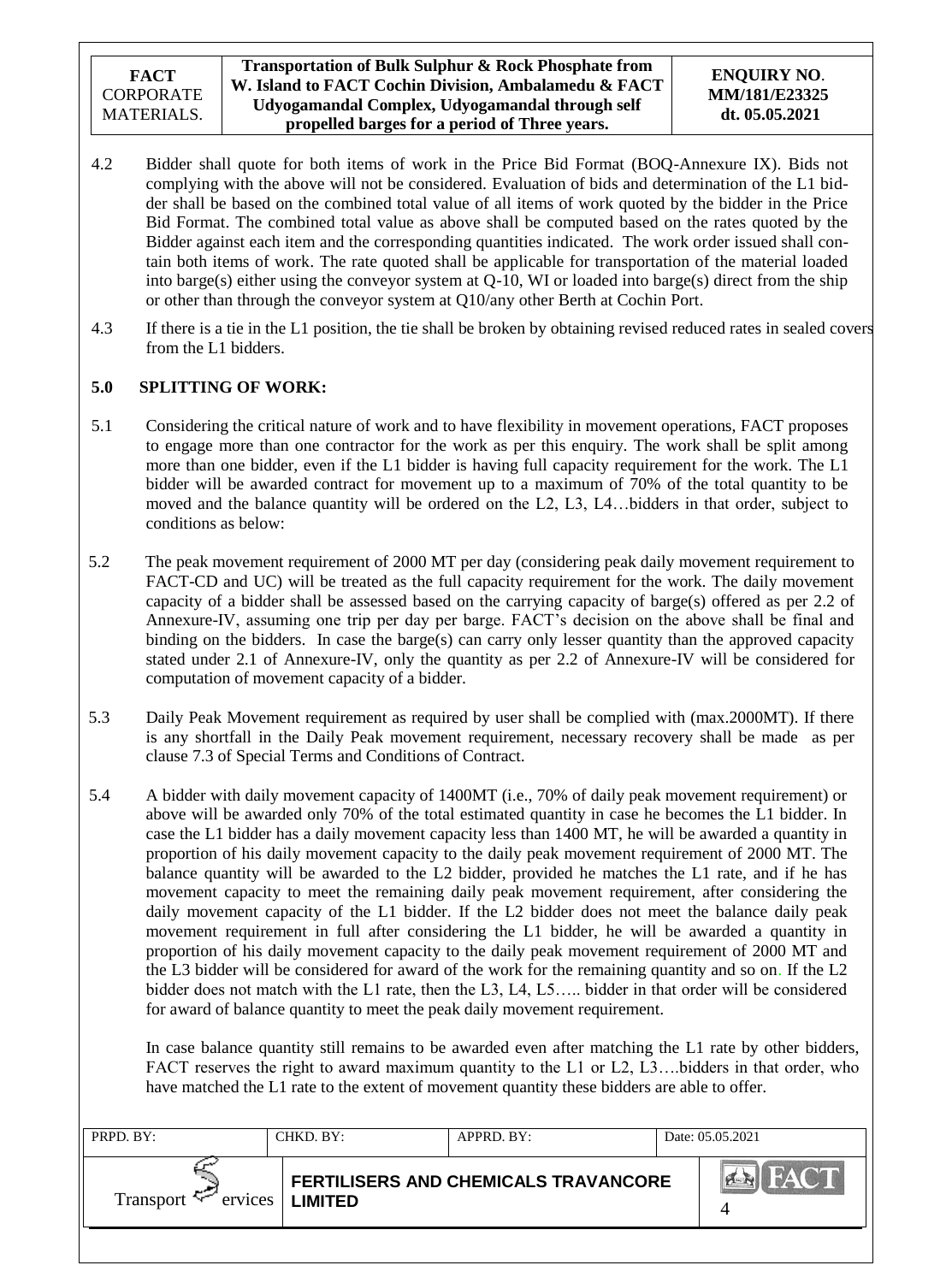- 4.2 Bidder shall quote for both items of work in the Price Bid Format (BOQ-Annexure IX). Bids not complying with the above will not be considered. Evaluation of bids and determination of the L1 bidder shall be based on the combined total value of all items of work quoted by the bidder in the Price Bid Format. The combined total value as above shall be computed based on the rates quoted by the Bidder against each item and the corresponding quantities indicated. The work order issued shall contain both items of work. The rate quoted shall be applicable for transportation of the material loaded into barge(s) either using the conveyor system at Q-10, WI or loaded into barge(s) direct from the ship or other than through the conveyor system at Q10/any other Berth at Cochin Port.
- 4.3 If there is a tie in the L1 position, the tie shall be broken by obtaining revised reduced rates in sealed covers from the L1 bidders.

## **5.0 SPLITTING OF WORK:**

- 5.1 Considering the critical nature of work and to have flexibility in movement operations, FACT proposes to engage more than one contractor for the work as per this enquiry. The work shall be split among more than one bidder, even if the L1 bidder is having full capacity requirement for the work. The L1 bidder will be awarded contract for movement up to a maximum of 70% of the total quantity to be moved and the balance quantity will be ordered on the L2, L3, L4…bidders in that order, subject to conditions as below:
- 5.2 The peak movement requirement of 2000 MT per day (considering peak daily movement requirement to FACT-CD and UC) will be treated as the full capacity requirement for the work. The daily movement capacity of a bidder shall be assessed based on the carrying capacity of barge(s) offered as per 2.2 of Annexure-IV, assuming one trip per day per barge. FACT"s decision on the above shall be final and binding on the bidders. In case the barge(s) can carry only lesser quantity than the approved capacity stated under 2.1 of Annexure-IV, only the quantity as per 2.2 of Annexure-IV will be considered for computation of movement capacity of a bidder.
- 5.3 Daily Peak Movement requirement as required by user shall be complied with (max.2000MT). If there is any shortfall in the Daily Peak movement requirement, necessary recovery shall be made as per clause 7.3 of Special Terms and Conditions of Contract.
- 5.4 A bidder with daily movement capacity of 1400MT (i.e., 70% of daily peak movement requirement) or above will be awarded only 70% of the total estimated quantity in case he becomes the L1 bidder. In case the L1 bidder has a daily movement capacity less than 1400 MT, he will be awarded a quantity in proportion of his daily movement capacity to the daily peak movement requirement of 2000 MT. The balance quantity will be awarded to the L2 bidder, provided he matches the L1 rate, and if he has movement capacity to meet the remaining daily peak movement requirement, after considering the daily movement capacity of the L1 bidder. If the L2 bidder does not meet the balance daily peak movement requirement in full after considering the L1 bidder, he will be awarded a quantity in proportion of his daily movement capacity to the daily peak movement requirement of 2000 MT and the L3 bidder will be considered for award of the work for the remaining quantity and so on. If the L2 bidder does not match with the L1 rate, then the L3, L4, L5….. bidder in that order will be considered for award of balance quantity to meet the peak daily movement requirement.

In case balance quantity still remains to be awarded even after matching the L1 rate by other bidders, FACT reserves the right to award maximum quantity to the L1 or L2, L3...bidders in that order, who have matched the L1 rate to the extent of movement quantity these bidders are able to offer.

| PRPD. BY:                   | CHKD. BY:                                                     | $APPRD$ . BY: | Date: 05.05.2021 |
|-----------------------------|---------------------------------------------------------------|---------------|------------------|
| Transport $\sim$<br>ervices | <b>FERTILISERS AND CHEMICALS TRAVANCORE</b><br><b>LIMITED</b> |               | <b>FACT</b>      |
|                             |                                                               |               |                  |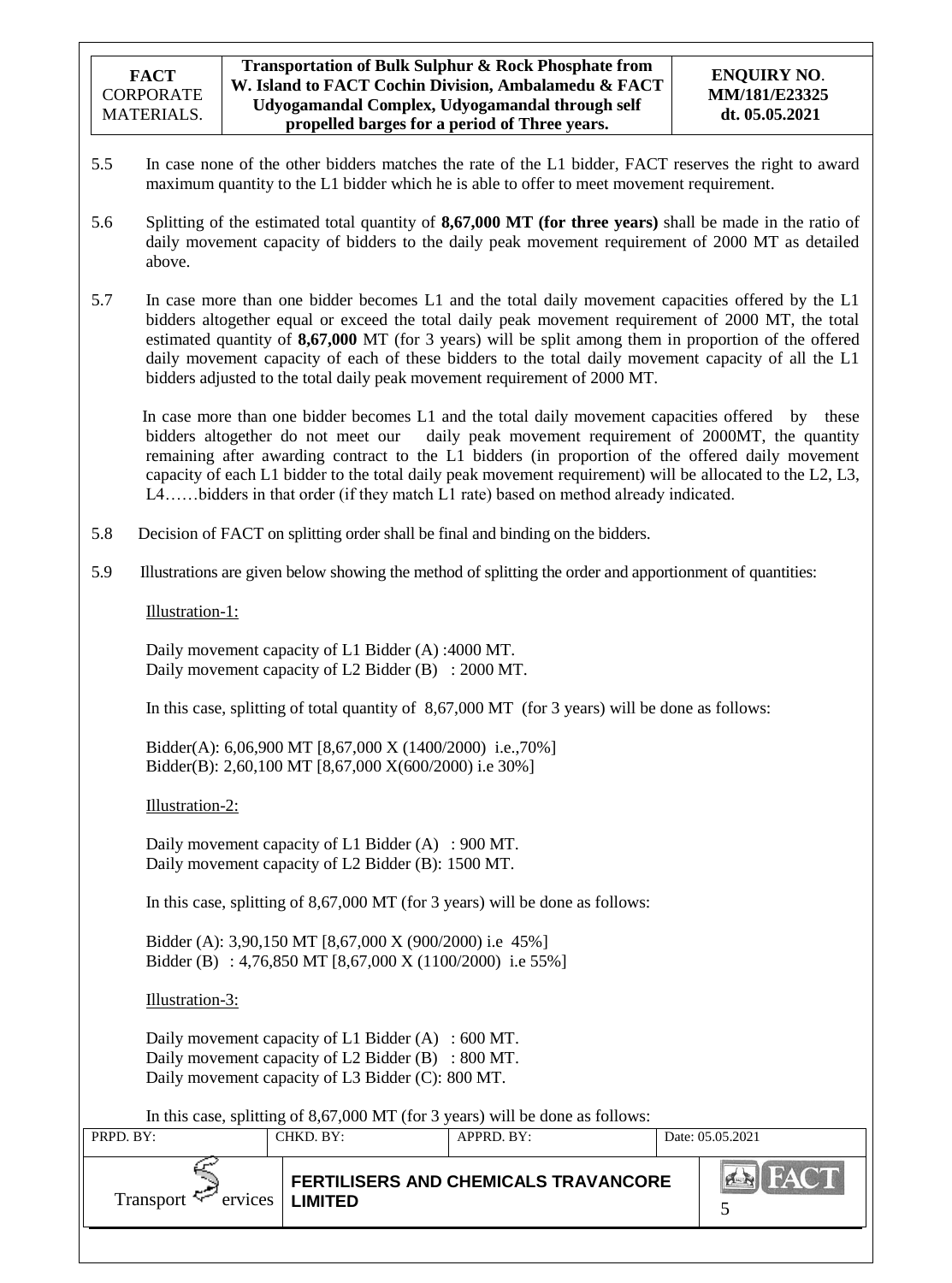- 5.5 In case none of the other bidders matches the rate of the L1 bidder, FACT reserves the right to award maximum quantity to the L1 bidder which he is able to offer to meet movement requirement.
- 5.6 Splitting of the estimated total quantity of **8,67,000 MT (for three years)** shall be made in the ratio of daily movement capacity of bidders to the daily peak movement requirement of 2000 MT as detailed above.
- 5.7 In case more than one bidder becomes L1 and the total daily movement capacities offered by the L1 bidders altogether equal or exceed the total daily peak movement requirement of 2000 MT, the total estimated quantity of **8,67,000** MT (for 3 years) will be split among them in proportion of the offered daily movement capacity of each of these bidders to the total daily movement capacity of all the L1 bidders adjusted to the total daily peak movement requirement of 2000 MT.

In case more than one bidder becomes L1 and the total daily movement capacities offered by these bidders altogether do not meet our daily peak movement requirement of 2000MT, the quantity remaining after awarding contract to the L1 bidders (in proportion of the offered daily movement capacity of each L1 bidder to the total daily peak movement requirement) will be allocated to the L2, L3, L4……bidders in that order (if they match L1 rate) based on method already indicated.

- 5.8 Decision of FACT on splitting order shall be final and binding on the bidders.
- 5.9 Illustrations are given below showing the method of splitting the order and apportionment of quantities:

Illustration-1:

Daily movement capacity of L1 Bidder (A) :4000 MT. Daily movement capacity of L2 Bidder (B) : 2000 MT.

In this case, splitting of total quantity of 8,67,000 MT (for 3 years) will be done as follows:

Bidder(A): 6,06,900 MT [8,67,000 X (1400/2000) i.e.,70%] Bidder(B): 2,60,100 MT [8,67,000 X(600/2000) i.e 30%]

Illustration-2:

Daily movement capacity of L1 Bidder (A) : 900 MT. Daily movement capacity of L2 Bidder (B): 1500 MT.

In this case, splitting of 8,67,000 MT (for 3 years) will be done as follows:

Bidder (A): 3,90,150 MT [8,67,000 X (900/2000) i.e 45%] Bidder (B) : 4,76,850 MT [8,67,000 X (1100/2000) i.e 55%]

Illustration-3:

Daily movement capacity of L1 Bidder (A) : 600 MT. Daily movement capacity of L2 Bidder (B) : 800 MT. Daily movement capacity of L3 Bidder (C): 800 MT.

In this case, splitting of 8,67,000 MT (for 3 years) will be done as follows:

| PRPD. BY:           | CHKD. BY:                  | APPRD. BY:                                  | Date: 05.05.2021 |
|---------------------|----------------------------|---------------------------------------------|------------------|
| Transport $\approx$ | $ervices$   <b>LIMITED</b> | <b>FERTILISERS AND CHEMICALS TRAVANCORE</b> | <b>HAY</b>       |
|                     |                            |                                             |                  |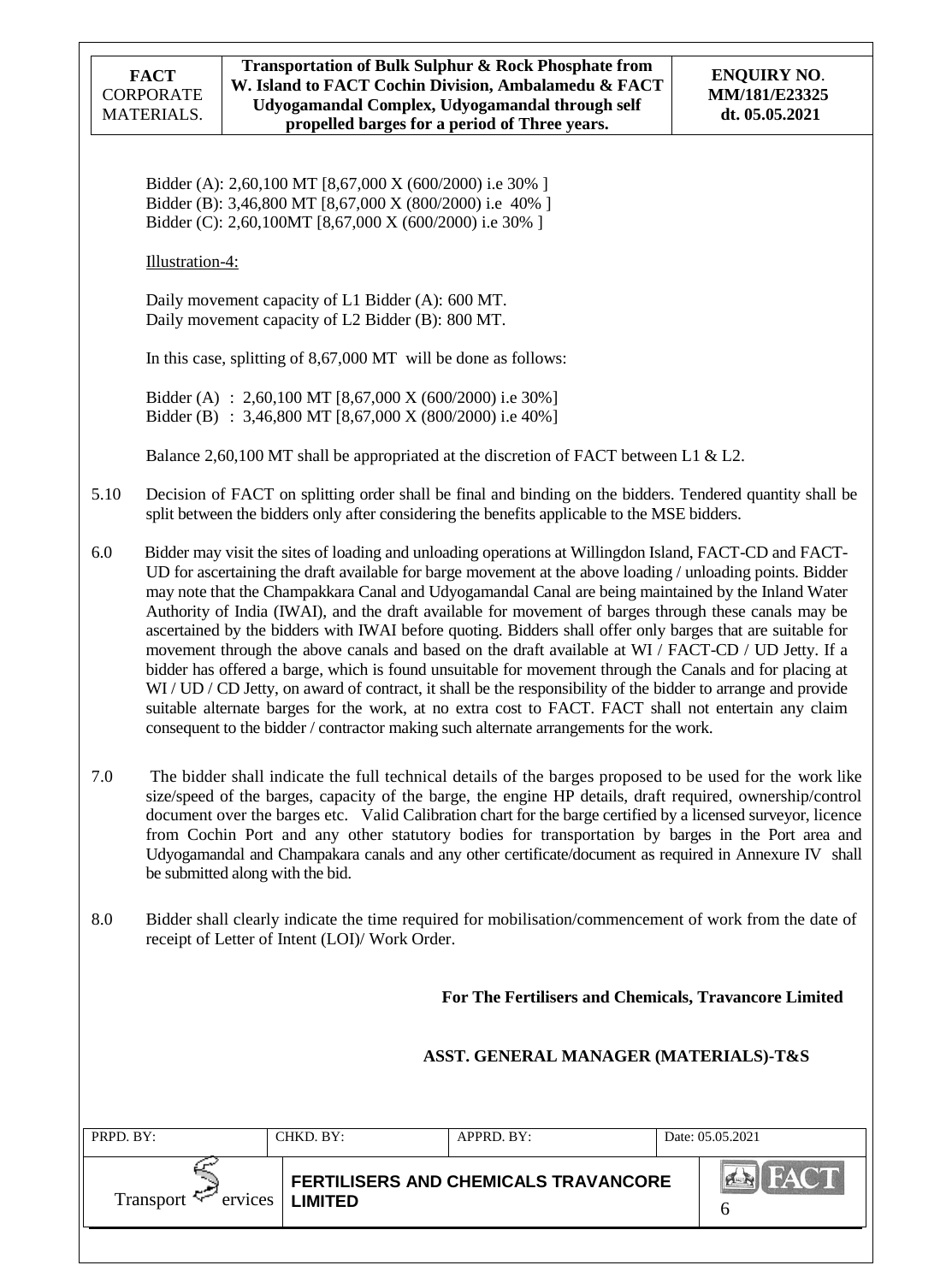Bidder (A): 2,60,100 MT [8,67,000 X (600/2000) i.e 30% ] Bidder (B): 3,46,800 MT [8,67,000 X (800/2000) i.e 40% ] Bidder (C): 2,60,100MT [8,67,000 X (600/2000) i.e 30% ]

Illustration-4:

Daily movement capacity of L1 Bidder (A): 600 MT. Daily movement capacity of L2 Bidder (B): 800 MT.

In this case, splitting of 8,67,000 MT will be done as follows:

Bidder (A) : 2,60,100 MT [8,67,000 X (600/2000) i.e 30%] Bidder (B) : 3,46,800 MT [8,67,000 X (800/2000) i.e 40%]

Balance 2,60,100 MT shall be appropriated at the discretion of FACT between L1 & L2.

- 5.10 Decision of FACT on splitting order shall be final and binding on the bidders. Tendered quantity shall be split between the bidders only after considering the benefits applicable to the MSE bidders.
- 6.0 Bidder may visit the sites of loading and unloading operations at Willingdon Island, FACT-CD and FACT-UD for ascertaining the draft available for barge movement at the above loading / unloading points. Bidder may note that the Champakkara Canal and Udyogamandal Canal are being maintained by the Inland Water Authority of India (IWAI), and the draft available for movement of barges through these canals may be ascertained by the bidders with IWAI before quoting. Bidders shall offer only barges that are suitable for movement through the above canals and based on the draft available at WI / FACT-CD / UD Jetty. If a bidder has offered a barge, which is found unsuitable for movement through the Canals and for placing at WI / UD / CD Jetty, on award of contract, it shall be the responsibility of the bidder to arrange and provide suitable alternate barges for the work, at no extra cost to FACT. FACT shall not entertain any claim consequent to the bidder / contractor making such alternate arrangements for the work.
- 7.0 The bidder shall indicate the full technical details of the barges proposed to be used for the work like size/speed of the barges, capacity of the barge, the engine HP details, draft required, ownership/control document over the barges etc. Valid Calibration chart for the barge certified by a licensed surveyor, licence from Cochin Port and any other statutory bodies for transportation by barges in the Port area and Udyogamandal and Champakara canals and any other certificate/document as required in Annexure IV shall be submitted along with the bid.
- 8.0 Bidder shall clearly indicate the time required for mobilisation/commencement of work from the date of receipt of Letter of Intent (LOI)/ Work Order.

**For The Fertilisers and Chemicals, Travancore Limited**

## **ASST. GENERAL MANAGER (MATERIALS)-T&S**

|                                             |                                             | Date: 05.05.2021 |
|---------------------------------------------|---------------------------------------------|------------------|
| Transport $\approx$<br>ervices<br>  LIMITED | <b>FERTILISERS AND CHEMICALS TRAVANCORE</b> | <b>PLANN</b>     |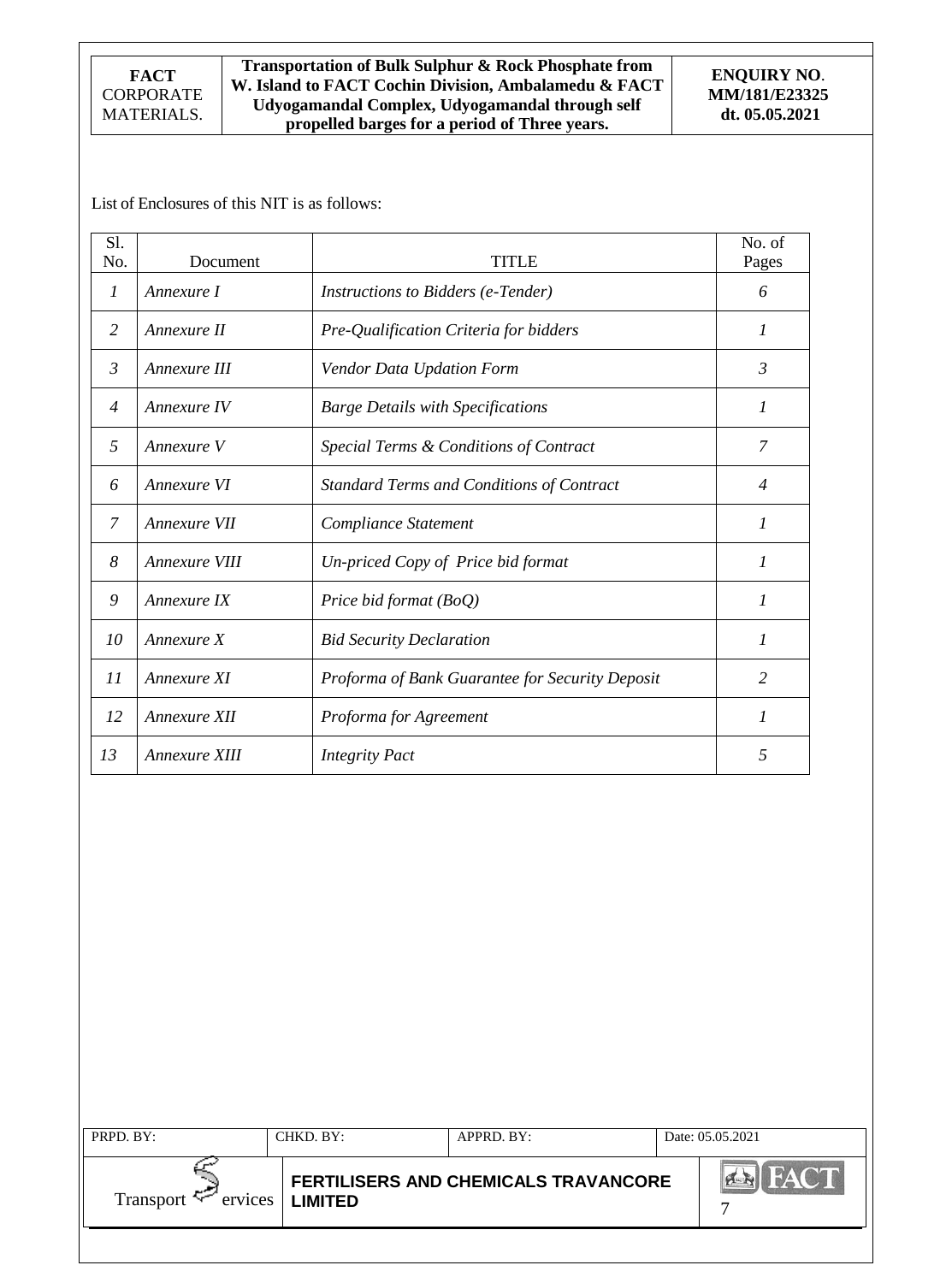**Transportation of Bulk Sulphur & Rock Phosphate from W. Island to FACT Cochin Division, Ambalamedu & FACT Udyogamandal Complex, Udyogamandal through self propelled barges for a period of Three years.**

List of Enclosures of this NIT is as follows:

| S1.            |               |                                                 | No. of         |
|----------------|---------------|-------------------------------------------------|----------------|
| No.            | Document      | TITI E                                          | Pages          |
| $\mathcal{I}$  | Annexure I    | Instructions to Bidders (e-Tender)              | 6              |
| 2              | Annexure II   | Pre-Qualification Criteria for bidders          | 1              |
| 3              | Annexure III  | Vendor Data Updation Form                       | 3              |
| $\overline{4}$ | Annexure IV   | <b>Barge Details with Specifications</b>        | 1              |
| .5             | Annexure V    | Special Terms & Conditions of Contract          | 7              |
| 6              | Annexure VI   | Standard Terms and Conditions of Contract       | $\overline{4}$ |
| 7              | Annexure VII  | Compliance Statement                            | 1              |
| 8              | Annexure VIII | Un-priced Copy of Price bid format              | 1              |
| 9              | Annexure IX   | Price bid format (BoQ)                          | $\mathcal{I}$  |
| 10             | Annexure X    | <b>Bid Security Declaration</b>                 | 1              |
| 11             | Annexure XI   | Proforma of Bank Guarantee for Security Deposit | 2              |
| 12             | Annexure XII  | Proforma for Agreement                          | $\mathcal{I}$  |
| 13             | Annexure XIII | <b>Integrity Pact</b>                           | 5              |

| PRPD. BY:           | CHKD. BY:         | $APPRD$ . BY:                               | Date: 05.05.2021 |
|---------------------|-------------------|---------------------------------------------|------------------|
| Transport $\approx$ | $ervices$ LIMITED | <b>FERTILISERS AND CHEMICALS TRAVANCORE</b> |                  |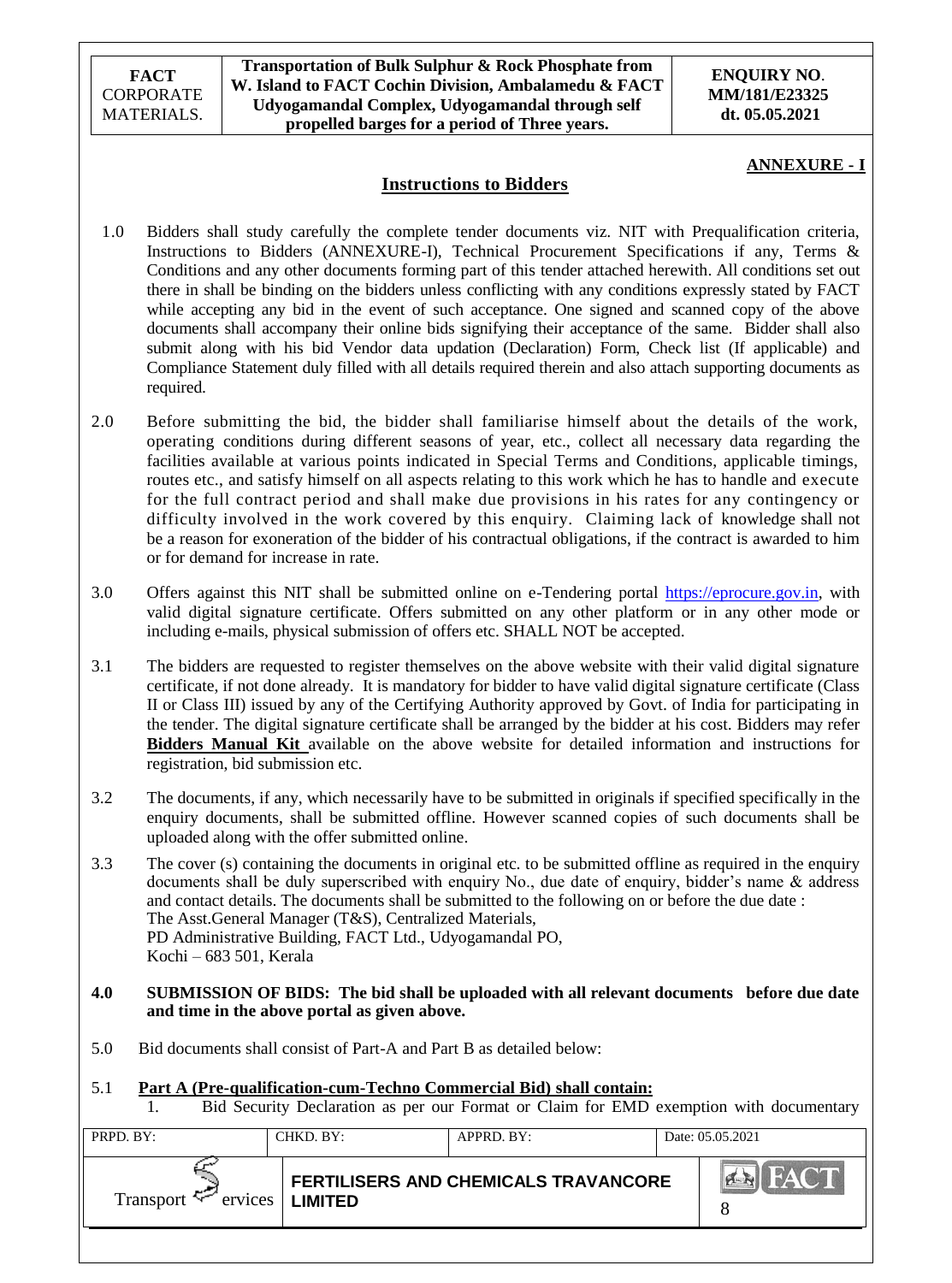**Transportation of Bulk Sulphur & Rock Phosphate from W. Island to FACT Cochin Division, Ambalamedu & FACT Udyogamandal Complex, Udyogamandal through self propelled barges for a period of Three years.**

#### **ENQUIRY NO**. **MM/181/E23325 dt. 05.05.2021**

### **ANNEXURE - I**

## **Instructions to Bidders**

- 1.0 Bidders shall study carefully the complete tender documents viz. NIT with Prequalification criteria, Instructions to Bidders (ANNEXURE-I), Technical Procurement Specifications if any, Terms & Conditions and any other documents forming part of this tender attached herewith. All conditions set out there in shall be binding on the bidders unless conflicting with any conditions expressly stated by FACT while accepting any bid in the event of such acceptance. One signed and scanned copy of the above documents shall accompany their online bids signifying their acceptance of the same. Bidder shall also submit along with his bid Vendor data updation (Declaration) Form, Check list (If applicable) and Compliance Statement duly filled with all details required therein and also attach supporting documents as required.
- 2.0 Before submitting the bid, the bidder shall familiarise himself about the details of the work, operating conditions during different seasons of year, etc., collect all necessary data regarding the facilities available at various points indicated in Special Terms and Conditions, applicable timings, routes etc., and satisfy himself on all aspects relating to this work which he has to handle and execute for the full contract period and shall make due provisions in his rates for any contingency or difficulty involved in the work covered by this enquiry. Claiming lack of knowledge shall not be a reason for exoneration of the bidder of his contractual obligations, if the contract is awarded to him or for demand for increase in rate.
- 3.0 Offers against this NIT shall be submitted online on e-Tendering portal [https://eprocure.gov.in,](https://eprocure.gov.in/) with valid digital signature certificate. Offers submitted on any other platform or in any other mode or including e-mails, physical submission of offers etc. SHALL NOT be accepted.
- 3.1 The bidders are requested to register themselves on the above website with their valid digital signature certificate, if not done already. It is mandatory for bidder to have valid digital signature certificate (Class II or Class III) issued by any of the Certifying Authority approved by Govt. of India for participating in the tender. The digital signature certificate shall be arranged by the bidder at his cost. Bidders may refer **Bidders Manual Kit** available on the above website for detailed information and instructions for registration, bid submission etc.
- 3.2 The documents, if any, which necessarily have to be submitted in originals if specified specifically in the enquiry documents, shall be submitted offline. However scanned copies of such documents shall be uploaded along with the offer submitted online.
- 3.3 The cover (s) containing the documents in original etc. to be submitted offline as required in the enquiry documents shall be duly superscribed with enquiry No., due date of enquiry, bidder's name & address and contact details. The documents shall be submitted to the following on or before the due date : The Asst.General Manager (T&S), Centralized Materials, PD Administrative Building, FACT Ltd., Udyogamandal PO, Kochi – 683 501, Kerala
- **4.0 SUBMISSION OF BIDS: The bid shall be uploaded with all relevant documents before due date and time in the above portal as given above.**
- 5.0 Bid documents shall consist of Part-A and Part B as detailed below:

## 5.1 **Part A (Pre-qualification-cum-Techno Commercial Bid) shall contain:**

1. Bid Security Declaration as per our Format or Claim for EMD exemption with documentary

| $ A \times I $<br><b>FERTILISERS AND CHEMICALS TRAVANCORE</b> |             |
|---------------------------------------------------------------|-------------|
| Transport $\sim$<br>$ervices$   <b>LIMITED</b>                | <b>FACT</b> |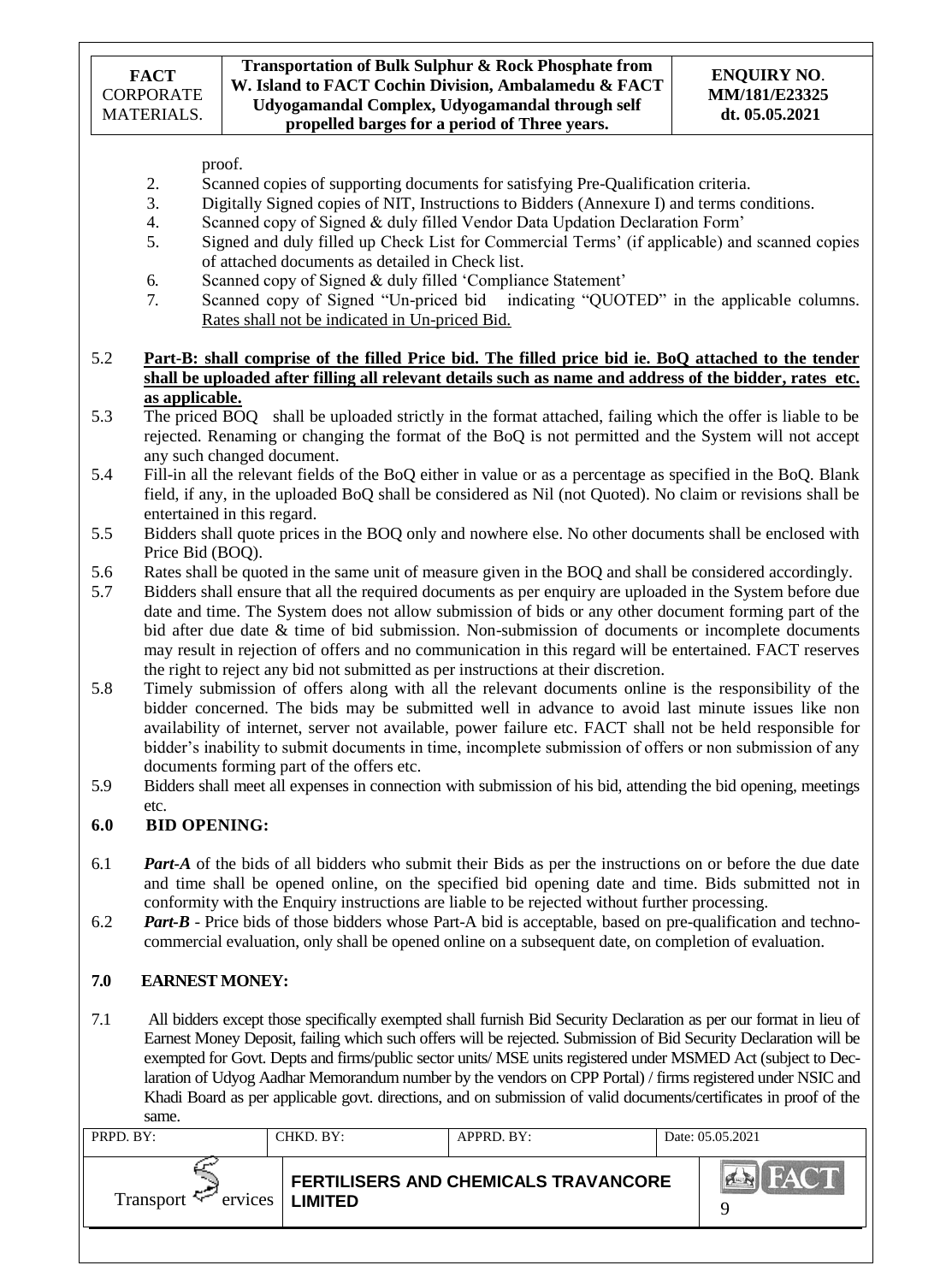proof.

- 2. Scanned copies of supporting documents for satisfying Pre-Qualification criteria.<br>3. Digitally Signed copies of NIT, Instructions to Bidders (Annexure I) and terms co
- Digitally Signed copies of NIT, Instructions to Bidders (Annexure I) and terms conditions.
- 4. Scanned copy of Signed & duly filled Vendor Data Updation Declaration Form"
- 5. Signed and duly filled up Check List for Commercial Terms" (if applicable) and scanned copies of attached documents as detailed in Check list.
- 6. Scanned copy of Signed & duly filled "Compliance Statement"
- 7. Scanned copy of Signed "Un-priced bid indicating "QUOTED" in the applicable columns. Rates shall not be indicated in Un-priced Bid.
- 5.2 **Part-B: shall comprise of the filled Price bid. The filled price bid ie. BoQ attached to the tender shall be uploaded after filling all relevant details such as name and address of the bidder, rates etc. as applicable.**
- 5.3 The priced BOQ shall be uploaded strictly in the format attached, failing which the offer is liable to be rejected. Renaming or changing the format of the BoQ is not permitted and the System will not accept any such changed document.
- 5.4 Fill-in all the relevant fields of the BoQ either in value or as a percentage as specified in the BoQ. Blank field, if any, in the uploaded BoQ shall be considered as Nil (not Quoted). No claim or revisions shall be entertained in this regard.
- 5.5 Bidders shall quote prices in the BOQ only and nowhere else. No other documents shall be enclosed with Price Bid (BOQ).
- 5.6 Rates shall be quoted in the same unit of measure given in the BOQ and shall be considered accordingly.
- 5.7 Bidders shall ensure that all the required documents as per enquiry are uploaded in the System before due date and time. The System does not allow submission of bids or any other document forming part of the bid after due date & time of bid submission. Non-submission of documents or incomplete documents may result in rejection of offers and no communication in this regard will be entertained. FACT reserves the right to reject any bid not submitted as per instructions at their discretion.
- 5.8 Timely submission of offers along with all the relevant documents online is the responsibility of the bidder concerned. The bids may be submitted well in advance to avoid last minute issues like non availability of internet, server not available, power failure etc. FACT shall not be held responsible for bidder"s inability to submit documents in time, incomplete submission of offers or non submission of any documents forming part of the offers etc.
- 5.9 Bidders shall meet all expenses in connection with submission of his bid, attending the bid opening, meetings etc.

## **6.0 BID OPENING:**

- 6.1 *Part-A* of the bids of all bidders who submit their Bids as per the instructions on or before the due date and time shall be opened online, on the specified bid opening date and time. Bids submitted not in conformity with the Enquiry instructions are liable to be rejected without further processing.
- 6.2 *Part-B* Price bids of those bidders whose Part-A bid is acceptable, based on pre-qualification and technocommercial evaluation, only shall be opened online on a subsequent date, on completion of evaluation.

## **7.0 EARNEST MONEY:**

7.1 All bidders except those specifically exempted shall furnish Bid Security Declaration as per our format in lieu of Earnest Money Deposit, failing which such offers will be rejected. Submission of Bid Security Declaration will be exempted for Govt. Depts and firms/public sector units/ MSE units registered under MSMED Act (subject to Declaration of Udyog Aadhar Memorandum number by the vendors on CPP Portal) / firms registered under NSIC and Khadi Board as per applicable govt. directions, and on submission of valid documents/certificates in proof of the same.

| PRPD. BY: | CHKD. BY:                  | $APPRD$ . $BY$ :                            | Date: 05.05.2021 |
|-----------|----------------------------|---------------------------------------------|------------------|
| Transport | $ervices$   <b>LIMITED</b> | <b>FERTILISERS AND CHEMICALS TRAVANCORE</b> | a                |
|           |                            |                                             |                  |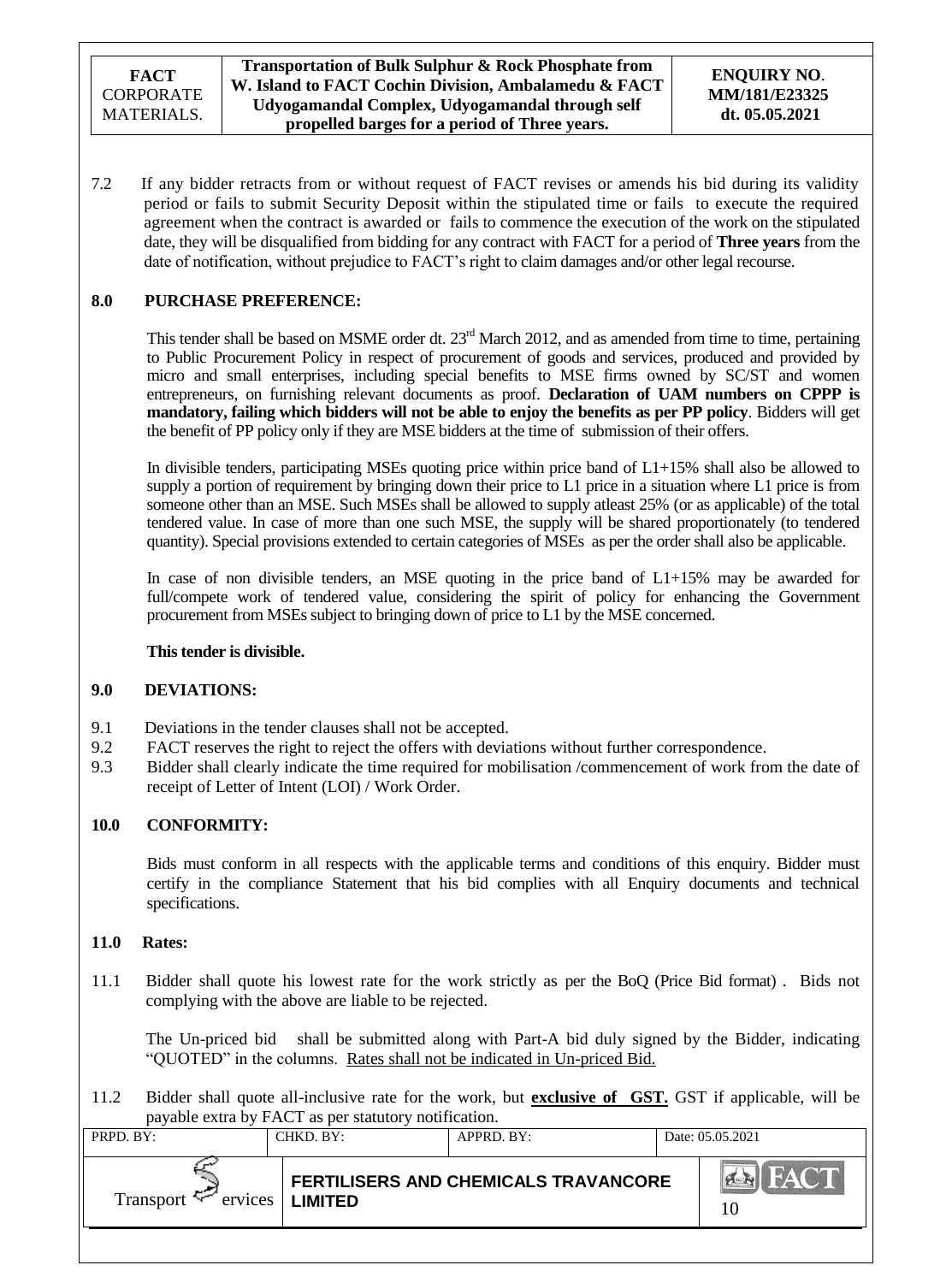7.2 If any bidder retracts from or without request of FACT revises or amends his bid during its validity period or fails to submit Security Deposit within the stipulated time or fails to execute the required agreement when the contract is awarded or fails to commence the execution of the work on the stipulated date, they will be disqualified from bidding for any contract with FACT for a period of **Three years** from the date of notification, without prejudice to FACT's right to claim damages and/or other legal recourse.

### **8.0 PURCHASE PREFERENCE:**

This tender shall be based on MSME order dt. 23<sup>rd</sup> March 2012, and as amended from time to time, pertaining to Public Procurement Policy in respect of procurement of goods and services, produced and provided by micro and small enterprises, including special benefits to MSE firms owned by SC/ST and women entrepreneurs, on furnishing relevant documents as proof. **Declaration of UAM numbers on CPPP is mandatory, failing which bidders will not be able to enjoy the benefits as per PP policy**. Bidders will get the benefit of PP policy only if they are MSE bidders at the time of submission of their offers.

In divisible tenders, participating MSEs quoting price within price band of L1+15% shall also be allowed to supply a portion of requirement by bringing down their price to L1 price in a situation where L1 price is from someone other than an MSE. Such MSEs shall be allowed to supply atleast 25% (or as applicable) of the total tendered value. In case of more than one such MSE, the supply will be shared proportionately (to tendered quantity). Special provisions extended to certain categories of MSEs as per the order shall also be applicable.

In case of non divisible tenders, an MSE quoting in the price band of L1+15% may be awarded for full/compete work of tendered value, considering the spirit of policy for enhancing the Government procurement from MSEs subject to bringing down of price to L1 by the MSE concerned.

### **This tender is divisible.**

### **9.0 DEVIATIONS:**

- 9.1 Deviations in the tender clauses shall not be accepted.
- 9.2 FACT reserves the right to reject the offers with deviations without further correspondence.
- 9.3 Bidder shall clearly indicate the time required for mobilisation /commencement of work from the date of receipt of Letter of Intent (LOI) / Work Order.

### **10.0 CONFORMITY:**

Bids must conform in all respects with the applicable terms and conditions of this enquiry. Bidder must certify in the compliance Statement that his bid complies with all Enquiry documents and technical specifications.

#### **11.0 Rates:**

11.1 Bidder shall quote his lowest rate for the work strictly as per the BoQ (Price Bid format) . Bids not complying with the above are liable to be rejected.

The Un-priced bid shall be submitted along with Part-A bid duly signed by the Bidder, indicating "QUOTED" in the columns. Rates shall not be indicated in Un-priced Bid.

11.2 Bidder shall quote all-inclusive rate for the work, but **exclusive of GST.** GST if applicable, will be payable extra by FACT as per statutory notification.

| PRPD. BY: | CHKD. BY:                | APPRD. BY:                                  | Date: 05.05.2021     |
|-----------|--------------------------|---------------------------------------------|----------------------|
| Transport | ervices   <b>LIMITED</b> | <b>FERTILISERS AND CHEMICALS TRAVANCORE</b> | <b>EN FACT</b><br>10 |
|           |                          |                                             |                      |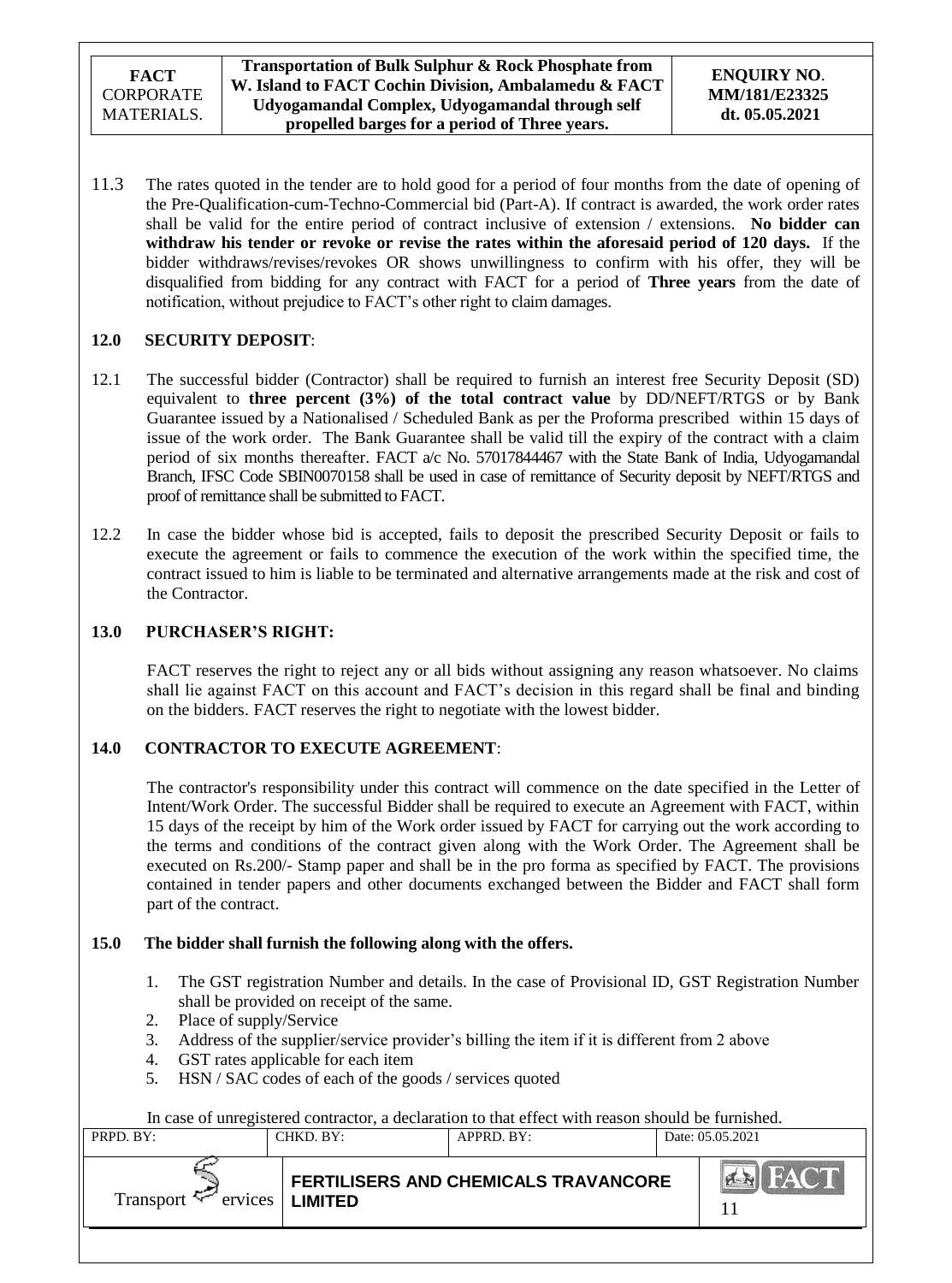11.3 The rates quoted in the tender are to hold good for a period of four months from the date of opening of the Pre-Qualification-cum-Techno-Commercial bid (Part-A). If contract is awarded, the work order rates shall be valid for the entire period of contract inclusive of extension / extensions. **No bidder can withdraw his tender or revoke or revise the rates within the aforesaid period of 120 days.** If the bidder withdraws/revises/revokes OR shows unwillingness to confirm with his offer, they will be disqualified from bidding for any contract with FACT for a period of **Three years** from the date of notification, without prejudice to FACT"s other right to claim damages.

## **12.0 SECURITY DEPOSIT**:

- 12.1 The successful bidder (Contractor) shall be required to furnish an interest free Security Deposit (SD) equivalent to **three percent (3%) of the total contract value** by DD/NEFT/RTGS or by Bank Guarantee issued by a Nationalised / Scheduled Bank as per the Proforma prescribed within 15 days of issue of the work order. The Bank Guarantee shall be valid till the expiry of the contract with a claim period of six months thereafter. FACT a/c No. 57017844467 with the State Bank of India, Udyogamandal Branch, IFSC Code SBIN0070158 shall be used in case of remittance of Security deposit by NEFT/RTGS and proof of remittance shall be submitted to FACT.
- 12.2 In case the bidder whose bid is accepted, fails to deposit the prescribed Security Deposit or fails to execute the agreement or fails to commence the execution of the work within the specified time, the contract issued to him is liable to be terminated and alternative arrangements made at the risk and cost of the Contractor.

## **13.0 PURCHASER'S RIGHT:**

FACT reserves the right to reject any or all bids without assigning any reason whatsoever. No claims shall lie against FACT on this account and FACT"s decision in this regard shall be final and binding on the bidders. FACT reserves the right to negotiate with the lowest bidder.

## **14.0 CONTRACTOR TO EXECUTE AGREEMENT**:

The contractor's responsibility under this contract will commence on the date specified in the Letter of Intent/Work Order. The successful Bidder shall be required to execute an Agreement with FACT, within 15 days of the receipt by him of the Work order issued by FACT for carrying out the work according to the terms and conditions of the contract given along with the Work Order. The Agreement shall be executed on Rs.200/- Stamp paper and shall be in the pro forma as specified by FACT. The provisions contained in tender papers and other documents exchanged between the Bidder and FACT shall form part of the contract.

## **15.0 The bidder shall furnish the following along with the offers.**

- 1. The GST registration Number and details. In the case of Provisional ID, GST Registration Number shall be provided on receipt of the same.
- 2. Place of supply/Service
- 3. Address of the supplier/service provider"s billing the item if it is different from 2 above
- 4. GST rates applicable for each item
- 5. HSN / SAC codes of each of the goods / services quoted

In case of unregistered contractor, a declaration to that effect with reason should be furnished.

|           |                            | In case of unregistered contractor, a decidiation to that cricer with reason should be ruinished. |                  |
|-----------|----------------------------|---------------------------------------------------------------------------------------------------|------------------|
| PRPD. BY: | CHKD. BY:                  | APPRD. BY:                                                                                        | Date: 05.05.2021 |
| Transport | $ervices$   <b>LIMITED</b> | FERTILISERS AND CHEMICALS TRAVANCORE                                                              | <b>BIFACT</b>    |
|           |                            |                                                                                                   |                  |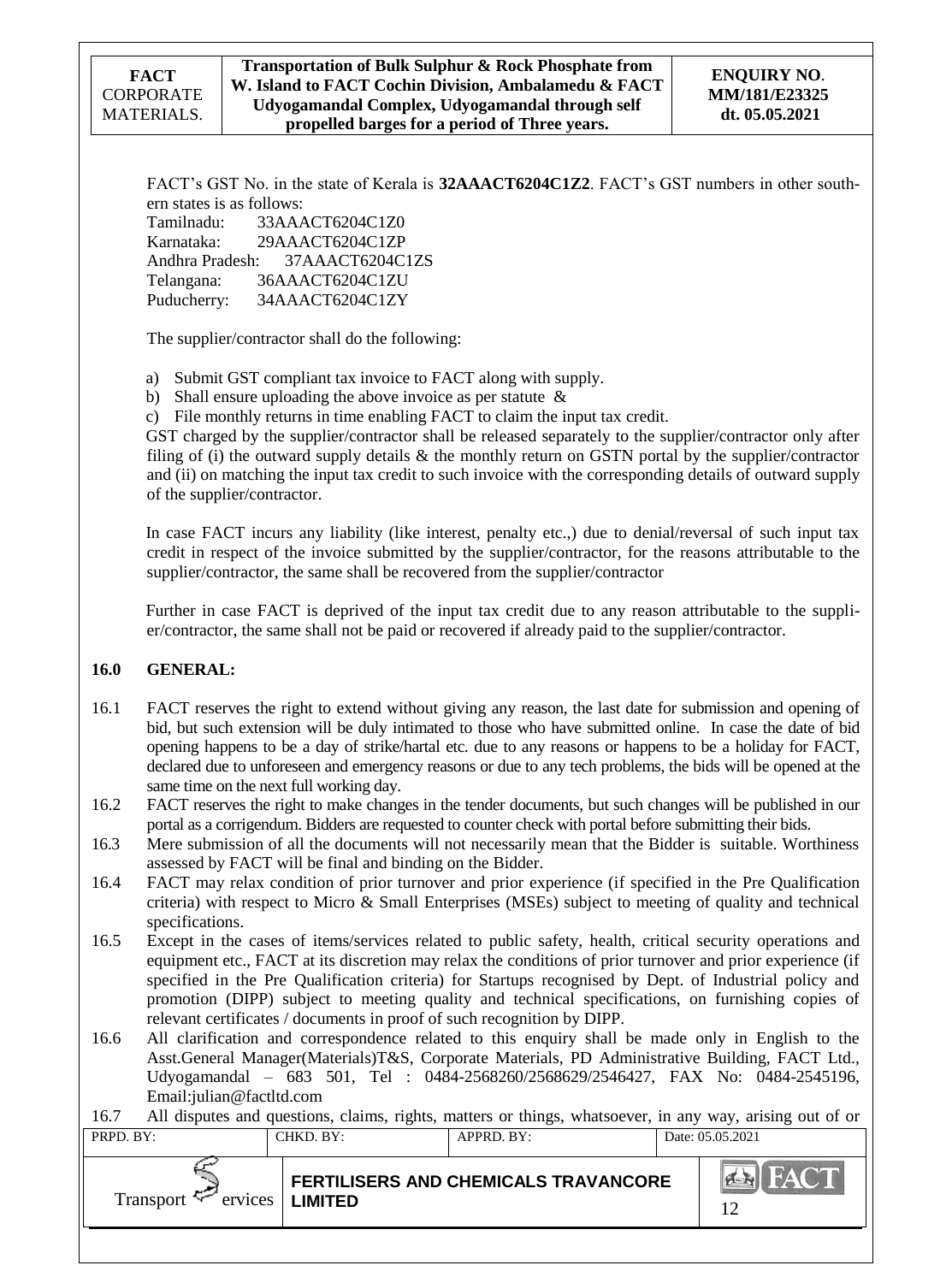| FACT             |
|------------------|
| <b>CORPORATE</b> |
| MATERIALS.       |

FACT's GST No. in the state of Kerala is 32AAACT6204C1Z2. FACT's GST numbers in other southern states is as follows:

Tamilnadu: 33AAACT6204C1Z0 Karnataka: 29AAACT6204C1ZP Andhra Pradesh: 37AAACT6204C1ZS Telangana: 36AAACT6204C1ZU Puducherry: 34AAACT6204C1ZY

The supplier/contractor shall do the following:

a) Submit GST compliant tax invoice to FACT along with supply.

b) Shall ensure uploading the above invoice as per statute  $\&$ 

c) File monthly returns in time enabling FACT to claim the input tax credit.

GST charged by the supplier/contractor shall be released separately to the supplier/contractor only after filing of (i) the outward supply details  $\&$  the monthly return on GSTN portal by the supplier/contractor and (ii) on matching the input tax credit to such invoice with the corresponding details of outward supply of the supplier/contractor.

In case FACT incurs any liability (like interest, penalty etc.,) due to denial/reversal of such input tax credit in respect of the invoice submitted by the supplier/contractor, for the reasons attributable to the supplier/contractor, the same shall be recovered from the supplier/contractor

Further in case FACT is deprived of the input tax credit due to any reason attributable to the supplier/contractor, the same shall not be paid or recovered if already paid to the supplier/contractor.

## **16.0 GENERAL:**

- 16.1 FACT reserves the right to extend without giving any reason, the last date for submission and opening of bid, but such extension will be duly intimated to those who have submitted online. In case the date of bid opening happens to be a day of strike/hartal etc. due to any reasons or happens to be a holiday for FACT, declared due to unforeseen and emergency reasons or due to any tech problems, the bids will be opened at the same time on the next full working day.
- 16.2 FACT reserves the right to make changes in the tender documents, but such changes will be published in our portal as a corrigendum. Bidders are requested to counter check with portal before submitting their bids.
- 16.3 Mere submission of all the documents will not necessarily mean that the Bidder is suitable. Worthiness assessed by FACT will be final and binding on the Bidder.
- 16.4 FACT may relax condition of prior turnover and prior experience (if specified in the Pre Qualification criteria) with respect to Micro & Small Enterprises (MSEs) subject to meeting of quality and technical specifications.
- 16.5 Except in the cases of items/services related to public safety, health, critical security operations and equipment etc., FACT at its discretion may relax the conditions of prior turnover and prior experience (if specified in the Pre Qualification criteria) for Startups recognised by Dept. of Industrial policy and promotion (DIPP) subject to meeting quality and technical specifications, on furnishing copies of relevant certificates / documents in proof of such recognition by DIPP.
- 16.6 All clarification and correspondence related to this enquiry shall be made only in English to the Asst.General Manager(Materials)T&S, Corporate Materials, PD Administrative Building, FACT Ltd., Udyogamandal – 683 501, Tel : 0484-2568260/2568629/2546427, FAX No: 0484-2545196, Email:julian@factltd.com

16.7 All disputes and questions, claims, rights, matters or things, whatsoever, in any way, arising out of or

| .         |                          | The disputes and questions, elamns, rights, matters or unligs, whatsoever, in any way, among out or or |                  |
|-----------|--------------------------|--------------------------------------------------------------------------------------------------------|------------------|
| PRPD. BY: | CHKD, BY:                | APPRD. BY:                                                                                             | Date: 05.05.2021 |
|           |                          |                                                                                                        |                  |
| Transport | $ervices$ <b>LIMITED</b> | <b>FERTILISERS AND CHEMICALS TRAVANCORE</b>                                                            | <b>BIFACT</b>    |
|           |                          |                                                                                                        |                  |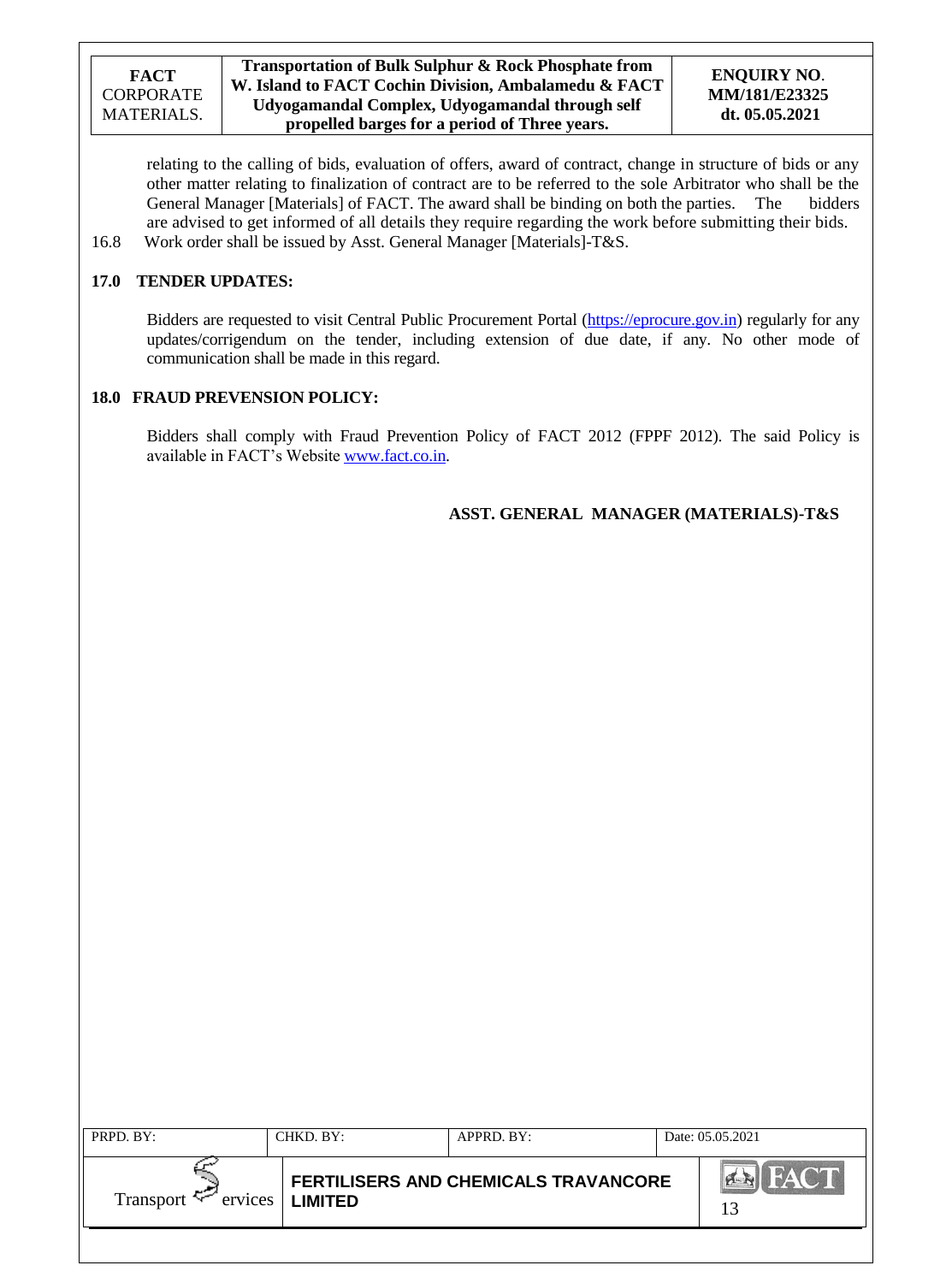| <b>FACT</b> |
|-------------|
| CORPORATE   |
| MATERIALS.  |

### **ENQUIRY NO**. **MM/181/E23325 dt. 05.05.2021**

relating to the calling of bids, evaluation of offers, award of contract, change in structure of bids or any other matter relating to finalization of contract are to be referred to the sole Arbitrator who shall be the General Manager [Materials] of FACT. The award shall be binding on both the parties. The bidders General Manager [Materials] of FACT. The award shall be binding on both the parties. The are advised to get informed of all details they require regarding the work before submitting their bids. 16.8 Work order shall be issued by Asst. General Manager [Materials]-T&S.

# **17.0 TENDER UPDATES:**

Bidders are requested to visit Central Public Procurement Portal [\(https://eprocure.gov.in\)](https://eprocure.gov.in/) regularly for any updates/corrigendum on the tender, including extension of due date, if any. No other mode of communication shall be made in this regard.

### **18.0 FRAUD PREVENSION POLICY:**

Bidders shall comply with Fraud Prevention Policy of FACT 2012 (FPPF 2012). The said Policy is available in FACT"s Website [www.fact.co.in.](http://www.fact.co.in/)

## **ASST. GENERAL MANAGER (MATERIALS)-T&S**

| PRPD. BY:            | CHKD, BY:         | APPRD. BY:                                  | Date: 05.05.2021 |
|----------------------|-------------------|---------------------------------------------|------------------|
| Transport $\epsilon$ | ervices   LIMITED | <b>FERTILISERS AND CHEMICALS TRAVANCORE</b> | HAC T<br>13      |
|                      |                   |                                             |                  |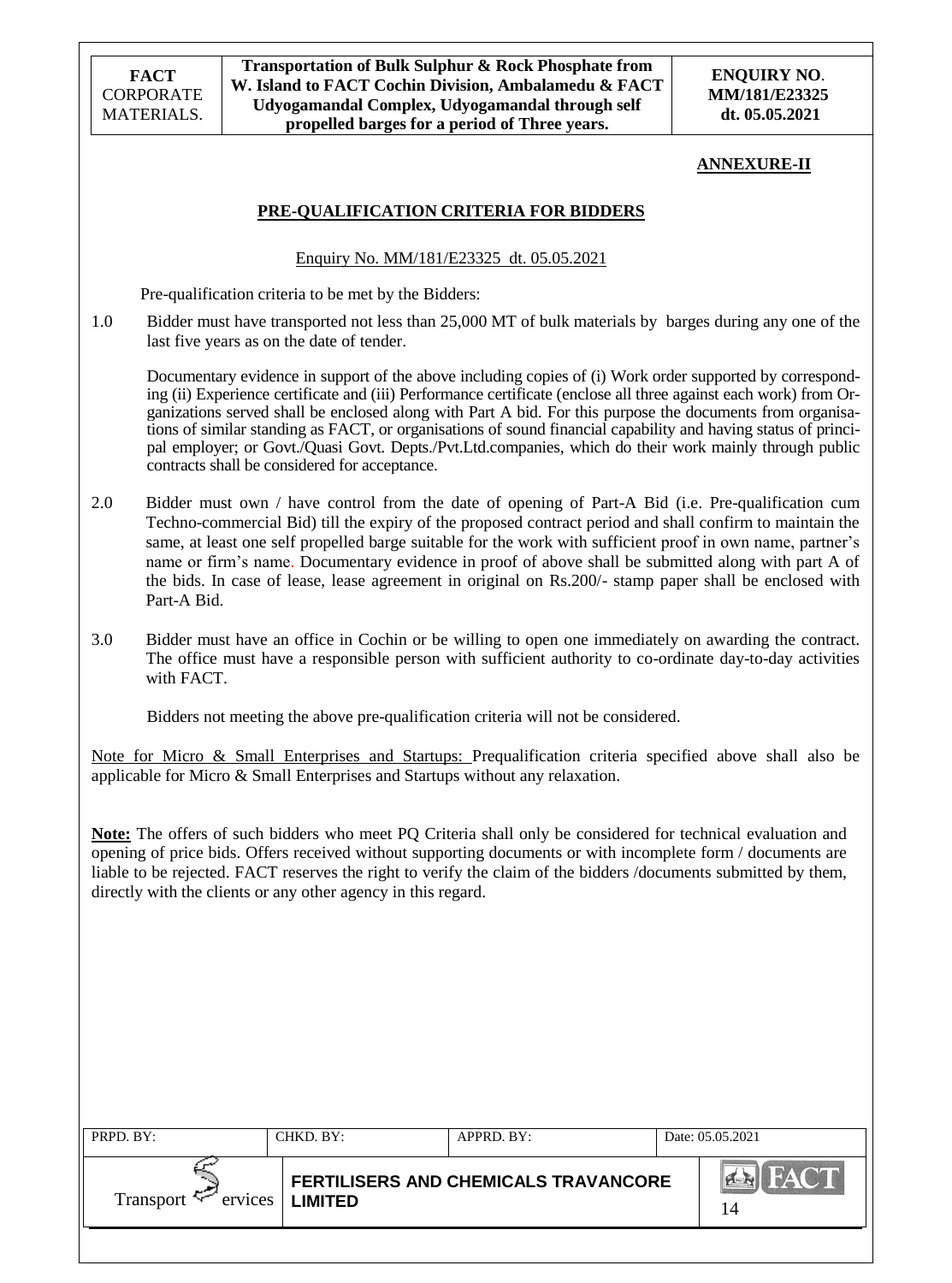#### **ANNEXURE-II**

### **PRE-QUALIFICATION CRITERIA FOR BIDDERS**

#### Enquiry No. MM/181/E23325 dt. 05.05.2021

Pre-qualification criteria to be met by the Bidders:

1.0 Bidder must have transported not less than 25,000 MT of bulk materials by barges during any one of the last five years as on the date of tender.

Documentary evidence in support of the above including copies of (i) Work order supported by corresponding (ii) Experience certificate and (iii) Performance certificate (enclose all three against each work) from Organizations served shall be enclosed along with Part A bid. For this purpose the documents from organisations of similar standing as FACT, or organisations of sound financial capability and having status of principal employer; or Govt./Quasi Govt. Depts./Pvt.Ltd.companies, which do their work mainly through public contracts shall be considered for acceptance.

- 2.0 Bidder must own / have control from the date of opening of Part-A Bid (i.e. Pre-qualification cum Techno-commercial Bid) till the expiry of the proposed contract period and shall confirm to maintain the same, at least one self propelled barge suitable for the work with sufficient proof in own name, partner"s name or firm"s name. Documentary evidence in proof of above shall be submitted along with part A of the bids. In case of lease, lease agreement in original on Rs.200/- stamp paper shall be enclosed with Part-A Bid.
- 3.0 Bidder must have an office in Cochin or be willing to open one immediately on awarding the contract. The office must have a responsible person with sufficient authority to co-ordinate day-to-day activities with FACT.

Bidders not meeting the above pre-qualification criteria will not be considered.

Note for Micro & Small Enterprises and Startups: Prequalification criteria specified above shall also be applicable for Micro & Small Enterprises and Startups without any relaxation.

**Note:** The offers of such bidders who meet PQ Criteria shall only be considered for technical evaluation and opening of price bids. Offers received without supporting documents or with incomplete form / documents are liable to be rejected. FACT reserves the right to verify the claim of the bidders /documents submitted by them, directly with the clients or any other agency in this regard.

| PRPD. BY: | CHKD. BY:         | APPRD. BY:                           | Date: 05.05.2021  |
|-----------|-------------------|--------------------------------------|-------------------|
| Transport | ervices   LIMITED | FERTILISERS AND CHEMICALS TRAVANCORE | <b>HACT</b><br>14 |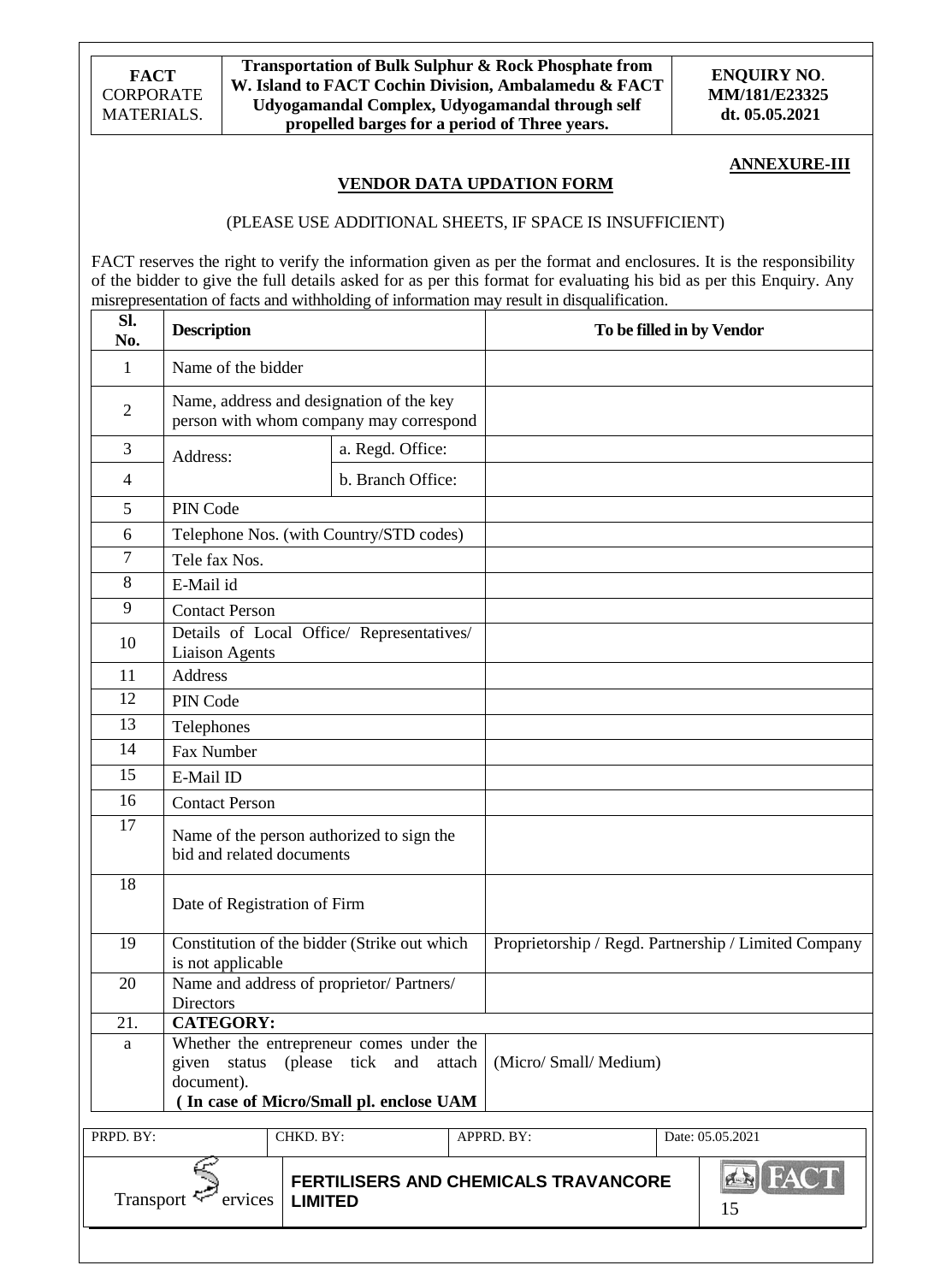**Transportation of Bulk Sulphur & Rock Phosphate from W. Island to FACT Cochin Division, Ambalamedu & FACT Udyogamandal Complex, Udyogamandal through self propelled barges for a period of Three years.**

**ENQUIRY NO**. **MM/181/E23325 dt. 05.05.2021**

#### **ANNEXURE-III**

### **VENDOR DATA UPDATION FORM**

#### (PLEASE USE ADDITIONAL SHEETS, IF SPACE IS INSUFFICIENT)

FACT reserves the right to verify the information given as per the format and enclosures. It is the responsibility of the bidder to give the full details asked for as per this format for evaluating his bid as per this Enquiry. Any misrepresentation of facts and withholding of information may result in disqualification.

| SI.<br>No.     | <b>Description</b>                                                                  |                   |        |                                      | To be filled in by Vendor                            |
|----------------|-------------------------------------------------------------------------------------|-------------------|--------|--------------------------------------|------------------------------------------------------|
| $\mathbf{1}$   | Name of the bidder                                                                  |                   |        |                                      |                                                      |
| $\overline{2}$ | Name, address and designation of the key<br>person with whom company may correspond |                   |        |                                      |                                                      |
| 3              | Address:                                                                            | a. Regd. Office:  |        |                                      |                                                      |
| 4              |                                                                                     | b. Branch Office: |        |                                      |                                                      |
| 5              | PIN Code                                                                            |                   |        |                                      |                                                      |
| 6              | Telephone Nos. (with Country/STD codes)                                             |                   |        |                                      |                                                      |
| $\tau$         | Tele fax Nos.                                                                       |                   |        |                                      |                                                      |
| 8              | E-Mail id                                                                           |                   |        |                                      |                                                      |
| 9              | <b>Contact Person</b>                                                               |                   |        |                                      |                                                      |
| 10             | Details of Local Office/ Representatives/<br><b>Liaison Agents</b>                  |                   |        |                                      |                                                      |
| 11             | <b>Address</b>                                                                      |                   |        |                                      |                                                      |
| 12             | PIN Code                                                                            |                   |        |                                      |                                                      |
| 13             | Telephones                                                                          |                   |        |                                      |                                                      |
| 14             | <b>Fax Number</b>                                                                   |                   |        |                                      |                                                      |
| 15             | E-Mail ID                                                                           |                   |        |                                      |                                                      |
| 16             | <b>Contact Person</b>                                                               |                   |        |                                      |                                                      |
| 17             | Name of the person authorized to sign the<br>bid and related documents              |                   |        |                                      |                                                      |
| 18             | Date of Registration of Firm                                                        |                   |        |                                      |                                                      |
| 19             | Constitution of the bidder (Strike out which<br>is not applicable                   |                   |        |                                      | Proprietorship / Regd. Partnership / Limited Company |
| 20             | Name and address of proprietor/ Partners/                                           |                   |        |                                      |                                                      |
|                | Directors                                                                           |                   |        |                                      |                                                      |
| 21.<br>a       | <b>CATEGORY:</b><br>Whether the entrepreneur comes under the                        |                   |        |                                      |                                                      |
|                | given status (please tick and                                                       |                   | attach | (Micro/ Small/ Medium)               |                                                      |
|                | document).                                                                          |                   |        |                                      |                                                      |
|                | In case of Micro/Small pl. enclose UAM                                              |                   |        |                                      |                                                      |
| PRPD. BY:      | CHKD. BY:                                                                           |                   |        | APPRD. BY:                           | Date: 05.05.2021                                     |
| Transport      | ervices<br><b>LIMITED</b>                                                           |                   |        | FERTILISERS AND CHEMICALS TRAVANCORE | <b>EN FACT</b><br>15                                 |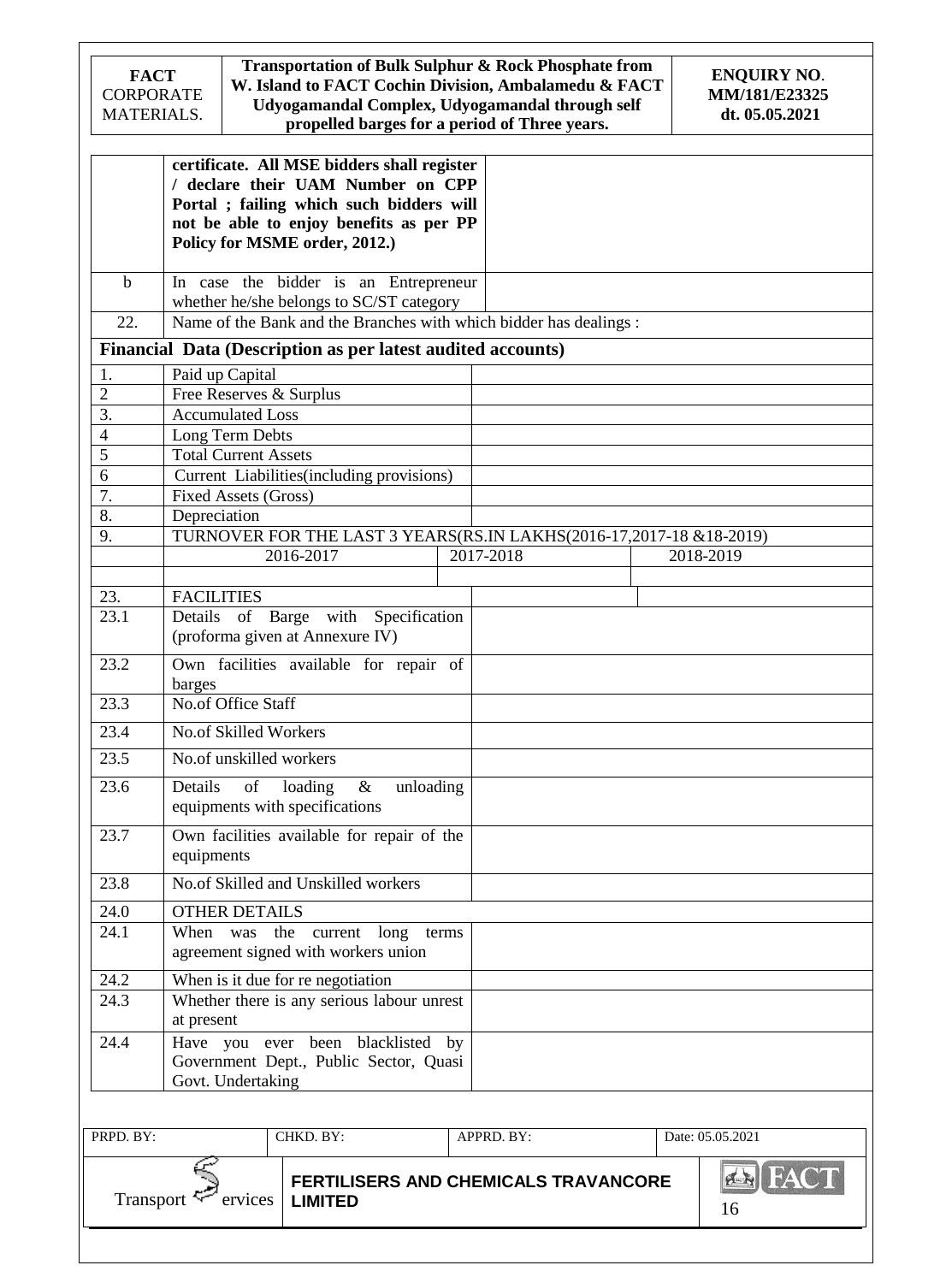| <b>FACT</b><br><b>CORPORATE</b><br>MATERIALS. | Transportation of Bulk Sulphur & Rock Phosphate from<br>W. Island to FACT Cochin Division, Ambalamedu & FACT<br>Udyogamandal Complex, Udyogamandal through self | <b>ENQUIRY NO.</b><br>MM/181/E23325<br>dt. 05.05.2021                                                                                                                                                    |  |                                                                     |  |                      |
|-----------------------------------------------|-----------------------------------------------------------------------------------------------------------------------------------------------------------------|----------------------------------------------------------------------------------------------------------------------------------------------------------------------------------------------------------|--|---------------------------------------------------------------------|--|----------------------|
|                                               |                                                                                                                                                                 | certificate. All MSE bidders shall register<br>/ declare their UAM Number on CPP<br>Portal ; failing which such bidders will<br>not be able to enjoy benefits as per PP<br>Policy for MSME order, 2012.) |  |                                                                     |  |                      |
| $\mathbf b$                                   |                                                                                                                                                                 | In case the bidder is an Entrepreneur                                                                                                                                                                    |  |                                                                     |  |                      |
| 22.                                           |                                                                                                                                                                 | whether he/she belongs to SC/ST category                                                                                                                                                                 |  | Name of the Bank and the Branches with which bidder has dealings:   |  |                      |
|                                               |                                                                                                                                                                 | Financial Data (Description as per latest audited accounts)                                                                                                                                              |  |                                                                     |  |                      |
| 1.                                            | Paid up Capital                                                                                                                                                 |                                                                                                                                                                                                          |  |                                                                     |  |                      |
| $\overline{2}$                                | Free Reserves & Surplus                                                                                                                                         |                                                                                                                                                                                                          |  |                                                                     |  |                      |
| $\overline{3}$ .                              | <b>Accumulated Loss</b>                                                                                                                                         |                                                                                                                                                                                                          |  |                                                                     |  |                      |
| $\overline{4}$                                | Long Term Debts                                                                                                                                                 |                                                                                                                                                                                                          |  |                                                                     |  |                      |
| $\overline{5}$                                | Total Current Assets                                                                                                                                            |                                                                                                                                                                                                          |  |                                                                     |  |                      |
| 6                                             |                                                                                                                                                                 | Current Liabilities (including provisions)                                                                                                                                                               |  |                                                                     |  |                      |
| 7.                                            | <b>Fixed Assets (Gross)</b>                                                                                                                                     |                                                                                                                                                                                                          |  |                                                                     |  |                      |
| 8.                                            | Depreciation                                                                                                                                                    |                                                                                                                                                                                                          |  |                                                                     |  |                      |
| 9.                                            |                                                                                                                                                                 |                                                                                                                                                                                                          |  | TURNOVER FOR THE LAST 3 YEARS(RS.IN LAKHS(2016-17,2017-18 &18-2019) |  |                      |
|                                               |                                                                                                                                                                 | 2016-2017                                                                                                                                                                                                |  | 2017-2018                                                           |  | 2018-2019            |
| 23.                                           | <b>FACILITIES</b>                                                                                                                                               |                                                                                                                                                                                                          |  |                                                                     |  |                      |
| 23.1                                          | Details                                                                                                                                                         | of Barge with Specification                                                                                                                                                                              |  |                                                                     |  |                      |
|                                               |                                                                                                                                                                 | (proforma given at Annexure IV)                                                                                                                                                                          |  |                                                                     |  |                      |
| 23.2                                          | barges                                                                                                                                                          | Own facilities available for repair of                                                                                                                                                                   |  |                                                                     |  |                      |
| 23.3                                          | No.of Office Staff                                                                                                                                              |                                                                                                                                                                                                          |  |                                                                     |  |                      |
| 23.4                                          | No.of Skilled Workers                                                                                                                                           |                                                                                                                                                                                                          |  |                                                                     |  |                      |
| 23.5                                          | No.of unskilled workers                                                                                                                                         |                                                                                                                                                                                                          |  |                                                                     |  |                      |
| 23.6                                          | of<br>loading<br>$\&$<br>unloading<br>Details<br>equipments with specifications                                                                                 |                                                                                                                                                                                                          |  |                                                                     |  |                      |
| 23.7                                          | Own facilities available for repair of the                                                                                                                      |                                                                                                                                                                                                          |  |                                                                     |  |                      |
| 23.8                                          | equipments                                                                                                                                                      | No.of Skilled and Unskilled workers                                                                                                                                                                      |  |                                                                     |  |                      |
| 24.0                                          | <b>OTHER DETAILS</b>                                                                                                                                            |                                                                                                                                                                                                          |  |                                                                     |  |                      |
| 24.1                                          |                                                                                                                                                                 | When was the current long terms                                                                                                                                                                          |  |                                                                     |  |                      |
|                                               |                                                                                                                                                                 | agreement signed with workers union                                                                                                                                                                      |  |                                                                     |  |                      |
| 24.2                                          |                                                                                                                                                                 | When is it due for re negotiation                                                                                                                                                                        |  |                                                                     |  |                      |
| 24.3                                          |                                                                                                                                                                 | Whether there is any serious labour unrest                                                                                                                                                               |  |                                                                     |  |                      |
|                                               | at present                                                                                                                                                      |                                                                                                                                                                                                          |  |                                                                     |  |                      |
| 24.4                                          | Govt. Undertaking                                                                                                                                               | Have you ever been blacklisted by<br>Government Dept., Public Sector, Quasi                                                                                                                              |  |                                                                     |  |                      |
|                                               |                                                                                                                                                                 |                                                                                                                                                                                                          |  |                                                                     |  |                      |
| PRPD. BY:                                     |                                                                                                                                                                 | CHKD. BY:                                                                                                                                                                                                |  | APPRD. BY:                                                          |  | Date: 05.05.2021     |
|                                               |                                                                                                                                                                 |                                                                                                                                                                                                          |  |                                                                     |  |                      |
| Transport                                     | ervices                                                                                                                                                         | <b>LIMITED</b>                                                                                                                                                                                           |  | FERTILISERS AND CHEMICALS TRAVANCORE                                |  | <b>EX FACT</b><br>16 |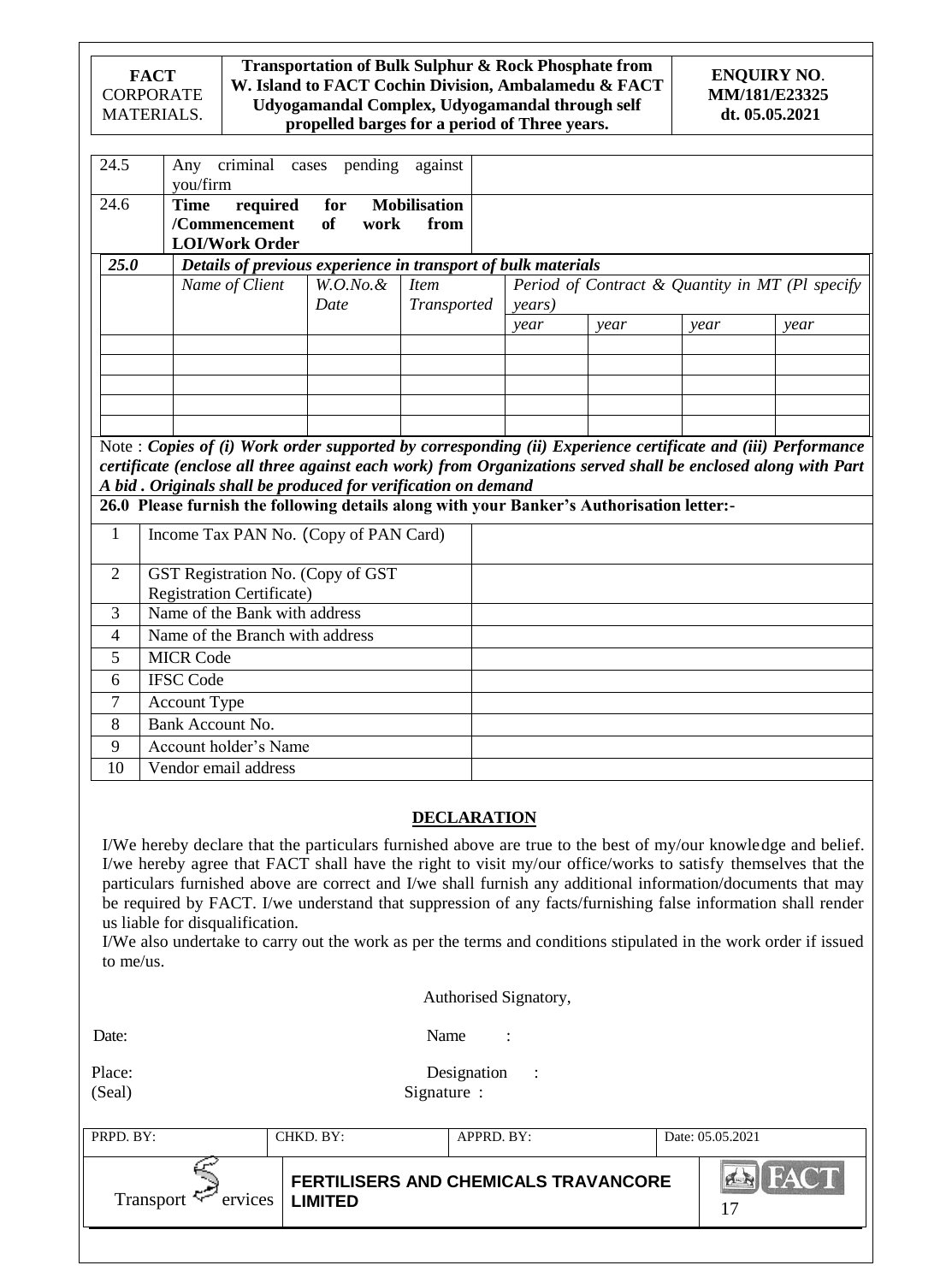|                                                                                                                               | Transportation of Bulk Sulphur & Rock Phosphate from<br><b>FACT</b><br>W. Island to FACT Cochin Division, Ambalamedu & FACT<br><b>CORPORATE</b><br>Udyogamandal Complex, Udyogamandal through self<br>MATERIALS.<br>propelled barges for a period of Three years. |                                                               |       |         |         |  |      |                                                                                           | <b>ENQUIRY NO.</b><br>MM/181/E23325<br>dt. 05.05.2021 |                                                                                                                                                                                                                               |
|-------------------------------------------------------------------------------------------------------------------------------|-------------------------------------------------------------------------------------------------------------------------------------------------------------------------------------------------------------------------------------------------------------------|---------------------------------------------------------------|-------|---------|---------|--|------|-------------------------------------------------------------------------------------------|-------------------------------------------------------|-------------------------------------------------------------------------------------------------------------------------------------------------------------------------------------------------------------------------------|
| 24.5                                                                                                                          | Any<br>you/firm                                                                                                                                                                                                                                                   | criminal                                                      | cases | pending | against |  |      |                                                                                           |                                                       |                                                                                                                                                                                                                               |
| <b>Mobilisation</b><br>24.6<br><b>Time</b><br>required<br>for<br>/Commencement<br>of<br>from<br>work<br><b>LOI/Work Order</b> |                                                                                                                                                                                                                                                                   |                                                               |       |         |         |  |      |                                                                                           |                                                       |                                                                                                                                                                                                                               |
| 25.0                                                                                                                          |                                                                                                                                                                                                                                                                   | Details of previous experience in transport of bulk materials |       |         |         |  |      |                                                                                           |                                                       |                                                                                                                                                                                                                               |
|                                                                                                                               | Name of Client<br>$W.O.No.\&$<br><b>Item</b><br>Date<br>Transported                                                                                                                                                                                               |                                                               |       |         | years)  |  |      | Period of Contract & Quantity in MT (Pl specify                                           |                                                       |                                                                                                                                                                                                                               |
|                                                                                                                               |                                                                                                                                                                                                                                                                   |                                                               |       |         |         |  | year | year                                                                                      | year                                                  | year                                                                                                                                                                                                                          |
|                                                                                                                               |                                                                                                                                                                                                                                                                   |                                                               |       |         |         |  |      |                                                                                           |                                                       |                                                                                                                                                                                                                               |
|                                                                                                                               |                                                                                                                                                                                                                                                                   |                                                               |       |         |         |  |      |                                                                                           |                                                       |                                                                                                                                                                                                                               |
|                                                                                                                               |                                                                                                                                                                                                                                                                   |                                                               |       |         |         |  |      |                                                                                           |                                                       |                                                                                                                                                                                                                               |
|                                                                                                                               |                                                                                                                                                                                                                                                                   |                                                               |       |         |         |  |      |                                                                                           |                                                       |                                                                                                                                                                                                                               |
|                                                                                                                               |                                                                                                                                                                                                                                                                   | A bid. Originals shall be produced for verification on demand |       |         |         |  |      | 26.0 Please furnish the following details along with your Banker's Authorisation letter:- |                                                       | Note : Copies of (i) Work order supported by corresponding (ii) Experience certificate and (iii) Performance<br>certificate (enclose all three against each work) from Organizations served shall be enclosed along with Part |
| $\mathbf{1}$                                                                                                                  |                                                                                                                                                                                                                                                                   | Income Tax PAN No. (Copy of PAN Card)                         |       |         |         |  |      |                                                                                           |                                                       |                                                                                                                                                                                                                               |
| GST Registration No. (Copy of GST<br>$\overline{2}$<br><b>Registration Certificate)</b>                                       |                                                                                                                                                                                                                                                                   |                                                               |       |         |         |  |      |                                                                                           |                                                       |                                                                                                                                                                                                                               |
| 3                                                                                                                             | Name of the Bank with address                                                                                                                                                                                                                                     |                                                               |       |         |         |  |      |                                                                                           |                                                       |                                                                                                                                                                                                                               |
| $\overline{4}$                                                                                                                | Name of the Branch with address                                                                                                                                                                                                                                   |                                                               |       |         |         |  |      |                                                                                           |                                                       |                                                                                                                                                                                                                               |
| 5                                                                                                                             | <b>MICR Code</b>                                                                                                                                                                                                                                                  |                                                               |       |         |         |  |      |                                                                                           |                                                       |                                                                                                                                                                                                                               |
| 6                                                                                                                             | <b>IFSC Code</b>                                                                                                                                                                                                                                                  |                                                               |       |         |         |  |      |                                                                                           |                                                       |                                                                                                                                                                                                                               |
| 7                                                                                                                             | Account Type                                                                                                                                                                                                                                                      |                                                               |       |         |         |  |      |                                                                                           |                                                       |                                                                                                                                                                                                                               |
| 8                                                                                                                             | Bank Account No.                                                                                                                                                                                                                                                  |                                                               |       |         |         |  |      |                                                                                           |                                                       |                                                                                                                                                                                                                               |
| 9                                                                                                                             |                                                                                                                                                                                                                                                                   | Account holder's Name                                         |       |         |         |  |      |                                                                                           |                                                       |                                                                                                                                                                                                                               |
| 10                                                                                                                            |                                                                                                                                                                                                                                                                   | Vendor email address                                          |       |         |         |  |      |                                                                                           |                                                       |                                                                                                                                                                                                                               |

### **DECLARATION**

I/We hereby declare that the particulars furnished above are true to the best of my/our knowledge and belief. I/we hereby agree that FACT shall have the right to visit my/our office/works to satisfy themselves that the particulars furnished above are correct and I/we shall furnish any additional information/documents that may be required by FACT. I/we understand that suppression of any facts/furnishing false information shall render us liable for disqualification.

I/We also undertake to carry out the work as per the terms and conditions stipulated in the work order if issued to me/us.

|                             |                | Authorised Signatory,                  |                      |  |  |  |
|-----------------------------|----------------|----------------------------------------|----------------------|--|--|--|
| Date:                       |                | Name<br>$\ddot{\cdot}$                 |                      |  |  |  |
| Place:<br>(Seal)            |                | Designation<br>$\sim$ 1<br>Signature : |                      |  |  |  |
| PRPD. BY:                   | CHKD. BY:      | APPRD. BY:                             | Date: 05.05.2021     |  |  |  |
| Transport $\leq$<br>ervices | <b>LIMITED</b> | FERTILISERS AND CHEMICALS TRAVANCORE   | <b>Ex</b> FACT<br>17 |  |  |  |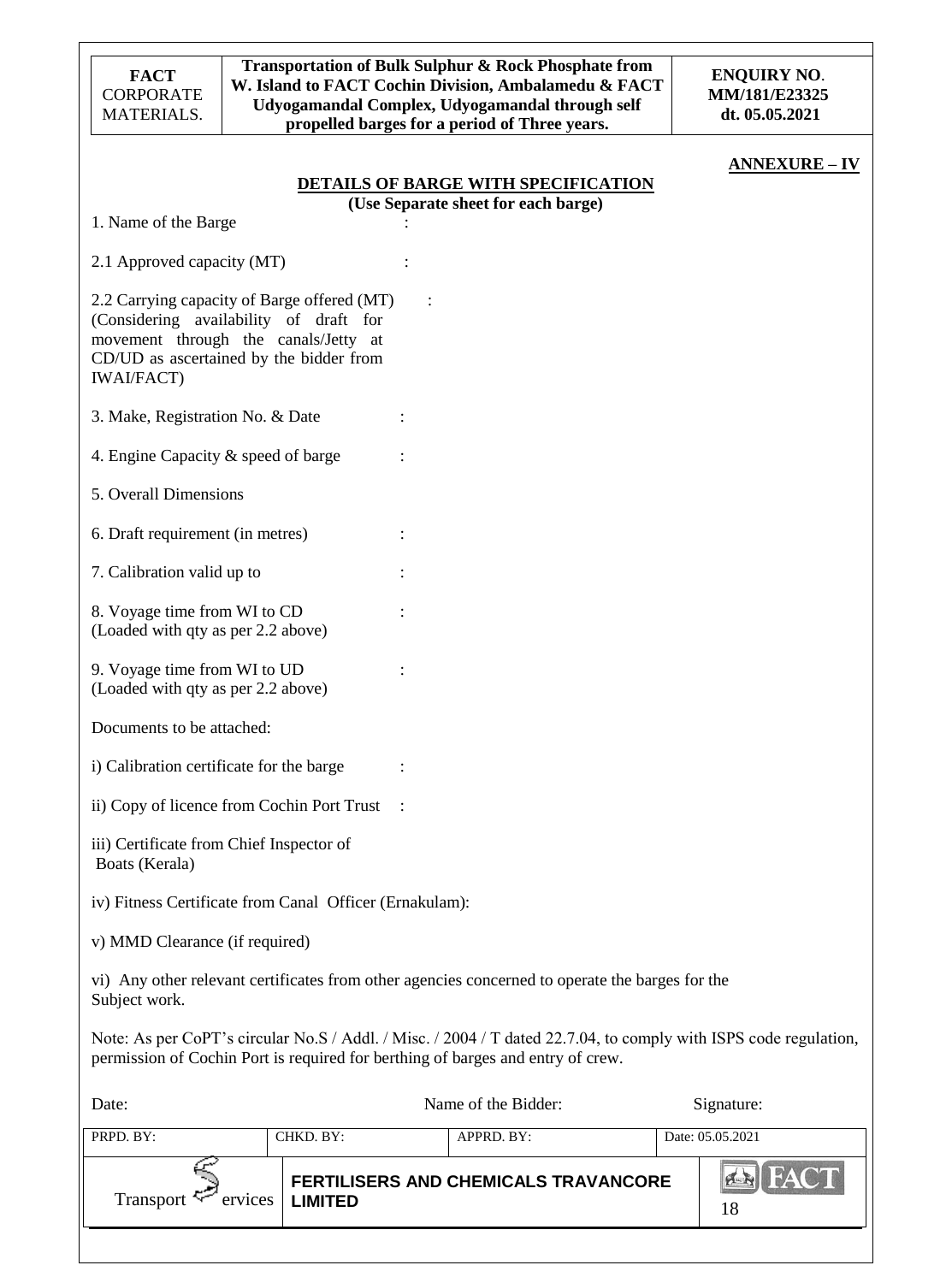| <b>FACT</b><br><b>CORPORATE</b><br>MATERIALS.                                                                                                                                                 |         |                |  | Transportation of Bulk Sulphur & Rock Phosphate from<br>W. Island to FACT Cochin Division, Ambalamedu & FACT<br>Udyogamandal Complex, Udyogamandal through self<br>propelled barges for a period of Three years. |  | <b>ENQUIRY NO.</b><br>MM/181/E23325<br>dt. 05.05.2021 |
|-----------------------------------------------------------------------------------------------------------------------------------------------------------------------------------------------|---------|----------------|--|------------------------------------------------------------------------------------------------------------------------------------------------------------------------------------------------------------------|--|-------------------------------------------------------|
|                                                                                                                                                                                               |         |                |  | <b>DETAILS OF BARGE WITH SPECIFICATION</b><br>(Use Separate sheet for each barge)                                                                                                                                |  | <b>ANNEXURE – IV</b>                                  |
| 1. Name of the Barge                                                                                                                                                                          |         |                |  |                                                                                                                                                                                                                  |  |                                                       |
| 2.1 Approved capacity (MT)                                                                                                                                                                    |         |                |  |                                                                                                                                                                                                                  |  |                                                       |
| 2.2 Carrying capacity of Barge offered (MT)<br>(Considering availability of draft for<br>movement through the canals/Jetty at<br>CD/UD as ascertained by the bidder from<br><b>IWAI/FACT)</b> |         |                |  |                                                                                                                                                                                                                  |  |                                                       |
| 3. Make, Registration No. & Date                                                                                                                                                              |         |                |  |                                                                                                                                                                                                                  |  |                                                       |
| 4. Engine Capacity & speed of barge                                                                                                                                                           |         |                |  |                                                                                                                                                                                                                  |  |                                                       |
| 5. Overall Dimensions                                                                                                                                                                         |         |                |  |                                                                                                                                                                                                                  |  |                                                       |
| 6. Draft requirement (in metres)                                                                                                                                                              |         |                |  |                                                                                                                                                                                                                  |  |                                                       |
| 7. Calibration valid up to                                                                                                                                                                    |         |                |  |                                                                                                                                                                                                                  |  |                                                       |
| 8. Voyage time from WI to CD<br>(Loaded with qty as per 2.2 above)                                                                                                                            |         |                |  |                                                                                                                                                                                                                  |  |                                                       |
| 9. Voyage time from WI to UD<br>(Loaded with qty as per 2.2 above)                                                                                                                            |         |                |  |                                                                                                                                                                                                                  |  |                                                       |
| Documents to be attached:                                                                                                                                                                     |         |                |  |                                                                                                                                                                                                                  |  |                                                       |
| i) Calibration certificate for the barge                                                                                                                                                      |         |                |  |                                                                                                                                                                                                                  |  |                                                       |
| ii) Copy of licence from Cochin Port Trust                                                                                                                                                    |         |                |  |                                                                                                                                                                                                                  |  |                                                       |
| iii) Certificate from Chief Inspector of<br>Boats (Kerala)                                                                                                                                    |         |                |  |                                                                                                                                                                                                                  |  |                                                       |
| iv) Fitness Certificate from Canal Officer (Ernakulam):                                                                                                                                       |         |                |  |                                                                                                                                                                                                                  |  |                                                       |
| v) MMD Clearance (if required)                                                                                                                                                                |         |                |  |                                                                                                                                                                                                                  |  |                                                       |
| Subject work.                                                                                                                                                                                 |         |                |  | vi) Any other relevant certificates from other agencies concerned to operate the barges for the                                                                                                                  |  |                                                       |
|                                                                                                                                                                                               |         |                |  | Note: As per CoPT's circular No.S / Addl. / Misc. / 2004 / T dated 22.7.04, to comply with ISPS code regulation,<br>permission of Cochin Port is required for berthing of barges and entry of crew.              |  |                                                       |
| Date:                                                                                                                                                                                         |         |                |  | Name of the Bidder:                                                                                                                                                                                              |  | Signature:                                            |
| PRPD. BY:                                                                                                                                                                                     |         | CHKD. BY:      |  | APPRD. BY:                                                                                                                                                                                                       |  | Date: 05.05.2021                                      |
| Transport                                                                                                                                                                                     | ervices | <b>LIMITED</b> |  | <b>FERTILISERS AND CHEMICALS TRAVANCORE</b>                                                                                                                                                                      |  | <b>PLANT</b><br>18                                    |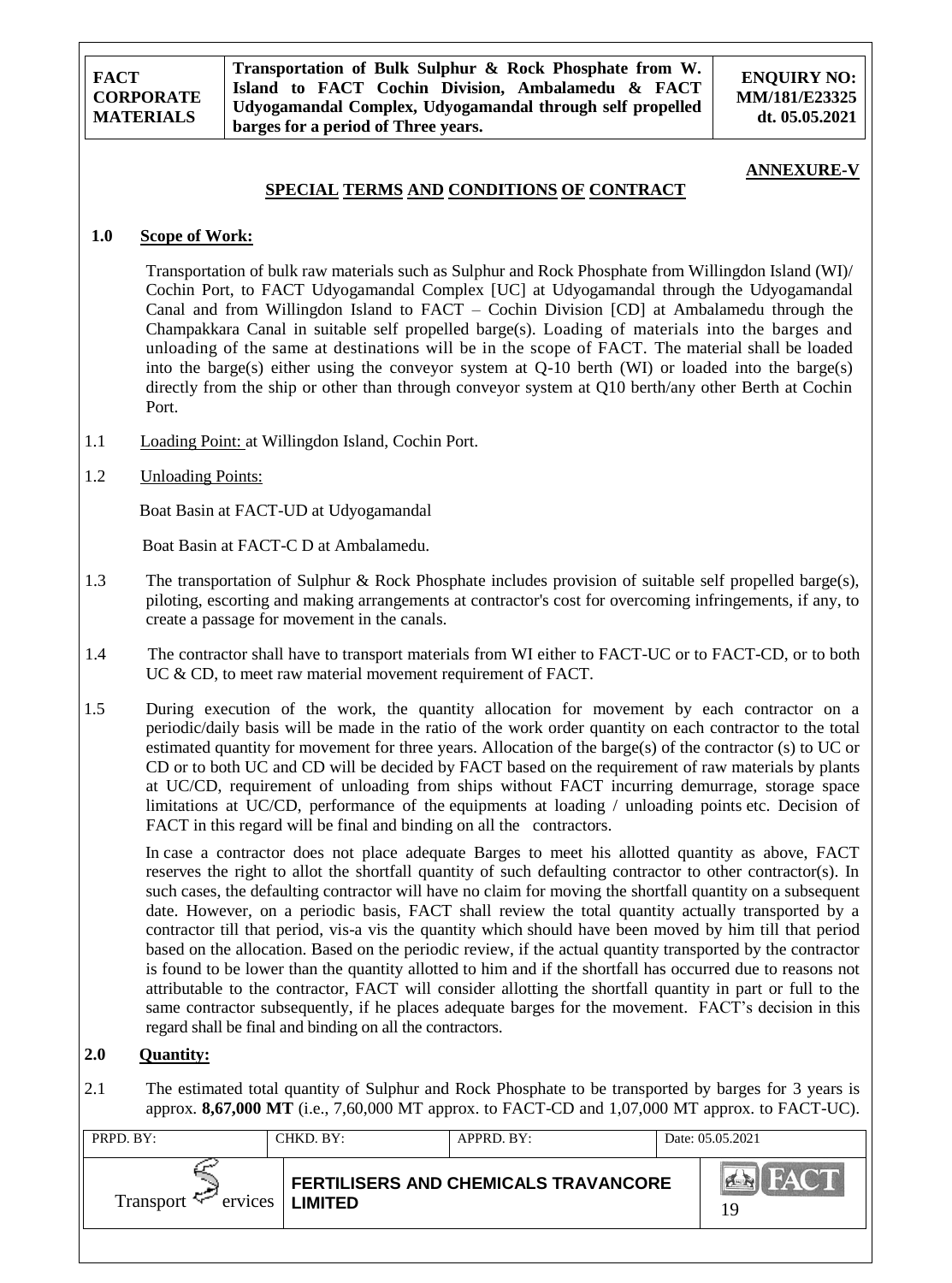**Transportation of Bulk Sulphur & Rock Phosphate from W. Island to FACT Cochin Division, Ambalamedu & FACT Udyogamandal Complex, Udyogamandal through self propelled barges for a period of Three years.**

**ENQUIRY NO: MM/181/E23325 dt. 05.05.2021**

#### **ANNEXURE-V**

### **SPECIAL TERMS AND CONDITIONS OF CONTRACT**

### **1.0 Scope of Work:**

Transportation of bulk raw materials such as Sulphur and Rock Phosphate from Willingdon Island (WI)/ Cochin Port, to FACT Udyogamandal Complex [UC] at Udyogamandal through the Udyogamandal Canal and from Willingdon Island to FACT – Cochin Division [CD] at Ambalamedu through the Champakkara Canal in suitable self propelled barge(s). Loading of materials into the barges and unloading of the same at destinations will be in the scope of FACT. The material shall be loaded into the barge(s) either using the conveyor system at Q-10 berth (WI) or loaded into the barge(s) directly from the ship or other than through conveyor system at Q10 berth/any other Berth at Cochin Port.

1.1 Loading Point: at Willingdon Island, Cochin Port.

#### 1.2 Unloading Points:

Boat Basin at FACT-UD at Udyogamandal

Boat Basin at FACT-C D at Ambalamedu.

- 1.3 The transportation of Sulphur & Rock Phosphate includes provision of suitable self propelled barge(s), piloting, escorting and making arrangements at contractor's cost for overcoming infringements, if any, to create a passage for movement in the canals.
- 1.4 The contractor shall have to transport materials from WI either to FACT-UC or to FACT-CD, or to both UC & CD, to meet raw material movement requirement of FACT.
- 1.5 During execution of the work, the quantity allocation for movement by each contractor on a periodic/daily basis will be made in the ratio of the work order quantity on each contractor to the total estimated quantity for movement for three years. Allocation of the barge(s) of the contractor (s) to UC or CD or to both UC and CD will be decided by FACT based on the requirement of raw materials by plants at UC/CD, requirement of unloading from ships without FACT incurring demurrage, storage space limitations at UC/CD, performance of the equipments at loading / unloading points etc. Decision of FACT in this regard will be final and binding on all the contractors.

 In case a contractor does not place adequate Barges to meet his allotted quantity as above, FACT reserves the right to allot the shortfall quantity of such defaulting contractor to other contractor(s). In such cases, the defaulting contractor will have no claim for moving the shortfall quantity on a subsequent date. However, on a periodic basis, FACT shall review the total quantity actually transported by a contractor till that period, vis-a vis the quantity which should have been moved by him till that period based on the allocation. Based on the periodic review, if the actual quantity transported by the contractor is found to be lower than the quantity allotted to him and if the shortfall has occurred due to reasons not attributable to the contractor, FACT will consider allotting the shortfall quantity in part or full to the same contractor subsequently, if he places adequate barges for the movement. FACT's decision in this regard shall be final and binding on all the contractors.

## **2.0 Quantity:**

2.1 The estimated total quantity of Sulphur and Rock Phosphate to be transported by barges for 3 years is approx. **8,67,000 MT** (i.e., 7,60,000 MT approx. to FACT-CD and 1,07,000 MT approx. to FACT-UC).

| PRPD. BY:                   | CHKD. BY:      | APPRD. BY:                                  | Date: 05.05.2021              |
|-----------------------------|----------------|---------------------------------------------|-------------------------------|
| Transport $\sim$<br>ervices | <b>LIMITED</b> | <b>FERTILISERS AND CHEMICALS TRAVANCORE</b> | FACT<br><b>CARGINAL</b><br>19 |
|                             |                |                                             |                               |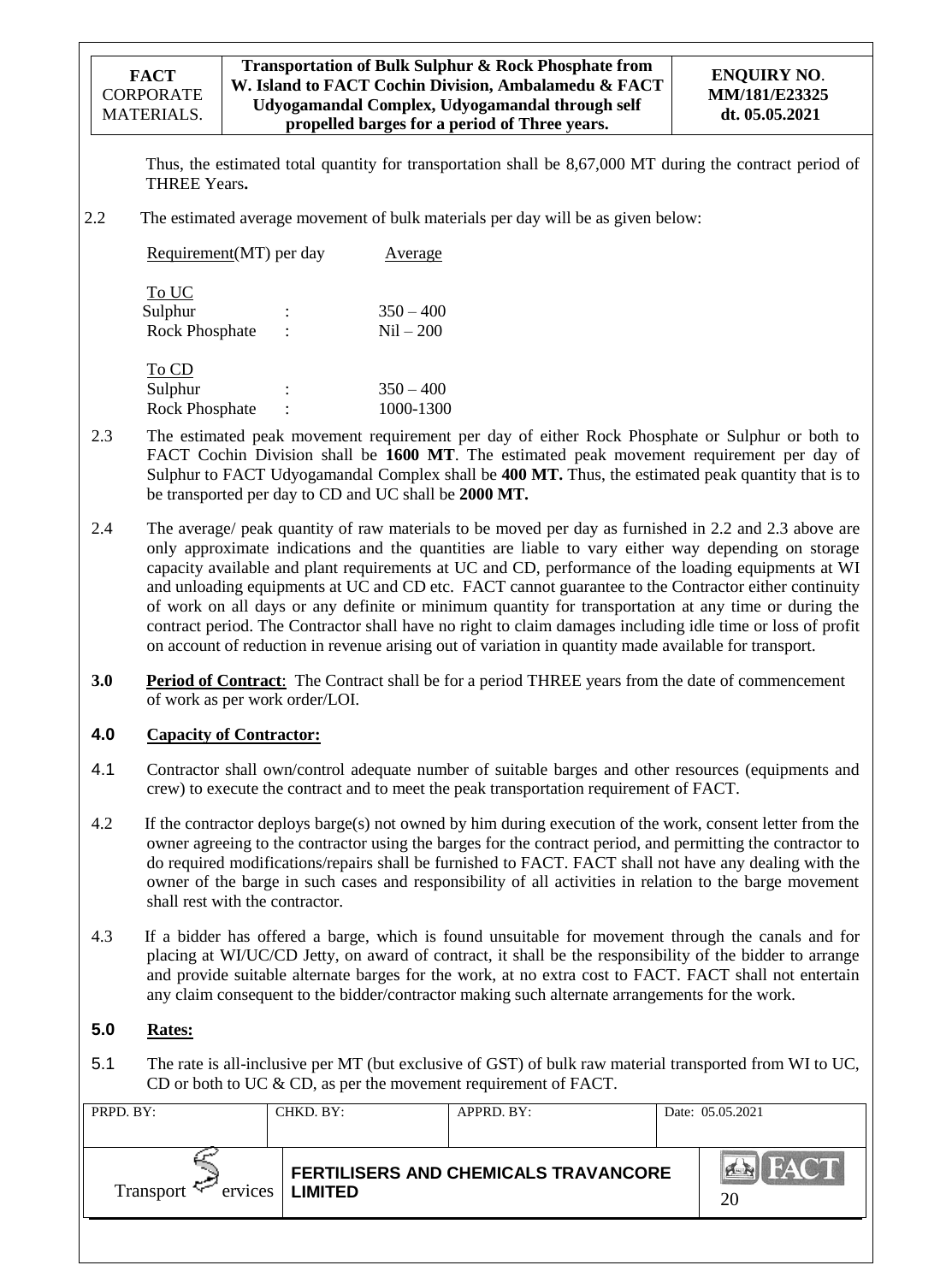### **Transportation of Bulk Sulphur & Rock Phosphate from W. Island to FACT Cochin Division, Ambalamedu & FACT Udyogamandal Complex, Udyogamandal through self propelled barges for a period of Three years.**

Thus, the estimated total quantity for transportation shall be 8,67,000 MT during the contract period of THREE Years**.**

2.2 The estimated average movement of bulk materials per day will be as given below:

| Requirement(MT) per day                   |                                  | Average                    |
|-------------------------------------------|----------------------------------|----------------------------|
| To UC<br>Sulphur<br><b>Rock Phosphate</b> | $\ddot{\cdot}$<br>$\ddot{\cdot}$ | $350 - 400$<br>$Nil - 200$ |
| To CD<br>Sulphur                          | ٠                                | $350 - 400$                |

Rock Phosphate : 1000-1300

- 2.3 The estimated peak movement requirement per day of either Rock Phosphate or Sulphur or both to FACT Cochin Division shall be **1600 MT**. The estimated peak movement requirement per day of Sulphur to FACT Udyogamandal Complex shall be **400 MT.** Thus, the estimated peak quantity that is to be transported per day to CD and UC shall be **2000 MT.**
- 2.4 The average/ peak quantity of raw materials to be moved per day as furnished in 2.2 and 2.3 above are only approximate indications and the quantities are liable to vary either way depending on storage capacity available and plant requirements at UC and CD, performance of the loading equipments at WI and unloading equipments at UC and CD etc. FACT cannot guarantee to the Contractor either continuity of work on all days or any definite or minimum quantity for transportation at any time or during the contract period. The Contractor shall have no right to claim damages including idle time or loss of profit on account of reduction in revenue arising out of variation in quantity made available for transport.
- **3.0 Period of Contract**: The Contract shall be for a period THREE years from the date of commencement of work as per work order/LOI.

## **4.0 Capacity of Contractor:**

- 4.1 Contractor shall own/control adequate number of suitable barges and other resources (equipments and crew) to execute the contract and to meet the peak transportation requirement of FACT.
- 4.2 If the contractor deploys barge(s) not owned by him during execution of the work, consent letter from the owner agreeing to the contractor using the barges for the contract period, and permitting the contractor to do required modifications/repairs shall be furnished to FACT. FACT shall not have any dealing with the owner of the barge in such cases and responsibility of all activities in relation to the barge movement shall rest with the contractor.
- 4.3 If a bidder has offered a barge, which is found unsuitable for movement through the canals and for placing at WI/UC/CD Jetty, on award of contract, it shall be the responsibility of the bidder to arrange and provide suitable alternate barges for the work, at no extra cost to FACT. FACT shall not entertain any claim consequent to the bidder/contractor making such alternate arrangements for the work.

## **5.0 Rates:**

5.1 The rate is all-inclusive per MT (but exclusive of GST) of bulk raw material transported from WI to UC, CD or both to UC & CD, as per the movement requirement of FACT.

| PRPD. BY:           | CHKD. BY:         | APPRD. BY:                           | Date: 05.05.2021         |
|---------------------|-------------------|--------------------------------------|--------------------------|
| Transport $\approx$ | ervices   LIMITED | FERTILISERS AND CHEMICALS TRAVANCORE | FACT<br>$H \times$<br>20 |
|                     |                   |                                      |                          |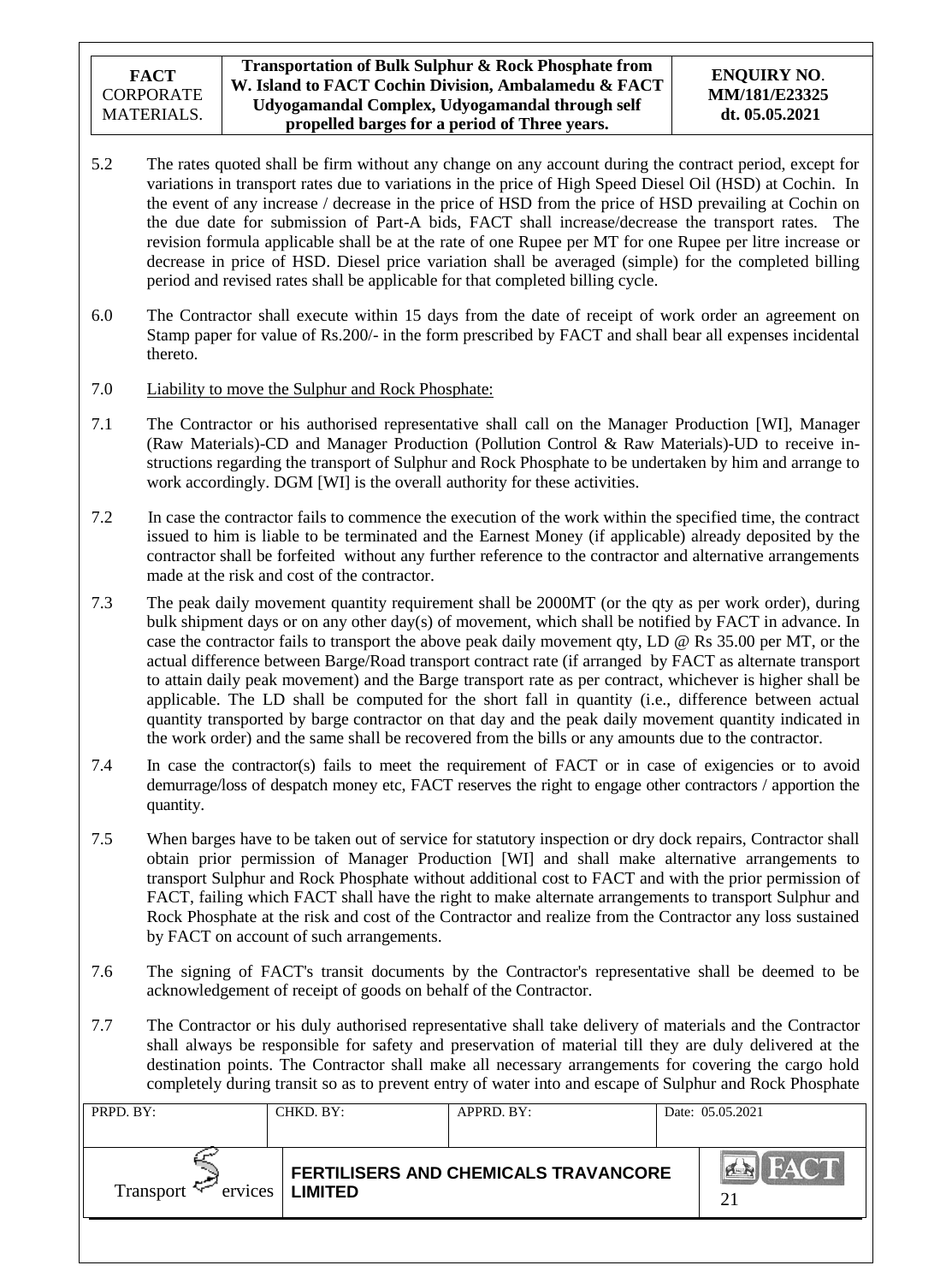- 5.2 The rates quoted shall be firm without any change on any account during the contract period, except for variations in transport rates due to variations in the price of High Speed Diesel Oil (HSD) at Cochin. In the event of any increase / decrease in the price of HSD from the price of HSD prevailing at Cochin on the due date for submission of Part-A bids, FACT shall increase/decrease the transport rates. The revision formula applicable shall be at the rate of one Rupee per MT for one Rupee per litre increase or decrease in price of HSD. Diesel price variation shall be averaged (simple) for the completed billing period and revised rates shall be applicable for that completed billing cycle.
- 6.0 The Contractor shall execute within 15 days from the date of receipt of work order an agreement on Stamp paper for value of Rs.200/- in the form prescribed by FACT and shall bear all expenses incidental thereto.
- 7.0 Liability to move the Sulphur and Rock Phosphate:
- 7.1 The Contractor or his authorised representative shall call on the Manager Production [WI], Manager (Raw Materials)-CD and Manager Production (Pollution Control & Raw Materials)-UD to receive instructions regarding the transport of Sulphur and Rock Phosphate to be undertaken by him and arrange to work accordingly. DGM [WI] is the overall authority for these activities.
- 7.2 In case the contractor fails to commence the execution of the work within the specified time, the contract issued to him is liable to be terminated and the Earnest Money (if applicable) already deposited by the contractor shall be forfeited without any further reference to the contractor and alternative arrangements made at the risk and cost of the contractor.
- 7.3 The peak daily movement quantity requirement shall be 2000MT (or the qty as per work order), during bulk shipment days or on any other day(s) of movement, which shall be notified by FACT in advance. In case the contractor fails to transport the above peak daily movement qty, LD @ Rs 35.00 per MT, or the actual difference between Barge/Road transport contract rate (if arranged by FACT as alternate transport to attain daily peak movement) and the Barge transport rate as per contract, whichever is higher shall be applicable. The LD shall be computed for the short fall in quantity (i.e., difference between actual quantity transported by barge contractor on that day and the peak daily movement quantity indicated in the work order) and the same shall be recovered from the bills or any amounts due to the contractor.
- 7.4 In case the contractor(s) fails to meet the requirement of FACT or in case of exigencies or to avoid demurrage/loss of despatch money etc, FACT reserves the right to engage other contractors / apportion the quantity.
- 7.5 When barges have to be taken out of service for statutory inspection or dry dock repairs, Contractor shall obtain prior permission of Manager Production [WI] and shall make alternative arrangements to transport Sulphur and Rock Phosphate without additional cost to FACT and with the prior permission of FACT, failing which FACT shall have the right to make alternate arrangements to transport Sulphur and Rock Phosphate at the risk and cost of the Contractor and realize from the Contractor any loss sustained by FACT on account of such arrangements.
- 7.6 The signing of FACT's transit documents by the Contractor's representative shall be deemed to be acknowledgement of receipt of goods on behalf of the Contractor.
- 7.7 The Contractor or his duly authorised representative shall take delivery of materials and the Contractor shall always be responsible for safety and preservation of material till they are duly delivered at the destination points. The Contractor shall make all necessary arrangements for covering the cargo hold completely during transit so as to prevent entry of water into and escape of Sulphur and Rock Phosphate

| PRPD. BY:                   | CHKD. BY:      | $APPRD$ . BY:                        | Date: 05.05.2021  |
|-----------------------------|----------------|--------------------------------------|-------------------|
| Transport $\leq$<br>ervices | <b>LIMITED</b> | FERTILISERS AND CHEMICALS TRAVANCORE | <b>FACT</b><br>21 |
|                             |                |                                      |                   |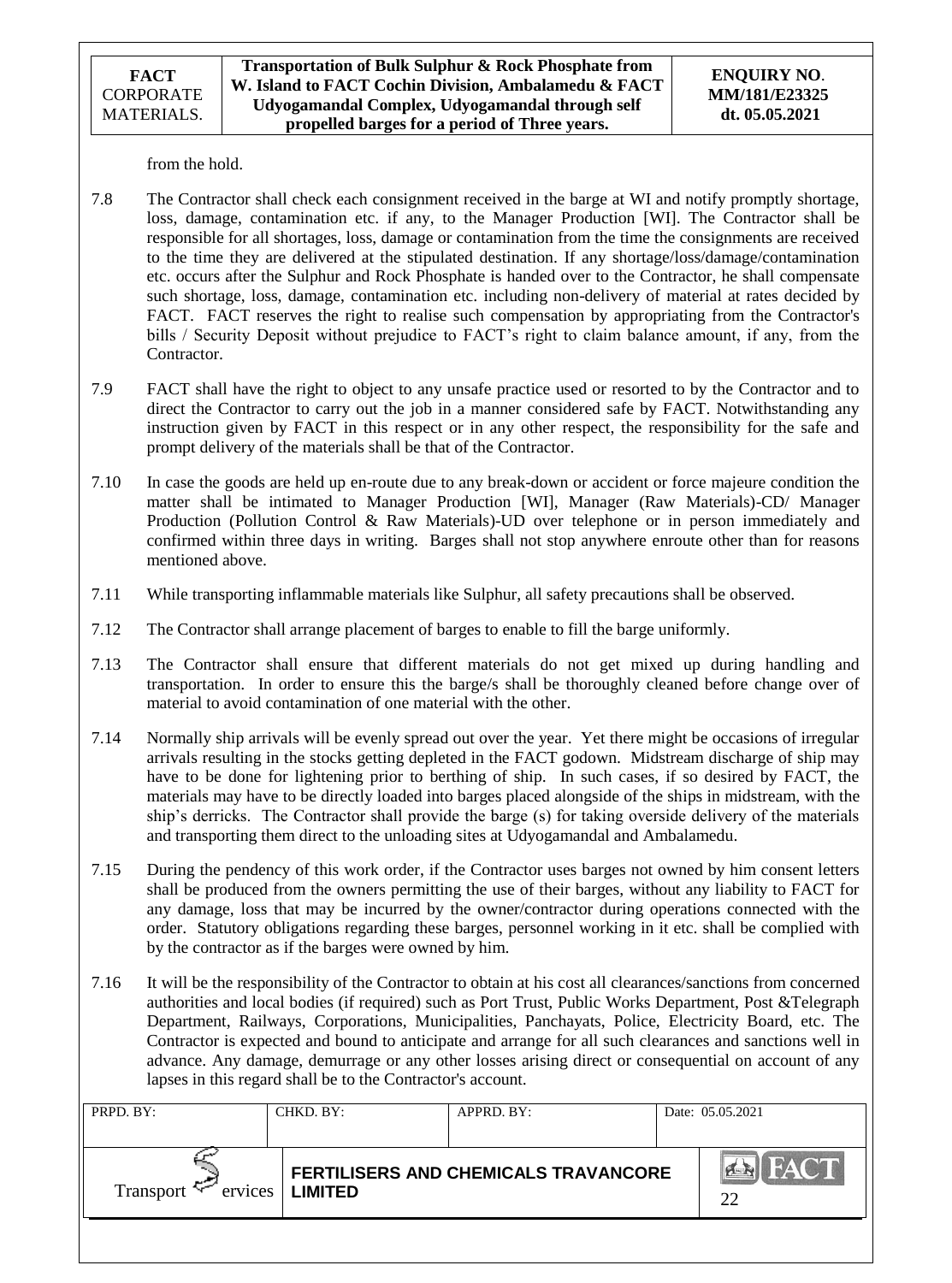from the hold.

- 7.8 The Contractor shall check each consignment received in the barge at WI and notify promptly shortage, loss, damage, contamination etc. if any, to the Manager Production [WI]. The Contractor shall be responsible for all shortages, loss, damage or contamination from the time the consignments are received to the time they are delivered at the stipulated destination. If any shortage/loss/damage/contamination etc. occurs after the Sulphur and Rock Phosphate is handed over to the Contractor, he shall compensate such shortage, loss, damage, contamination etc. including non-delivery of material at rates decided by FACT. FACT reserves the right to realise such compensation by appropriating from the Contractor's bills / Security Deposit without prejudice to FACT's right to claim balance amount, if any, from the Contractor.
- 7.9 FACT shall have the right to object to any unsafe practice used or resorted to by the Contractor and to direct the Contractor to carry out the job in a manner considered safe by FACT. Notwithstanding any instruction given by FACT in this respect or in any other respect, the responsibility for the safe and prompt delivery of the materials shall be that of the Contractor.
- 7.10 In case the goods are held up en-route due to any break-down or accident or force majeure condition the matter shall be intimated to Manager Production [WI], Manager (Raw Materials)-CD/ Manager Production (Pollution Control & Raw Materials)-UD over telephone or in person immediately and confirmed within three days in writing. Barges shall not stop anywhere enroute other than for reasons mentioned above.
- 7.11 While transporting inflammable materials like Sulphur, all safety precautions shall be observed.
- 7.12 The Contractor shall arrange placement of barges to enable to fill the barge uniformly.
- 7.13 The Contractor shall ensure that different materials do not get mixed up during handling and transportation. In order to ensure this the barge/s shall be thoroughly cleaned before change over of material to avoid contamination of one material with the other.
- 7.14 Normally ship arrivals will be evenly spread out over the year. Yet there might be occasions of irregular arrivals resulting in the stocks getting depleted in the FACT godown. Midstream discharge of ship may have to be done for lightening prior to berthing of ship. In such cases, if so desired by FACT, the materials may have to be directly loaded into barges placed alongside of the ships in midstream, with the ship"s derricks. The Contractor shall provide the barge (s) for taking overside delivery of the materials and transporting them direct to the unloading sites at Udyogamandal and Ambalamedu.
- 7.15 During the pendency of this work order, if the Contractor uses barges not owned by him consent letters shall be produced from the owners permitting the use of their barges, without any liability to FACT for any damage, loss that may be incurred by the owner/contractor during operations connected with the order. Statutory obligations regarding these barges, personnel working in it etc. shall be complied with by the contractor as if the barges were owned by him.
- 7.16 It will be the responsibility of the Contractor to obtain at his cost all clearances/sanctions from concerned authorities and local bodies (if required) such as Port Trust, Public Works Department, Post &Telegraph Department, Railways, Corporations, Municipalities, Panchayats, Police, Electricity Board, etc. The Contractor is expected and bound to anticipate and arrange for all such clearances and sanctions well in advance. Any damage, demurrage or any other losses arising direct or consequential on account of any lapses in this regard shall be to the Contractor's account.

| PRPD. BY:                         | CHKD. BY:      | APPRD. BY:                                  | Date: 05.05.2021                 |
|-----------------------------------|----------------|---------------------------------------------|----------------------------------|
| ervices<br>Transport <sup>+</sup> | <b>LIMITED</b> | <b>FERTILISERS AND CHEMICALS TRAVANCORE</b> | <b>FACT</b><br>$ 4 \times$<br>22 |
|                                   |                |                                             |                                  |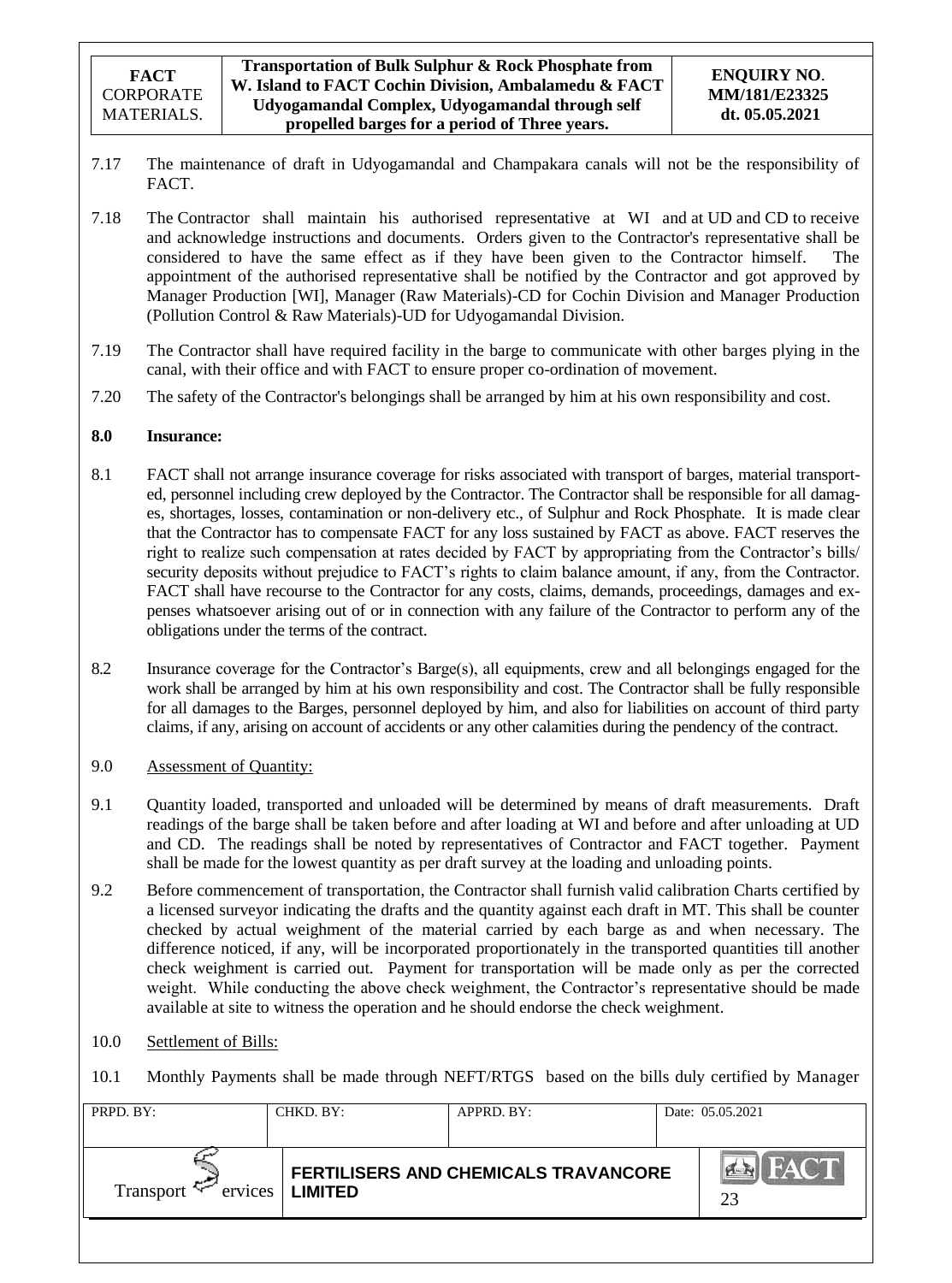- 7.17 The maintenance of draft in Udyogamandal and Champakara canals will not be the responsibility of FACT.
- 7.18 The Contractor shall maintain his authorised representative at WI and at UD and CD to receive and acknowledge instructions and documents. Orders given to the Contractor's representative shall be considered to have the same effect as if they have been given to the Contractor himself. The appointment of the authorised representative shall be notified by the Contractor and got approved by Manager Production [WI], Manager (Raw Materials)-CD for Cochin Division and Manager Production (Pollution Control & Raw Materials)-UD for Udyogamandal Division.
- 7.19 The Contractor shall have required facility in the barge to communicate with other barges plying in the canal, with their office and with FACT to ensure proper co-ordination of movement.
- 7.20 The safety of the Contractor's belongings shall be arranged by him at his own responsibility and cost.

## **8.0 Insurance:**

- 8.1 FACT shall not arrange insurance coverage for risks associated with transport of barges, material transported, personnel including crew deployed by the Contractor. The Contractor shall be responsible for all damages, shortages, losses, contamination or non-delivery etc., of Sulphur and Rock Phosphate. It is made clear that the Contractor has to compensate FACT for any loss sustained by FACT as above. FACT reserves the right to realize such compensation at rates decided by FACT by appropriating from the Contractor"s bills/ security deposits without prejudice to FACT"s rights to claim balance amount, if any, from the Contractor. FACT shall have recourse to the Contractor for any costs, claims, demands, proceedings, damages and expenses whatsoever arising out of or in connection with any failure of the Contractor to perform any of the obligations under the terms of the contract.
- 8.2 Insurance coverage for the Contractor"s Barge(s), all equipments, crew and all belongings engaged for the work shall be arranged by him at his own responsibility and cost. The Contractor shall be fully responsible for all damages to the Barges, personnel deployed by him, and also for liabilities on account of third party claims, if any, arising on account of accidents or any other calamities during the pendency of the contract.
- 9.0 Assessment of Quantity:
- 9.1 Quantity loaded, transported and unloaded will be determined by means of draft measurements. Draft readings of the barge shall be taken before and after loading at WI and before and after unloading at UD and CD. The readings shall be noted by representatives of Contractor and FACT together. Payment shall be made for the lowest quantity as per draft survey at the loading and unloading points.
- 9.2 Before commencement of transportation, the Contractor shall furnish valid calibration Charts certified by a licensed surveyor indicating the drafts and the quantity against each draft in MT. This shall be counter checked by actual weighment of the material carried by each barge as and when necessary. The difference noticed, if any, will be incorporated proportionately in the transported quantities till another check weighment is carried out. Payment for transportation will be made only as per the corrected weight. While conducting the above check weighment, the Contractor's representative should be made available at site to witness the operation and he should endorse the check weighment.
- 10.0 Settlement of Bills:
- 10.1 Monthly Payments shall be made through NEFT/RTGS based on the bills duly certified by Manager

| PRPD. BY:   | CHKD. BY:                  | APPRD. BY:                           | Date: 05.05.2021                    |
|-------------|----------------------------|--------------------------------------|-------------------------------------|
| Transport ' | $ervices$   <b>LIMITED</b> | FERTILISERS AND CHEMICALS TRAVANCORE | <b>FACT</b><br>$\sum_{i=1}^n$<br>23 |
|             |                            |                                      |                                     |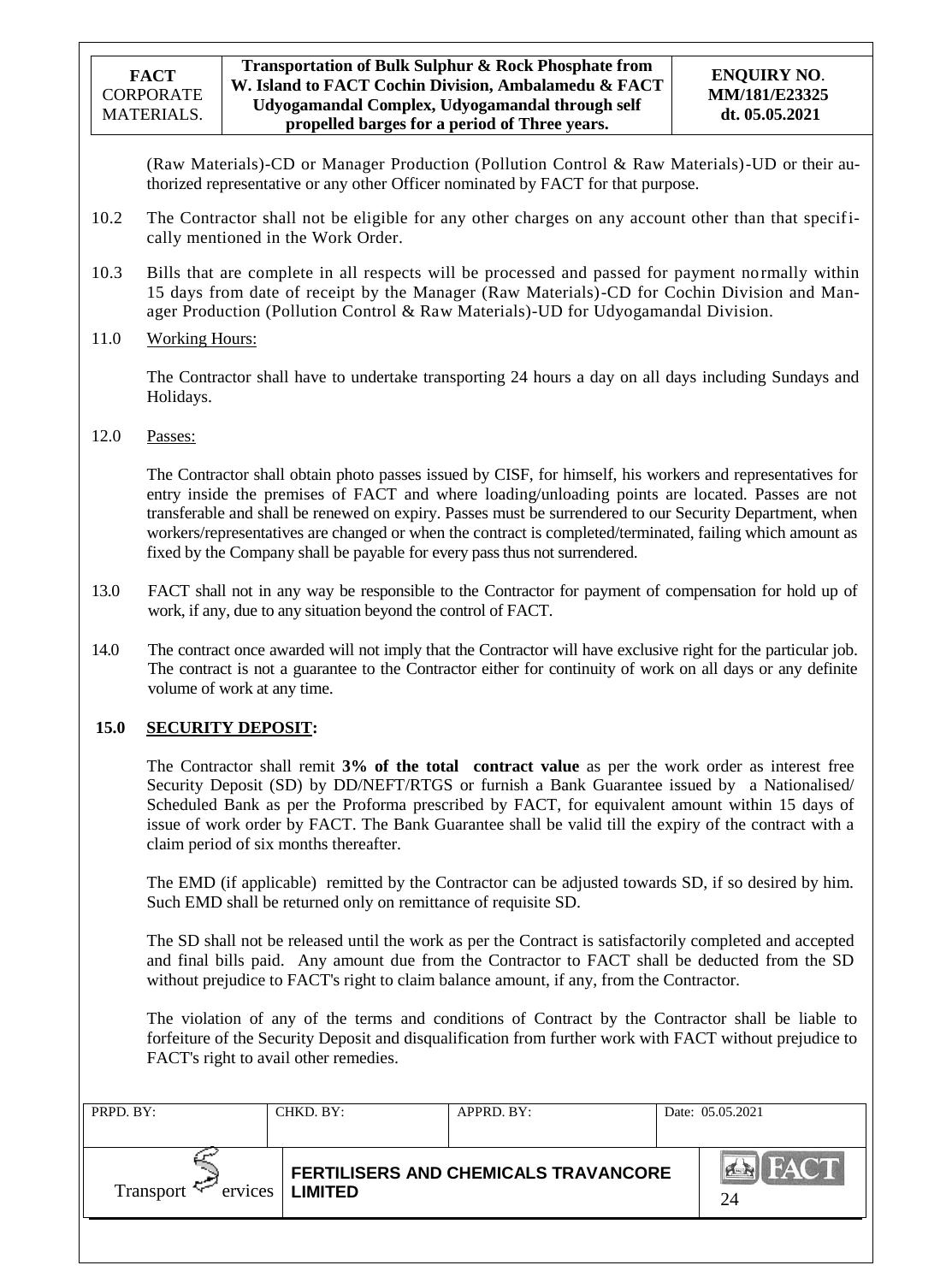(Raw Materials)-CD or Manager Production (Pollution Control & Raw Materials)-UD or their authorized representative or any other Officer nominated by FACT for that purpose.

- 10.2 The Contractor shall not be eligible for any other charges on any account other than that specifically mentioned in the Work Order.
- 10.3 Bills that are complete in all respects will be processed and passed for payment normally within 15 days from date of receipt by the Manager (Raw Materials)-CD for Cochin Division and Manager Production (Pollution Control & Raw Materials)-UD for Udyogamandal Division.
- 11.0 Working Hours:

The Contractor shall have to undertake transporting 24 hours a day on all days including Sundays and Holidays.

## 12.0 Passes:

The Contractor shall obtain photo passes issued by CISF, for himself, his workers and representatives for entry inside the premises of FACT and where loading/unloading points are located. Passes are not transferable and shall be renewed on expiry. Passes must be surrendered to our Security Department, when workers/representatives are changed or when the contract is completed/terminated, failing which amount as fixed by the Company shall be payable for every pass thus not surrendered.

- 13.0 FACT shall not in any way be responsible to the Contractor for payment of compensation for hold up of work, if any, due to any situation beyond the control of FACT.
- 14.0 The contract once awarded will not imply that the Contractor will have exclusive right for the particular job. The contract is not a guarantee to the Contractor either for continuity of work on all days or any definite volume of work at any time.

## **15.0 SECURITY DEPOSIT:**

The Contractor shall remit **3% of the total contract value** as per the work order as interest free Security Deposit (SD) by DD/NEFT/RTGS or furnish a Bank Guarantee issued by a Nationalised/ Scheduled Bank as per the Proforma prescribed by FACT, for equivalent amount within 15 days of issue of work order by FACT. The Bank Guarantee shall be valid till the expiry of the contract with a claim period of six months thereafter.

The EMD (if applicable) remitted by the Contractor can be adjusted towards SD, if so desired by him. Such EMD shall be returned only on remittance of requisite SD.

The SD shall not be released until the work as per the Contract is satisfactorily completed and accepted and final bills paid. Any amount due from the Contractor to FACT shall be deducted from the SD without prejudice to FACT's right to claim balance amount, if any, from the Contractor.

The violation of any of the terms and conditions of Contract by the Contractor shall be liable to forfeiture of the Security Deposit and disqualification from further work with FACT without prejudice to FACT's right to avail other remedies.

| PRPD. BY:                         | CHKD. BY:      | APPRD. BY:                                  | Date: 05.05.2021    |
|-----------------------------------|----------------|---------------------------------------------|---------------------|
| ervices<br>Transport <sup>4</sup> | <b>LIMITED</b> | <b>FERTILISERS AND CHEMICALS TRAVANCORE</b> | <b>I FACT</b><br>24 |
|                                   |                |                                             |                     |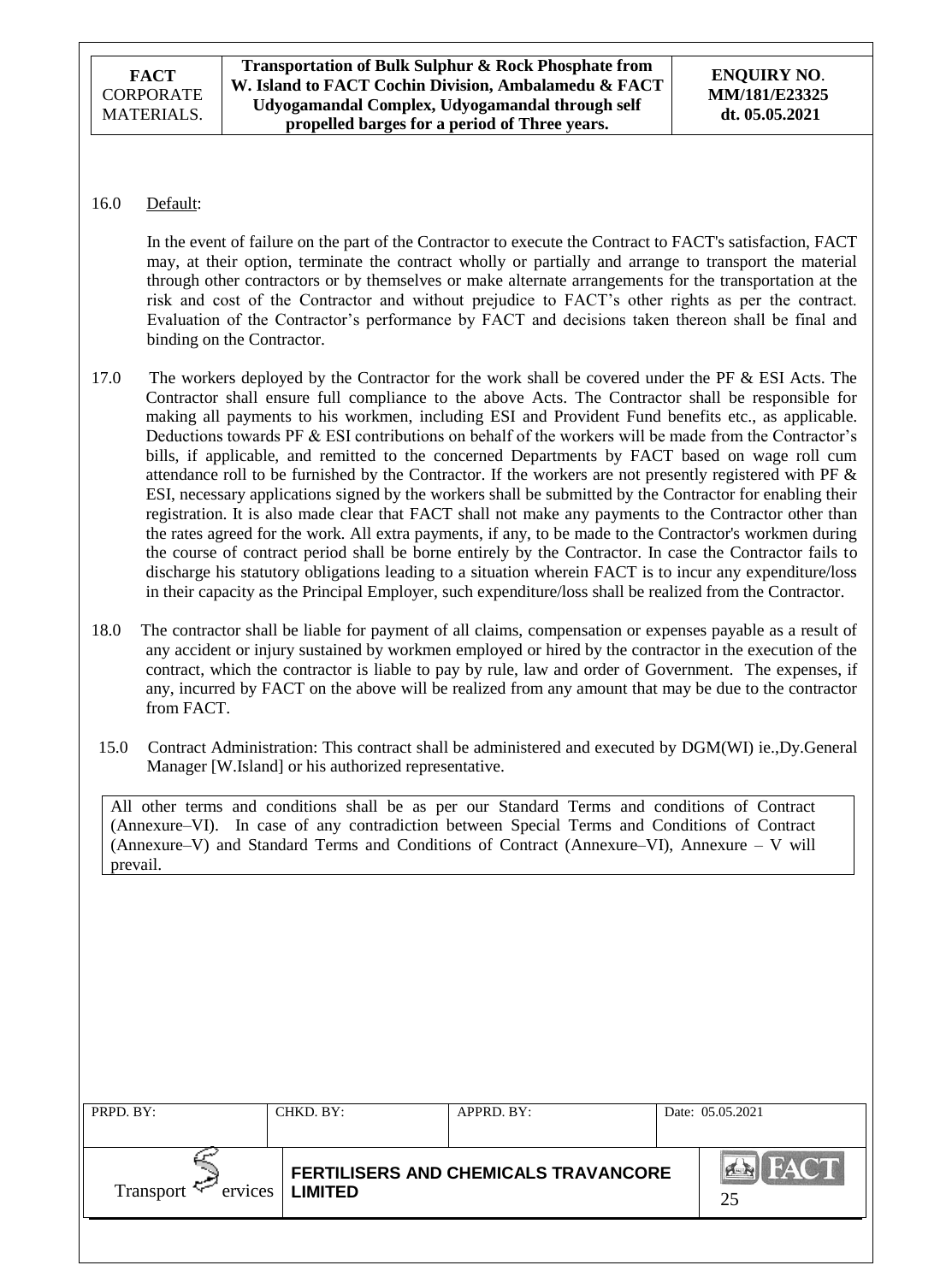## 16.0 Default:

In the event of failure on the part of the Contractor to execute the Contract to FACT's satisfaction, FACT may, at their option, terminate the contract wholly or partially and arrange to transport the material through other contractors or by themselves or make alternate arrangements for the transportation at the risk and cost of the Contractor and without prejudice to FACT"s other rights as per the contract. Evaluation of the Contractor"s performance by FACT and decisions taken thereon shall be final and binding on the Contractor.

- 17.0 The workers deployed by the Contractor for the work shall be covered under the PF & ESI Acts. The Contractor shall ensure full compliance to the above Acts. The Contractor shall be responsible for making all payments to his workmen, including ESI and Provident Fund benefits etc., as applicable. Deductions towards PF & ESI contributions on behalf of the workers will be made from the Contractor's bills, if applicable, and remitted to the concerned Departments by FACT based on wage roll cum attendance roll to be furnished by the Contractor. If the workers are not presently registered with PF & ESI, necessary applications signed by the workers shall be submitted by the Contractor for enabling their registration. It is also made clear that FACT shall not make any payments to the Contractor other than the rates agreed for the work. All extra payments, if any, to be made to the Contractor's workmen during the course of contract period shall be borne entirely by the Contractor. In case the Contractor fails to discharge his statutory obligations leading to a situation wherein FACT is to incur any expenditure/loss in their capacity as the Principal Employer, such expenditure/loss shall be realized from the Contractor.
- 18.0 The contractor shall be liable for payment of all claims, compensation or expenses payable as a result of any accident or injury sustained by workmen employed or hired by the contractor in the execution of the contract, which the contractor is liable to pay by rule, law and order of Government. The expenses, if any, incurred by FACT on the above will be realized from any amount that may be due to the contractor from FACT.
- 15.0 Contract Administration: This contract shall be administered and executed by DGM(WI) ie.,Dy.General Manager [W.Island] or his authorized representative.

All other terms and conditions shall be as per our Standard Terms and conditions of Contract (Annexure–VI). In case of any contradiction between Special Terms and Conditions of Contract (Annexure–V) and Standard Terms and Conditions of Contract (Annexure–VI), Annexure – V will prevail.

| PRPD. BY:                      | CHKD. BY:                                              | APPRD. BY: |                   | Date: 05.05.2021 |
|--------------------------------|--------------------------------------------------------|------------|-------------------|------------------|
|                                |                                                        |            |                   |                  |
| Transport $\approx$<br>ervices | FERTILISERS AND CHEMICALS TRAVANCORE<br><b>LIMITED</b> |            | <b>FACT</b><br>25 |                  |
|                                |                                                        |            |                   |                  |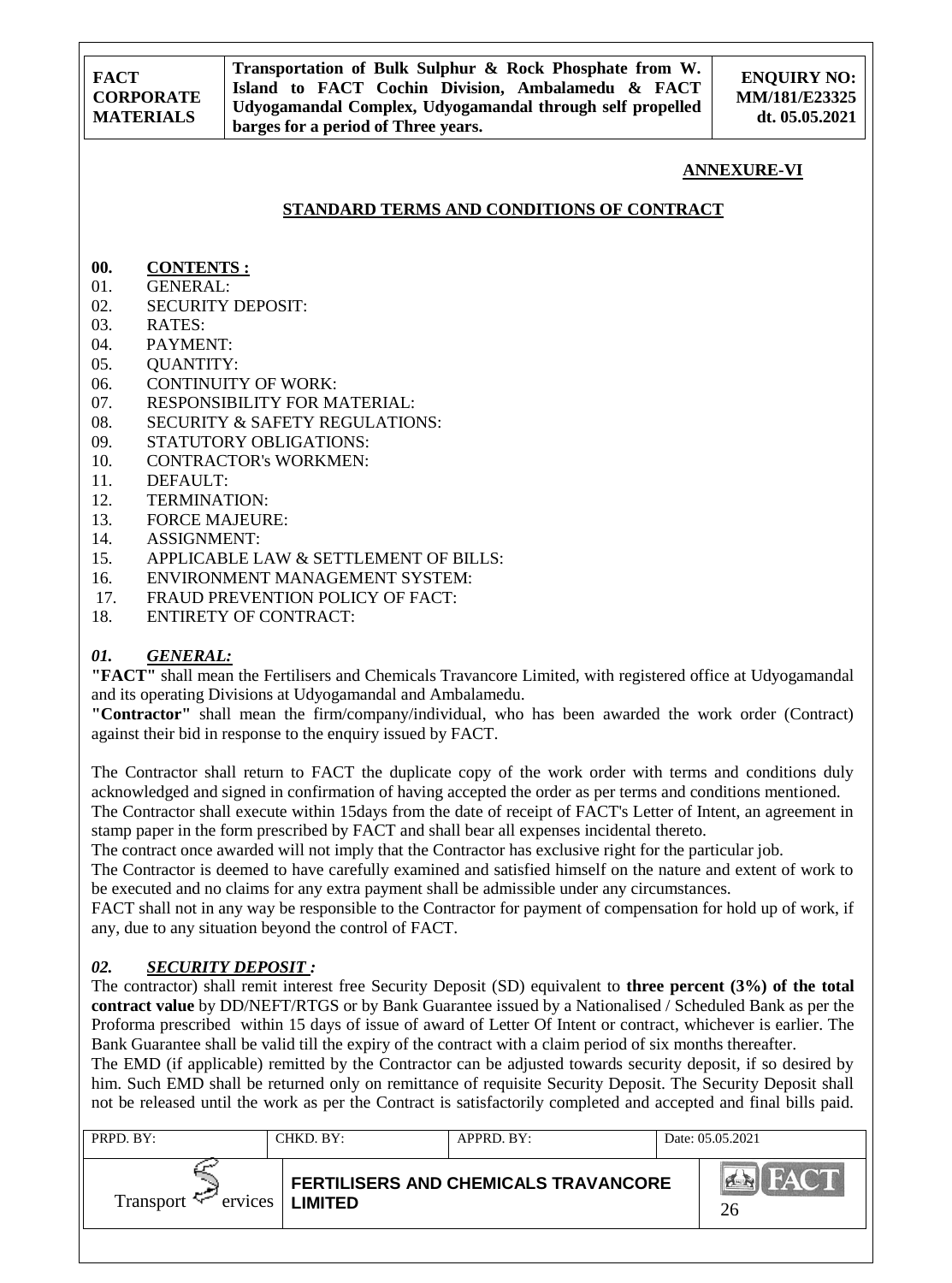**ENQUIRY NO: MM/181/E23325 dt. 05.05.2021**

### **ANNEXURE-VI**

## **STANDARD TERMS AND CONDITIONS OF CONTRACT**

- **00. CONTENTS :**
- 01. GENERAL:
- 02. SECURITY DEPOSIT:
- 03. RATES:
- 04. PAYMENT:
- 05. QUANTITY:
- 06. CONTINUITY OF WORK:
- 07. RESPONSIBILITY FOR MATERIAL:
- 08. SECURITY & SAFETY REGULATIONS:
- 09. STATUTORY OBLIGATIONS:
- 10. CONTRACTOR's WORKMEN:
- 11. DEFAULT:
- 12. TERMINATION:
- 13. FORCE MAJEURE:
- 14. ASSIGNMENT:
- 15. APPLICABLE LAW & SETTLEMENT OF BILLS:
- 16. ENVIRONMENT MANAGEMENT SYSTEM:
- 17. FRAUD PREVENTION POLICY OF FACT:
- 18. ENTIRETY OF CONTRACT:

## *01. GENERAL:*

**"FACT"** shall mean the Fertilisers and Chemicals Travancore Limited, with registered office at Udyogamandal and its operating Divisions at Udyogamandal and Ambalamedu.

**"Contractor"** shall mean the firm/company/individual, who has been awarded the work order (Contract) against their bid in response to the enquiry issued by FACT.

The Contractor shall return to FACT the duplicate copy of the work order with terms and conditions duly acknowledged and signed in confirmation of having accepted the order as per terms and conditions mentioned.

The Contractor shall execute within 15days from the date of receipt of FACT's Letter of Intent, an agreement in stamp paper in the form prescribed by FACT and shall bear all expenses incidental thereto.

The contract once awarded will not imply that the Contractor has exclusive right for the particular job.

The Contractor is deemed to have carefully examined and satisfied himself on the nature and extent of work to be executed and no claims for any extra payment shall be admissible under any circumstances.

FACT shall not in any way be responsible to the Contractor for payment of compensation for hold up of work, if any, due to any situation beyond the control of FACT.

## *02. SECURITY DEPOSIT :*

The contractor) shall remit interest free Security Deposit (SD) equivalent to **three percent (3%) of the total contract value** by DD/NEFT/RTGS or by Bank Guarantee issued by a Nationalised / Scheduled Bank as per the Proforma prescribed within 15 days of issue of award of Letter Of Intent or contract, whichever is earlier. The Bank Guarantee shall be valid till the expiry of the contract with a claim period of six months thereafter.

The EMD (if applicable) remitted by the Contractor can be adjusted towards security deposit, if so desired by him. Such EMD shall be returned only on remittance of requisite Security Deposit. The Security Deposit shall not be released until the work as per the Contract is satisfactorily completed and accepted and final bills paid.

| PRPD. BY:                               | CHKD. BY: | APPRD. BY:                           | Date: 05.05.2021 |
|-----------------------------------------|-----------|--------------------------------------|------------------|
| $Transport \leq \text{ervices}$ LIMITED |           | FERTILISERS AND CHEMICALS TRAVANCORE | FACT<br>H<br>26  |
|                                         |           |                                      |                  |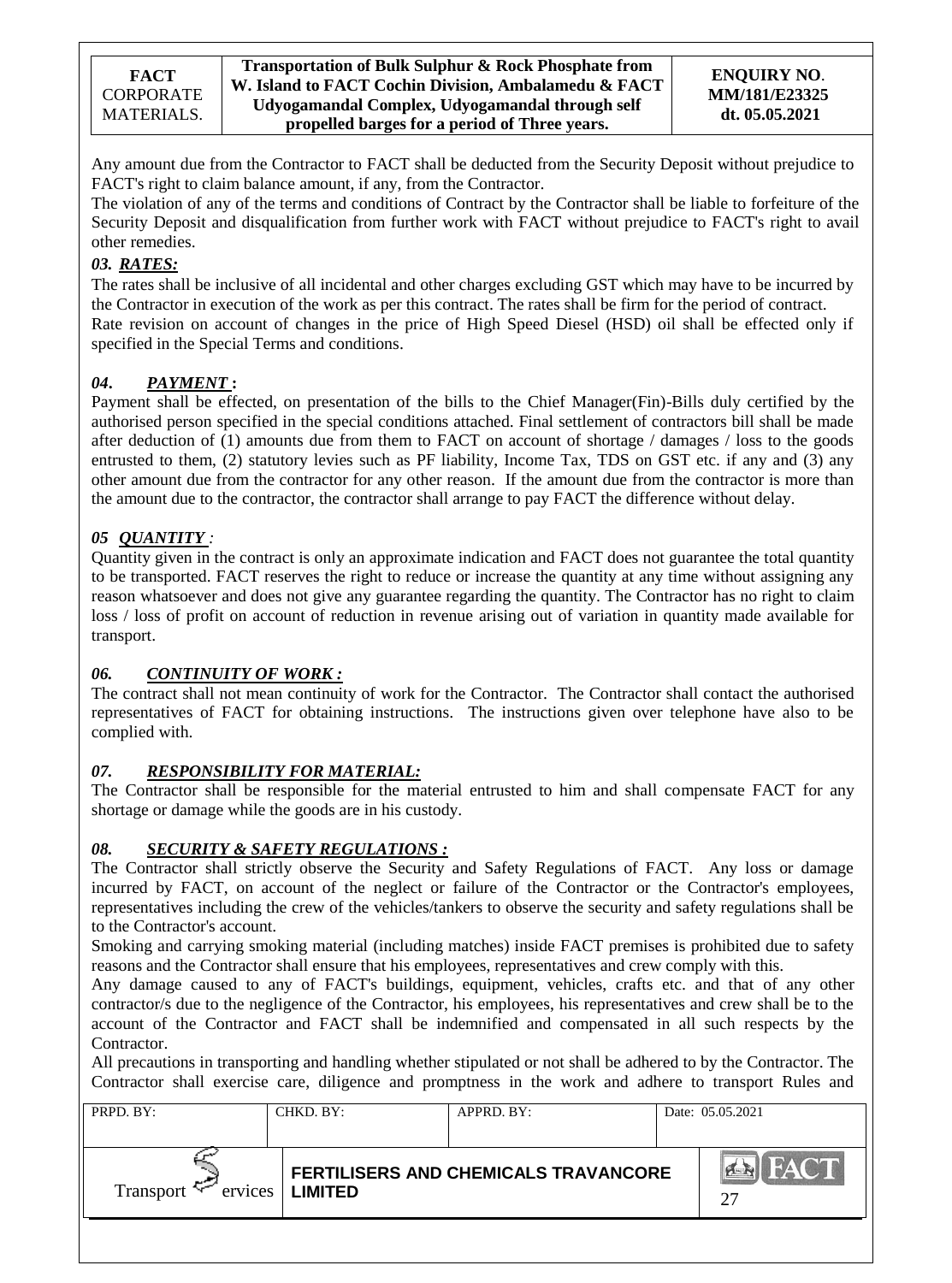Any amount due from the Contractor to FACT shall be deducted from the Security Deposit without prejudice to FACT's right to claim balance amount, if any, from the Contractor.

The violation of any of the terms and conditions of Contract by the Contractor shall be liable to forfeiture of the Security Deposit and disqualification from further work with FACT without prejudice to FACT's right to avail other remedies.

## *03. RATES:*

The rates shall be inclusive of all incidental and other charges excluding GST which may have to be incurred by the Contractor in execution of the work as per this contract. The rates shall be firm for the period of contract. Rate revision on account of changes in the price of High Speed Diesel (HSD) oil shall be effected only if specified in the Special Terms and conditions.

## *04***.** *PAYMENT* **:**

Payment shall be effected, on presentation of the bills to the Chief Manager(Fin)-Bills duly certified by the authorised person specified in the special conditions attached. Final settlement of contractors bill shall be made after deduction of (1) amounts due from them to FACT on account of shortage / damages / loss to the goods entrusted to them, (2) statutory levies such as PF liability, Income Tax, TDS on GST etc. if any and (3) any other amount due from the contractor for any other reason. If the amount due from the contractor is more than the amount due to the contractor, the contractor shall arrange to pay FACT the difference without delay.

## *05 QUANTITY :*

Quantity given in the contract is only an approximate indication and FACT does not guarantee the total quantity to be transported. FACT reserves the right to reduce or increase the quantity at any time without assigning any reason whatsoever and does not give any guarantee regarding the quantity. The Contractor has no right to claim loss / loss of profit on account of reduction in revenue arising out of variation in quantity made available for transport.

## *06. CONTINUITY OF WORK :*

The contract shall not mean continuity of work for the Contractor. The Contractor shall contact the authorised representatives of FACT for obtaining instructions. The instructions given over telephone have also to be complied with.

## *07. RESPONSIBILITY FOR MATERIAL:*

The Contractor shall be responsible for the material entrusted to him and shall compensate FACT for any shortage or damage while the goods are in his custody.

## *08. SECURITY & SAFETY REGULATIONS :*

The Contractor shall strictly observe the Security and Safety Regulations of FACT. Any loss or damage incurred by FACT, on account of the neglect or failure of the Contractor or the Contractor's employees, representatives including the crew of the vehicles/tankers to observe the security and safety regulations shall be to the Contractor's account.

Smoking and carrying smoking material (including matches) inside FACT premises is prohibited due to safety reasons and the Contractor shall ensure that his employees, representatives and crew comply with this.

Any damage caused to any of FACT's buildings, equipment, vehicles, crafts etc. and that of any other contractor/s due to the negligence of the Contractor, his employees, his representatives and crew shall be to the account of the Contractor and FACT shall be indemnified and compensated in all such respects by the Contractor.

All precautions in transporting and handling whether stipulated or not shall be adhered to by the Contractor. The Contractor shall exercise care, diligence and promptness in the work and adhere to transport Rules and

| PRPD. BY:        | CHKD, BY:         | APPRD. BY:                           | Date: 05.05.2021  |
|------------------|-------------------|--------------------------------------|-------------------|
| Transport $\sim$ | ervices   LIMITED | FERTILISERS AND CHEMICALS TRAVANCORE | <b>FACT</b><br>27 |
|                  |                   |                                      |                   |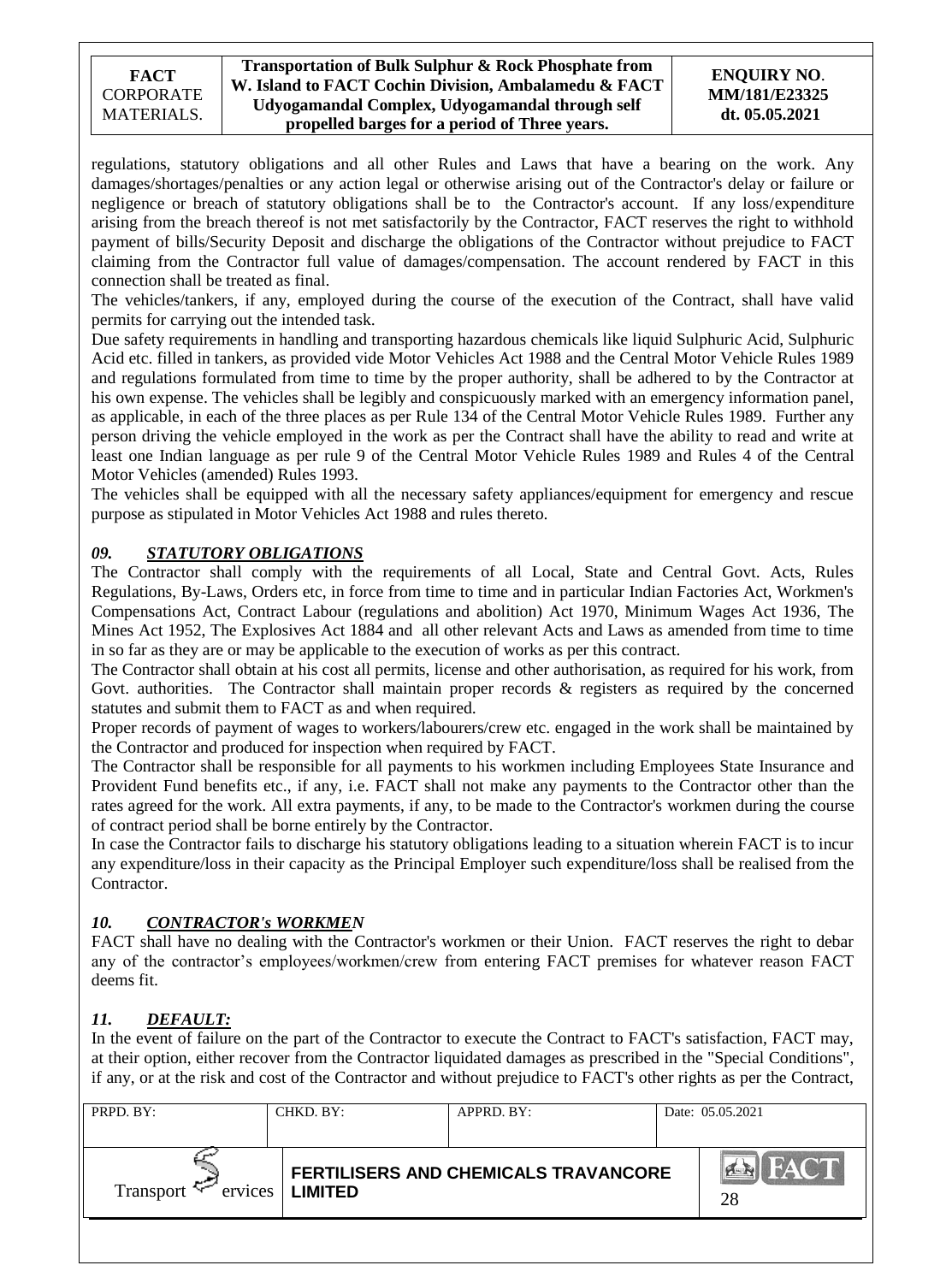### **Transportation of Bulk Sulphur & Rock Phosphate from W. Island to FACT Cochin Division, Ambalamedu & FACT Udyogamandal Complex, Udyogamandal through self propelled barges for a period of Three years.**

### **ENQUIRY NO**. **MM/181/E23325 dt. 05.05.2021**

regulations, statutory obligations and all other Rules and Laws that have a bearing on the work. Any damages/shortages/penalties or any action legal or otherwise arising out of the Contractor's delay or failure or negligence or breach of statutory obligations shall be to the Contractor's account. If any loss/expenditure arising from the breach thereof is not met satisfactorily by the Contractor, FACT reserves the right to withhold payment of bills/Security Deposit and discharge the obligations of the Contractor without prejudice to FACT claiming from the Contractor full value of damages/compensation. The account rendered by FACT in this connection shall be treated as final.

The vehicles/tankers, if any, employed during the course of the execution of the Contract, shall have valid permits for carrying out the intended task.

Due safety requirements in handling and transporting hazardous chemicals like liquid Sulphuric Acid, Sulphuric Acid etc. filled in tankers, as provided vide Motor Vehicles Act 1988 and the Central Motor Vehicle Rules 1989 and regulations formulated from time to time by the proper authority, shall be adhered to by the Contractor at his own expense. The vehicles shall be legibly and conspicuously marked with an emergency information panel, as applicable, in each of the three places as per Rule 134 of the Central Motor Vehicle Rules 1989. Further any person driving the vehicle employed in the work as per the Contract shall have the ability to read and write at least one Indian language as per rule 9 of the Central Motor Vehicle Rules 1989 and Rules 4 of the Central Motor Vehicles (amended) Rules 1993.

The vehicles shall be equipped with all the necessary safety appliances/equipment for emergency and rescue purpose as stipulated in Motor Vehicles Act 1988 and rules thereto.

## *09. STATUTORY OBLIGATIONS*

The Contractor shall comply with the requirements of all Local, State and Central Govt. Acts, Rules Regulations, By-Laws, Orders etc, in force from time to time and in particular Indian Factories Act, Workmen's Compensations Act, Contract Labour (regulations and abolition) Act 1970, Minimum Wages Act 1936, The Mines Act 1952, The Explosives Act 1884 and all other relevant Acts and Laws as amended from time to time in so far as they are or may be applicable to the execution of works as per this contract.

The Contractor shall obtain at his cost all permits, license and other authorisation, as required for his work, from Govt. authorities. The Contractor shall maintain proper records & registers as required by the concerned statutes and submit them to FACT as and when required.

Proper records of payment of wages to workers/labourers/crew etc. engaged in the work shall be maintained by the Contractor and produced for inspection when required by FACT.

The Contractor shall be responsible for all payments to his workmen including Employees State Insurance and Provident Fund benefits etc., if any, i.e. FACT shall not make any payments to the Contractor other than the rates agreed for the work. All extra payments, if any, to be made to the Contractor's workmen during the course of contract period shall be borne entirely by the Contractor.

In case the Contractor fails to discharge his statutory obligations leading to a situation wherein FACT is to incur any expenditure/loss in their capacity as the Principal Employer such expenditure/loss shall be realised from the Contractor.

## *10. CONTRACTOR's WORKMEN*

FACT shall have no dealing with the Contractor's workmen or their Union. FACT reserves the right to debar any of the contractor's employees/workmen/crew from entering FACT premises for whatever reason FACT deems fit.

## *11. DEFAULT:*

In the event of failure on the part of the Contractor to execute the Contract to FACT's satisfaction, FACT may, at their option, either recover from the Contractor liquidated damages as prescribed in the "Special Conditions", if any, or at the risk and cost of the Contractor and without prejudice to FACT's other rights as per the Contract,

| PRPD. BY:              | CHKD. BY:      | APPRD. BY:                           | Date: 05.05.2021  |
|------------------------|----------------|--------------------------------------|-------------------|
| ervices  <br>Transport | <b>LIMITED</b> | FERTILISERS AND CHEMICALS TRAVANCORE | <b>FACT</b><br>28 |
|                        |                |                                      |                   |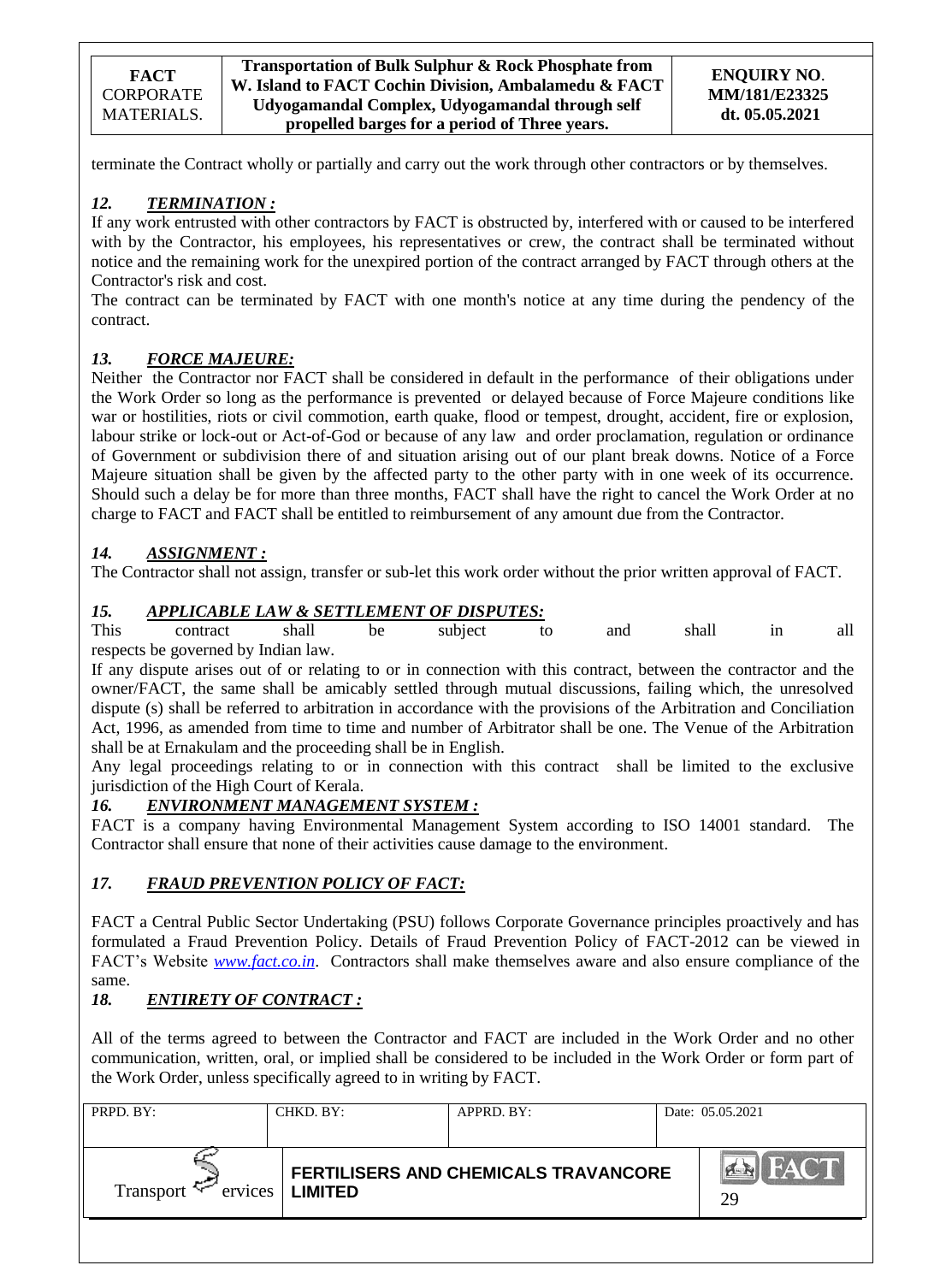terminate the Contract wholly or partially and carry out the work through other contractors or by themselves.

## *12. TERMINATION :*

If any work entrusted with other contractors by FACT is obstructed by, interfered with or caused to be interfered with by the Contractor, his employees, his representatives or crew, the contract shall be terminated without notice and the remaining work for the unexpired portion of the contract arranged by FACT through others at the Contractor's risk and cost.

The contract can be terminated by FACT with one month's notice at any time during the pendency of the contract.

## *13. FORCE MAJEURE:*

Neither the Contractor nor FACT shall be considered in default in the performance of their obligations under the Work Order so long as the performance is prevented or delayed because of Force Majeure conditions like war or hostilities, riots or civil commotion, earth quake, flood or tempest, drought, accident, fire or explosion, labour strike or lock-out or Act-of-God or because of any law and order proclamation, regulation or ordinance of Government or subdivision there of and situation arising out of our plant break downs. Notice of a Force Majeure situation shall be given by the affected party to the other party with in one week of its occurrence. Should such a delay be for more than three months, FACT shall have the right to cancel the Work Order at no charge to FACT and FACT shall be entitled to reimbursement of any amount due from the Contractor.

# *14. ASSIGNMENT :*

The Contractor shall not assign, transfer or sub-let this work order without the prior written approval of FACT.

## *15. APPLICABLE LAW & SETTLEMENT OF DISPUTES:*

This contract shall be subject to and shall in all respects be governed by Indian law.

If any dispute arises out of or relating to or in connection with this contract, between the contractor and the owner/FACT, the same shall be amicably settled through mutual discussions, failing which, the unresolved dispute (s) shall be referred to arbitration in accordance with the provisions of the Arbitration and Conciliation Act, 1996, as amended from time to time and number of Arbitrator shall be one. The Venue of the Arbitration shall be at Ernakulam and the proceeding shall be in English.

Any legal proceedings relating to or in connection with this contract shall be limited to the exclusive jurisdiction of the High Court of Kerala.

## *16. ENVIRONMENT MANAGEMENT SYSTEM :*

FACT is a company having Environmental Management System according to ISO 14001 standard. The Contractor shall ensure that none of their activities cause damage to the environment.

## *17. FRAUD PREVENTION POLICY OF FACT:*

FACT a Central Public Sector Undertaking (PSU) follows Corporate Governance principles proactively and has formulated a Fraud Prevention Policy. Details of Fraud Prevention Policy of FACT-2012 can be viewed in FACT"s Website *[www.fact.co.in](http://www.fact.co.in/)*. Contractors shall make themselves aware and also ensure compliance of the same.

# *18. ENTIRETY OF CONTRACT :*

All of the terms agreed to between the Contractor and FACT are included in the Work Order and no other communication, written, oral, or implied shall be considered to be included in the Work Order or form part of the Work Order, unless specifically agreed to in writing by FACT.

| PRPD. BY:              | CHKD. BY:         | APPRD. BY:                           | Date: 05.05.2021  |
|------------------------|-------------------|--------------------------------------|-------------------|
| Transport $\leftarrow$ | ervices   LIMITED | FERTILISERS AND CHEMICALS TRAVANCORE | <b>FACT</b><br>29 |
|                        |                   |                                      |                   |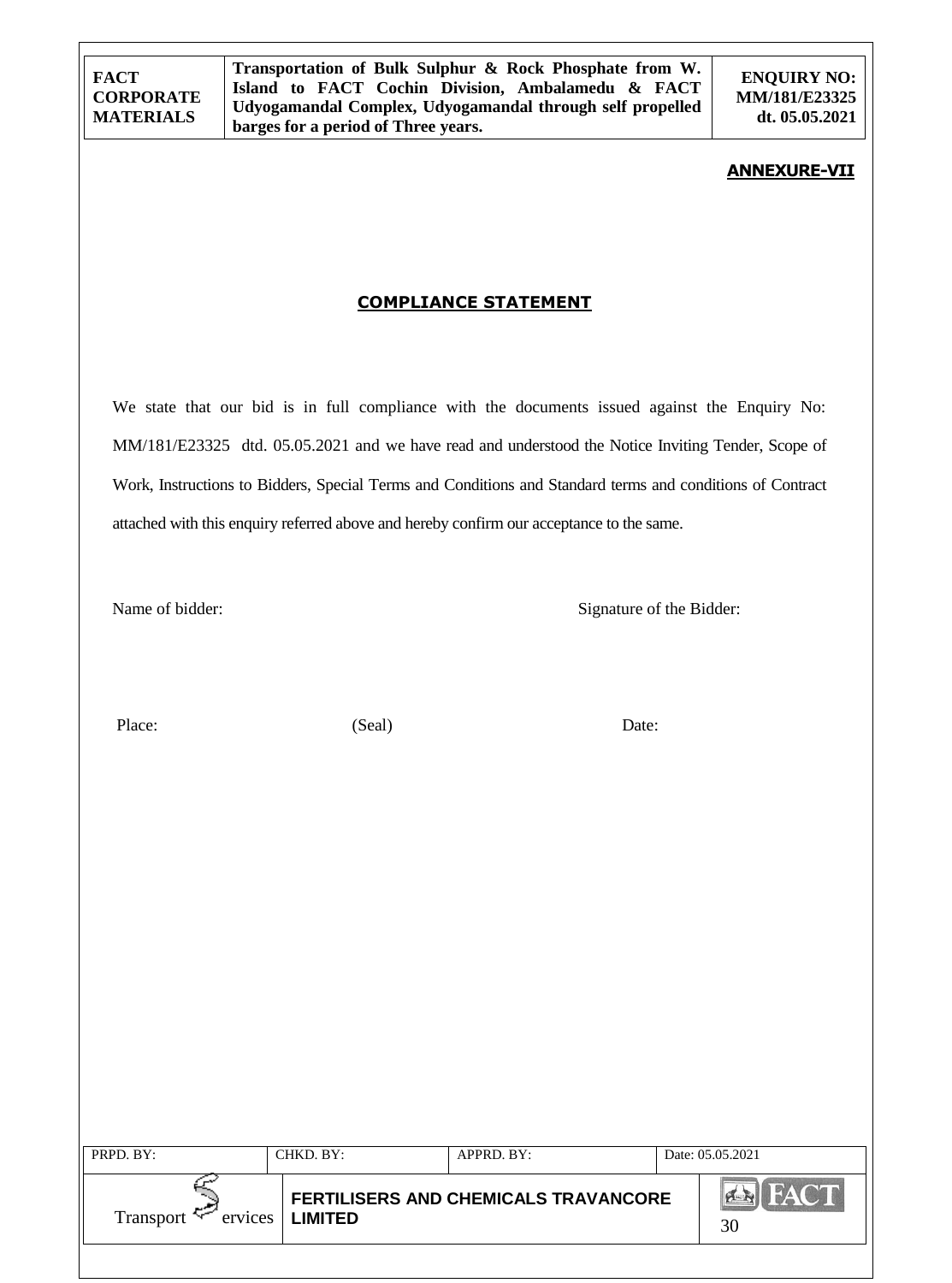**ENQUIRY NO: MM/181/E23325 dt. 05.05.2021**

### **ANNEXURE-VII**

## **COMPLIANCE STATEMENT**

We state that our bid is in full compliance with the documents issued against the Enquiry No: MM/181/E23325 dtd. 05.05.2021 and we have read and understood the Notice Inviting Tender, Scope of Work, Instructions to Bidders, Special Terms and Conditions and Standard terms and conditions of Contract attached with this enquiry referred above and hereby confirm our acceptance to the same.

Name of bidder: Signature of the Bidder:

Place: Date: (Seal) Date:

| <b>FERTILISERS AND CHEMICALS TRAVANCORE</b>         |  |
|-----------------------------------------------------|--|
| <b>Transport</b><br><b>LIMITED</b><br>ervices<br>30 |  |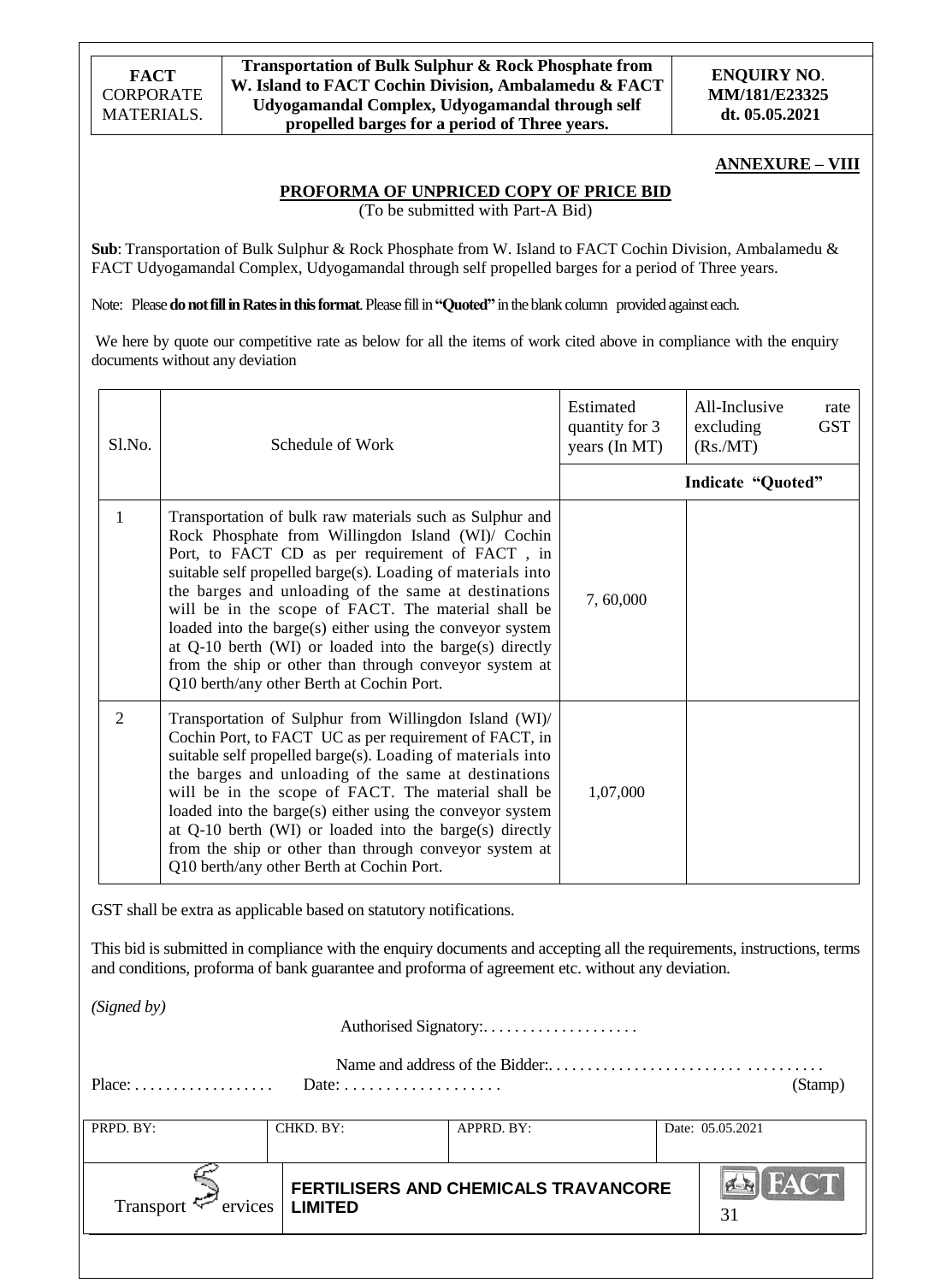### **ANNEXURE – VIII**

### **PROFORMA OF UNPRICED COPY OF PRICE BID**

(To be submitted with Part-A Bid)

**Sub**: Transportation of Bulk Sulphur & Rock Phosphate from W. Island to FACT Cochin Division, Ambalamedu & FACT Udyogamandal Complex, Udyogamandal through self propelled barges for a period of Three years.

Note: Please **do not fill in Rates in this format**. Please fill in**"Quoted"** in the blank column provided against each.

We here by quote our competitive rate as below for all the items of work cited above in compliance with the enquiry documents without any deviation

| Sl.No.         | Schedule of Work                                                                                                                                                                                                                                                                                                                                                                                                                                                                                                                                                                 | Estimated<br>quantity for 3<br>years (In MT) | All-Inclusive<br>rate<br><b>GST</b><br>excluding<br>(Rs/MT) |
|----------------|----------------------------------------------------------------------------------------------------------------------------------------------------------------------------------------------------------------------------------------------------------------------------------------------------------------------------------------------------------------------------------------------------------------------------------------------------------------------------------------------------------------------------------------------------------------------------------|----------------------------------------------|-------------------------------------------------------------|
|                |                                                                                                                                                                                                                                                                                                                                                                                                                                                                                                                                                                                  |                                              | Indicate "Quoted"                                           |
| 1              | Transportation of bulk raw materials such as Sulphur and<br>Rock Phosphate from Willingdon Island (WI)/ Cochin<br>Port, to FACT CD as per requirement of FACT, in<br>suitable self propelled barge(s). Loading of materials into<br>the barges and unloading of the same at destinations<br>will be in the scope of FACT. The material shall be<br>loaded into the barge(s) either using the conveyor system<br>at $Q-10$ berth (WI) or loaded into the barge(s) directly<br>from the ship or other than through conveyor system at<br>Q10 berth/any other Berth at Cochin Port. | 7,60,000                                     |                                                             |
| $\overline{2}$ | Transportation of Sulphur from Willingdon Island (WI)/<br>Cochin Port, to FACT UC as per requirement of FACT, in<br>suitable self propelled barge(s). Loading of materials into<br>the barges and unloading of the same at destinations<br>will be in the scope of FACT. The material shall be<br>loaded into the barge(s) either using the conveyor system<br>at Q-10 berth (WI) or loaded into the barge(s) directly<br>from the ship or other than through conveyor system at<br>Q10 berth/any other Berth at Cochin Port.                                                    | 1,07,000                                     |                                                             |

GST shall be extra as applicable based on statutory notifications.

This bid is submitted in compliance with the enquiry documents and accepting all the requirements, instructions, terms and conditions, proforma of bank guarantee and proforma of agreement etc. without any deviation.

*(Signed by)*

Authorised Signatory:....................

| $Place: \ldots \ldots \ldots \ldots \ldots$<br>Date: $\ldots \ldots \ldots \ldots \ldots \ldots$ |           |                                                    |  |  |  |
|--------------------------------------------------------------------------------------------------|-----------|----------------------------------------------------|--|--|--|
|                                                                                                  |           |                                                    |  |  |  |
|                                                                                                  |           | Date: 05.05.2021                                   |  |  |  |
|                                                                                                  |           |                                                    |  |  |  |
| ervices<br><b>LIMITED</b>                                                                        |           | <b>IFACT</b><br>31                                 |  |  |  |
|                                                                                                  |           |                                                    |  |  |  |
|                                                                                                  | CHKD. BY: | APPRD. BY:<br>FERTILISERS AND CHEMICALS TRAVANCORE |  |  |  |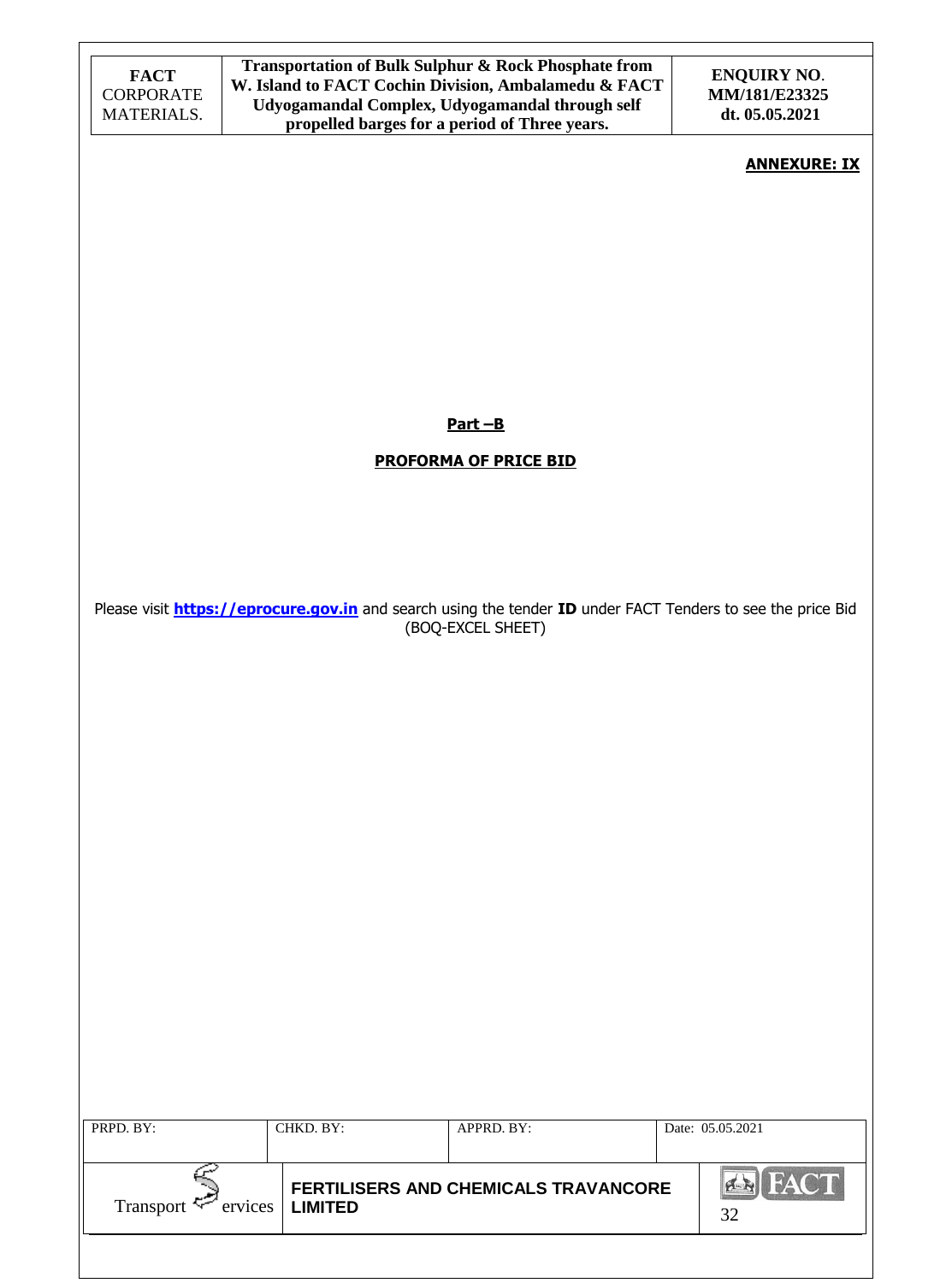| <b>FACT</b><br><b>CORPORATE</b><br>MATERIALS. | Transportation of Bulk Sulphur & Rock Phosphate from<br>W. Island to FACT Cochin Division, Ambalamedu & FACT<br>Udyogamandal Complex, Udyogamandal through self<br>propelled barges for a period of Three years. |                                      | <b>ENQUIRY NO.</b><br>MM/181/E23325<br>dt. 05.05.2021 |
|-----------------------------------------------|------------------------------------------------------------------------------------------------------------------------------------------------------------------------------------------------------------------|--------------------------------------|-------------------------------------------------------|
|                                               |                                                                                                                                                                                                                  |                                      | <b>ANNEXURE: IX</b>                                   |
|                                               |                                                                                                                                                                                                                  |                                      |                                                       |
|                                               |                                                                                                                                                                                                                  |                                      |                                                       |
|                                               |                                                                                                                                                                                                                  |                                      |                                                       |
|                                               |                                                                                                                                                                                                                  | $Part - B$                           |                                                       |
|                                               |                                                                                                                                                                                                                  | <b>PROFORMA OF PRICE BID</b>         |                                                       |
|                                               |                                                                                                                                                                                                                  |                                      |                                                       |
|                                               | Please visit <b>https://eprocure.gov.in</b> and search using the tender ID under FACT Tenders to see the price Bid                                                                                               |                                      |                                                       |
|                                               |                                                                                                                                                                                                                  | (BOQ-EXCEL SHEET)                    |                                                       |
|                                               |                                                                                                                                                                                                                  |                                      |                                                       |
|                                               |                                                                                                                                                                                                                  |                                      |                                                       |
|                                               |                                                                                                                                                                                                                  |                                      |                                                       |
|                                               |                                                                                                                                                                                                                  |                                      |                                                       |
|                                               |                                                                                                                                                                                                                  |                                      |                                                       |
|                                               |                                                                                                                                                                                                                  |                                      |                                                       |
|                                               |                                                                                                                                                                                                                  |                                      |                                                       |
| PRPD. BY:                                     | CHKD. BY:                                                                                                                                                                                                        | APPRD. BY:                           | Date: 05.05.2021                                      |
| Transport Forvices                            | <b>LIMITED</b>                                                                                                                                                                                                   | FERTILISERS AND CHEMICALS TRAVANCORE | <b>EN FACT</b><br>32                                  |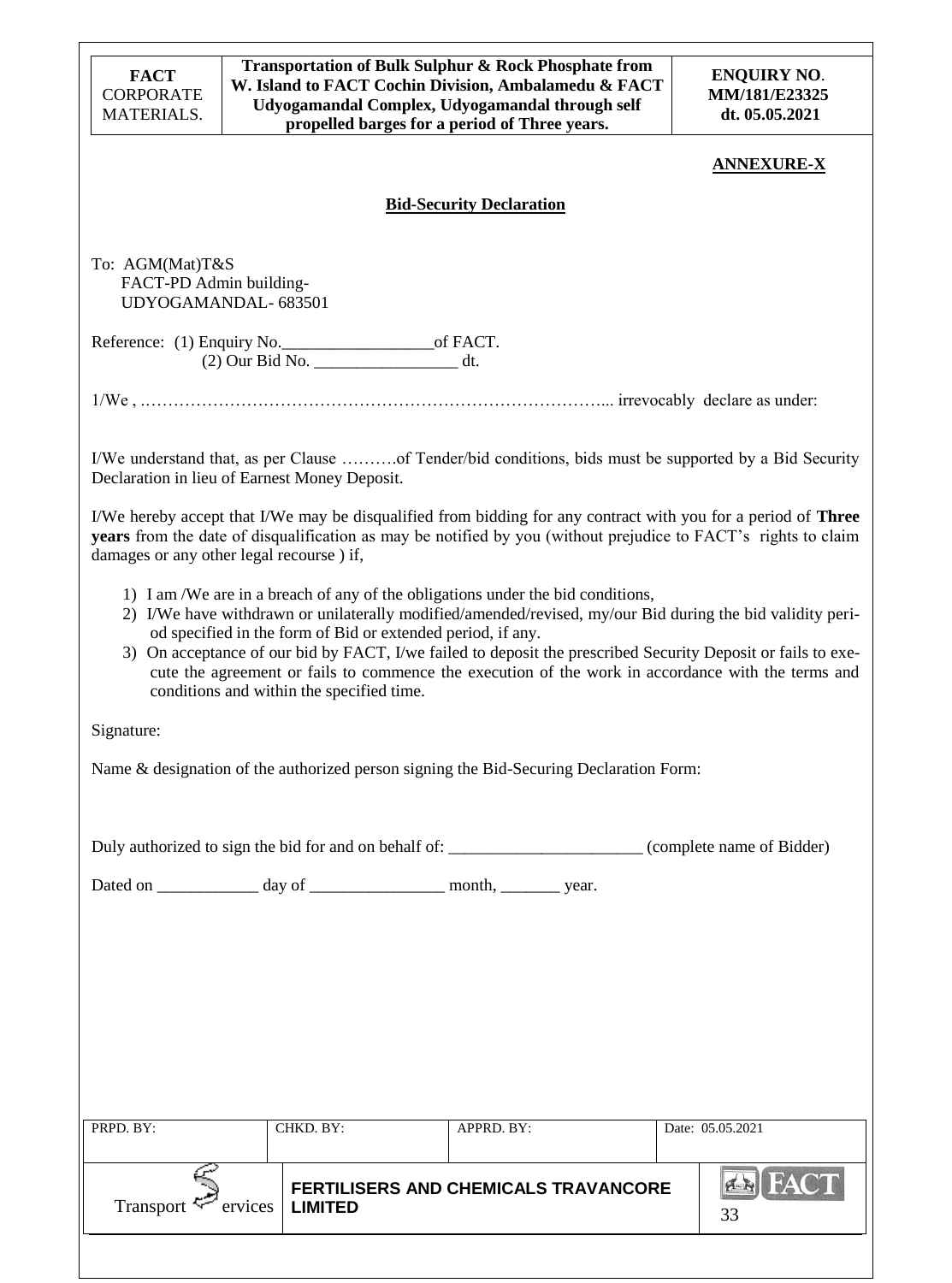| <b>FACT</b><br><b>CORPORATE</b><br><b>MATERIALS.</b>                                      |                                                | Transportation of Bulk Sulphur & Rock Phosphate from<br>W. Island to FACT Cochin Division, Ambalamedu & FACT<br>Udyogamandal Complex, Udyogamandal through self<br>propelled barges for a period of Three years.                                                                                                                                                                                                                                                                  | <b>ENQUIRY NO.</b><br>MM/181/E23325<br>dt. 05.05.2021 |
|-------------------------------------------------------------------------------------------|------------------------------------------------|-----------------------------------------------------------------------------------------------------------------------------------------------------------------------------------------------------------------------------------------------------------------------------------------------------------------------------------------------------------------------------------------------------------------------------------------------------------------------------------|-------------------------------------------------------|
|                                                                                           |                                                |                                                                                                                                                                                                                                                                                                                                                                                                                                                                                   | <b>ANNEXURE-X</b>                                     |
|                                                                                           |                                                | <b>Bid-Security Declaration</b>                                                                                                                                                                                                                                                                                                                                                                                                                                                   |                                                       |
| To: AGM(Mat)T&S<br>FACT-PD Admin building-<br>UDYOGAMANDAL- 683501                        |                                                |                                                                                                                                                                                                                                                                                                                                                                                                                                                                                   |                                                       |
|                                                                                           | (2) Our Bid No. __________________________ dt. |                                                                                                                                                                                                                                                                                                                                                                                                                                                                                   |                                                       |
|                                                                                           |                                                |                                                                                                                                                                                                                                                                                                                                                                                                                                                                                   |                                                       |
| Declaration in lieu of Earnest Money Deposit.<br>damages or any other legal recourse) if, |                                                | I/We understand that, as per Clause of Tender/bid conditions, bids must be supported by a Bid Security<br>I/We hereby accept that I/We may be disqualified from bidding for any contract with you for a period of <b>Three</b><br>years from the date of disqualification as may be notified by you (without prejudice to FACT's rights to claim                                                                                                                                  |                                                       |
|                                                                                           | conditions and within the specified time.      | 1) I am /We are in a breach of any of the obligations under the bid conditions,<br>2) I/We have withdrawn or unilaterally modified/amended/revised, my/our Bid during the bid validity peri-<br>od specified in the form of Bid or extended period, if any.<br>3) On acceptance of our bid by FACT, I/we failed to deposit the prescribed Security Deposit or fails to exe-<br>cute the agreement or fails to commence the execution of the work in accordance with the terms and |                                                       |
| Signature:                                                                                |                                                |                                                                                                                                                                                                                                                                                                                                                                                                                                                                                   |                                                       |
|                                                                                           |                                                | Name & designation of the authorized person signing the Bid-Securing Declaration Form:                                                                                                                                                                                                                                                                                                                                                                                            |                                                       |
|                                                                                           |                                                | Duly authorized to sign the bid for and on behalf of: _______________________(complete name of Bidder)                                                                                                                                                                                                                                                                                                                                                                            |                                                       |
|                                                                                           |                                                |                                                                                                                                                                                                                                                                                                                                                                                                                                                                                   |                                                       |
|                                                                                           |                                                |                                                                                                                                                                                                                                                                                                                                                                                                                                                                                   |                                                       |
|                                                                                           |                                                |                                                                                                                                                                                                                                                                                                                                                                                                                                                                                   |                                                       |
|                                                                                           |                                                |                                                                                                                                                                                                                                                                                                                                                                                                                                                                                   |                                                       |
| PRPD. BY:                                                                                 | CHKD. BY:                                      | APPRD. BY:                                                                                                                                                                                                                                                                                                                                                                                                                                                                        | Date: 05.05.2021                                      |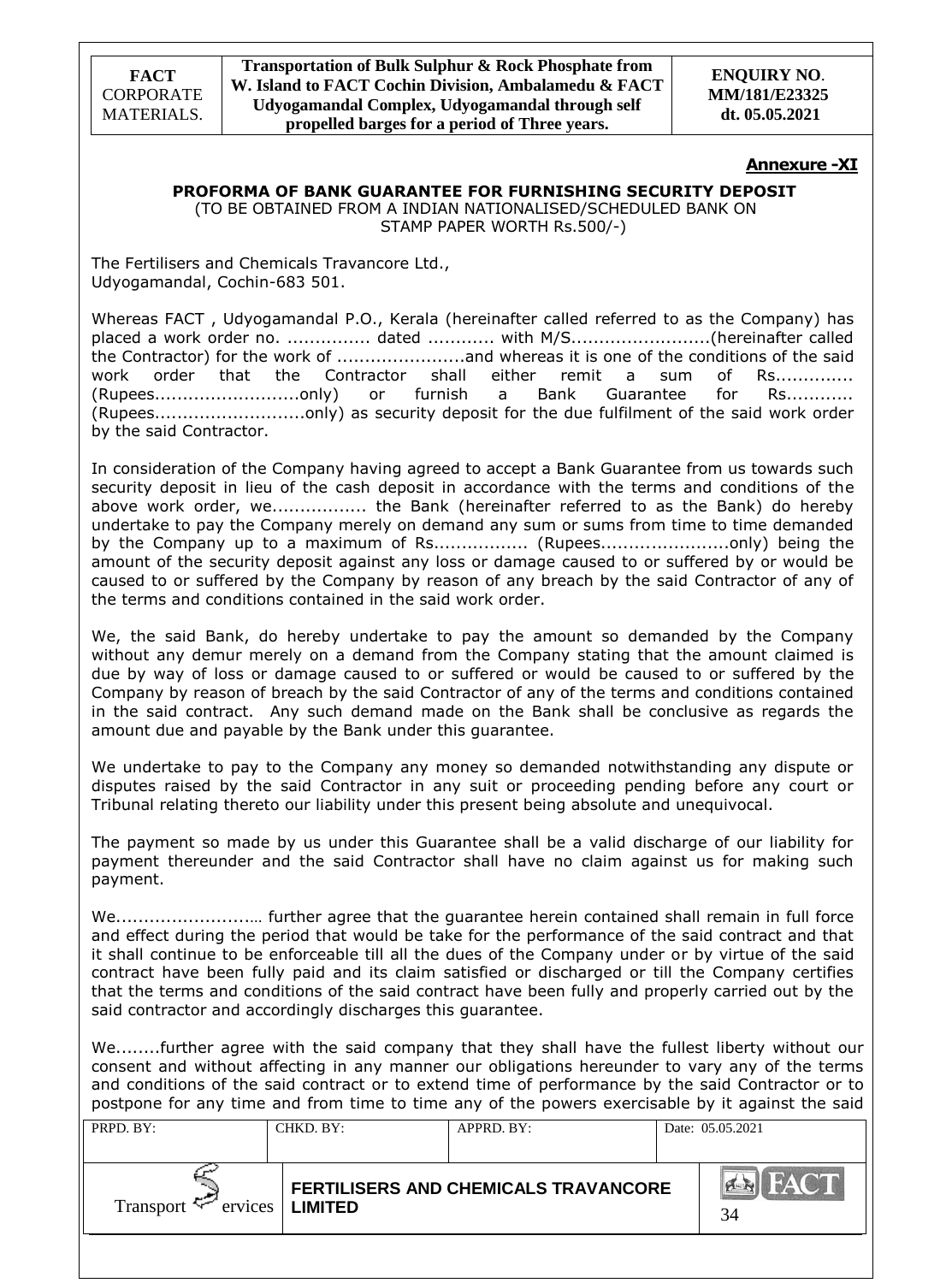### **Annexure -XI**

### **PROFORMA OF BANK GUARANTEE FOR FURNISHING SECURITY DEPOSIT**

(TO BE OBTAINED FROM A INDIAN NATIONALISED/SCHEDULED BANK ON STAMP PAPER WORTH Rs.500/-)

The Fertilisers and Chemicals Travancore Ltd., Udyogamandal, Cochin-683 501.

Whereas FACT , Udyogamandal P.O., Kerala (hereinafter called referred to as the Company) has placed a work order no. ............... dated ............ with M/S.........................(hereinafter called the Contractor) for the work of .......................and whereas it is one of the conditions of the said work order that the Contractor shall either remit a sum of Rs.............. (Rupees..........................only) or furnish a Bank Guarantee for Rs............ (Rupees...........................only) as security deposit for the due fulfilment of the said work order by the said Contractor.

In consideration of the Company having agreed to accept a Bank Guarantee from us towards such security deposit in lieu of the cash deposit in accordance with the terms and conditions of the above work order, we................. the Bank (hereinafter referred to as the Bank) do hereby undertake to pay the Company merely on demand any sum or sums from time to time demanded by the Company up to a maximum of Rs................. (Rupees............................only) being the amount of the security deposit against any loss or damage caused to or suffered by or would be caused to or suffered by the Company by reason of any breach by the said Contractor of any of the terms and conditions contained in the said work order.

We, the said Bank, do hereby undertake to pay the amount so demanded by the Company without any demur merely on a demand from the Company stating that the amount claimed is due by way of loss or damage caused to or suffered or would be caused to or suffered by the Company by reason of breach by the said Contractor of any of the terms and conditions contained in the said contract. Any such demand made on the Bank shall be conclusive as regards the amount due and payable by the Bank under this guarantee.

We undertake to pay to the Company any money so demanded notwithstanding any dispute or disputes raised by the said Contractor in any suit or proceeding pending before any court or Tribunal relating thereto our liability under this present being absolute and unequivocal.

The payment so made by us under this Guarantee shall be a valid discharge of our liability for payment thereunder and the said Contractor shall have no claim against us for making such payment.

We........................… further agree that the guarantee herein contained shall remain in full force and effect during the period that would be take for the performance of the said contract and that it shall continue to be enforceable till all the dues of the Company under or by virtue of the said contract have been fully paid and its claim satisfied or discharged or till the Company certifies that the terms and conditions of the said contract have been fully and properly carried out by the said contractor and accordingly discharges this guarantee.

We........further agree with the said company that they shall have the fullest liberty without our consent and without affecting in any manner our obligations hereunder to vary any of the terms and conditions of the said contract or to extend time of performance by the said Contractor or to postpone for any time and from time to time any of the powers exercisable by it against the said

| PRPD. BY:                   | CHKD. BY:      | APPRD. BY:                           | Date: 05.05.2021  |
|-----------------------------|----------------|--------------------------------------|-------------------|
| Transport $\leq$<br>ervices | <b>LIMITED</b> | FERTILISERS AND CHEMICALS TRAVANCORE | <b>FACT</b><br>34 |
|                             |                |                                      |                   |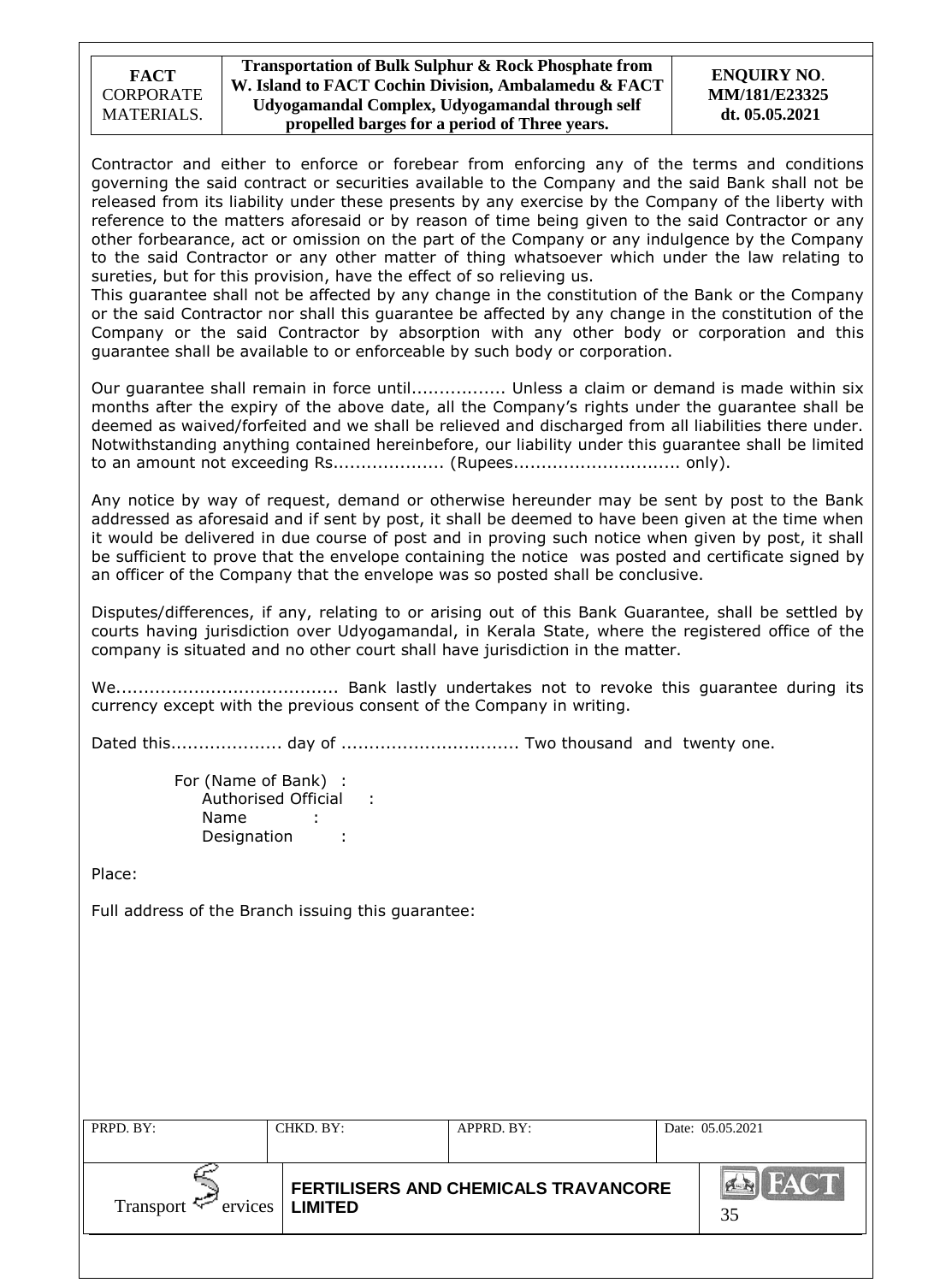| <b>FACT</b>      |
|------------------|
| <b>CORPORATE</b> |
| MATERIALS.       |

#### **ENQUIRY NO**. **MM/181/E23325 dt. 05.05.2021**

Contractor and either to enforce or forebear from enforcing any of the terms and conditions governing the said contract or securities available to the Company and the said Bank shall not be released from its liability under these presents by any exercise by the Company of the liberty with reference to the matters aforesaid or by reason of time being given to the said Contractor or any other forbearance, act or omission on the part of the Company or any indulgence by the Company to the said Contractor or any other matter of thing whatsoever which under the law relating to sureties, but for this provision, have the effect of so relieving us.

This guarantee shall not be affected by any change in the constitution of the Bank or the Company or the said Contractor nor shall this guarantee be affected by any change in the constitution of the Company or the said Contractor by absorption with any other body or corporation and this guarantee shall be available to or enforceable by such body or corporation.

Our guarantee shall remain in force until................. Unless a claim or demand is made within six months after the expiry of the above date, all the Company's rights under the guarantee shall be deemed as waived/forfeited and we shall be relieved and discharged from all liabilities there under. Notwithstanding anything contained hereinbefore, our liability under this guarantee shall be limited to an amount not exceeding Rs.................... (Rupees.............................. only).

Any notice by way of request, demand or otherwise hereunder may be sent by post to the Bank addressed as aforesaid and if sent by post, it shall be deemed to have been given at the time when it would be delivered in due course of post and in proving such notice when given by post, it shall be sufficient to prove that the envelope containing the notice was posted and certificate signed by an officer of the Company that the envelope was so posted shall be conclusive.

Disputes/differences, if any, relating to or arising out of this Bank Guarantee, shall be settled by courts having jurisdiction over Udyogamandal, in Kerala State, where the registered office of the company is situated and no other court shall have jurisdiction in the matter.

We........................................ Bank lastly undertakes not to revoke this guarantee during its currency except with the previous consent of the Company in writing.

Dated this.................... day of ................................ Two thousand and twenty one.

For (Name of Bank) : Authorised Official : Name Designation :

Place:

Full address of the Branch issuing this guarantee:

| Date: 05.05.2021 | APPRD. BY:                                  | CHKD. BY:      |         | PRPD. BY:   |
|------------------|---------------------------------------------|----------------|---------|-------------|
| FACT<br>35       | <b>FERTILISERS AND CHEMICALS TRAVANCORE</b> | <b>LIMITED</b> | ervices | Transport ' |
|                  |                                             |                |         |             |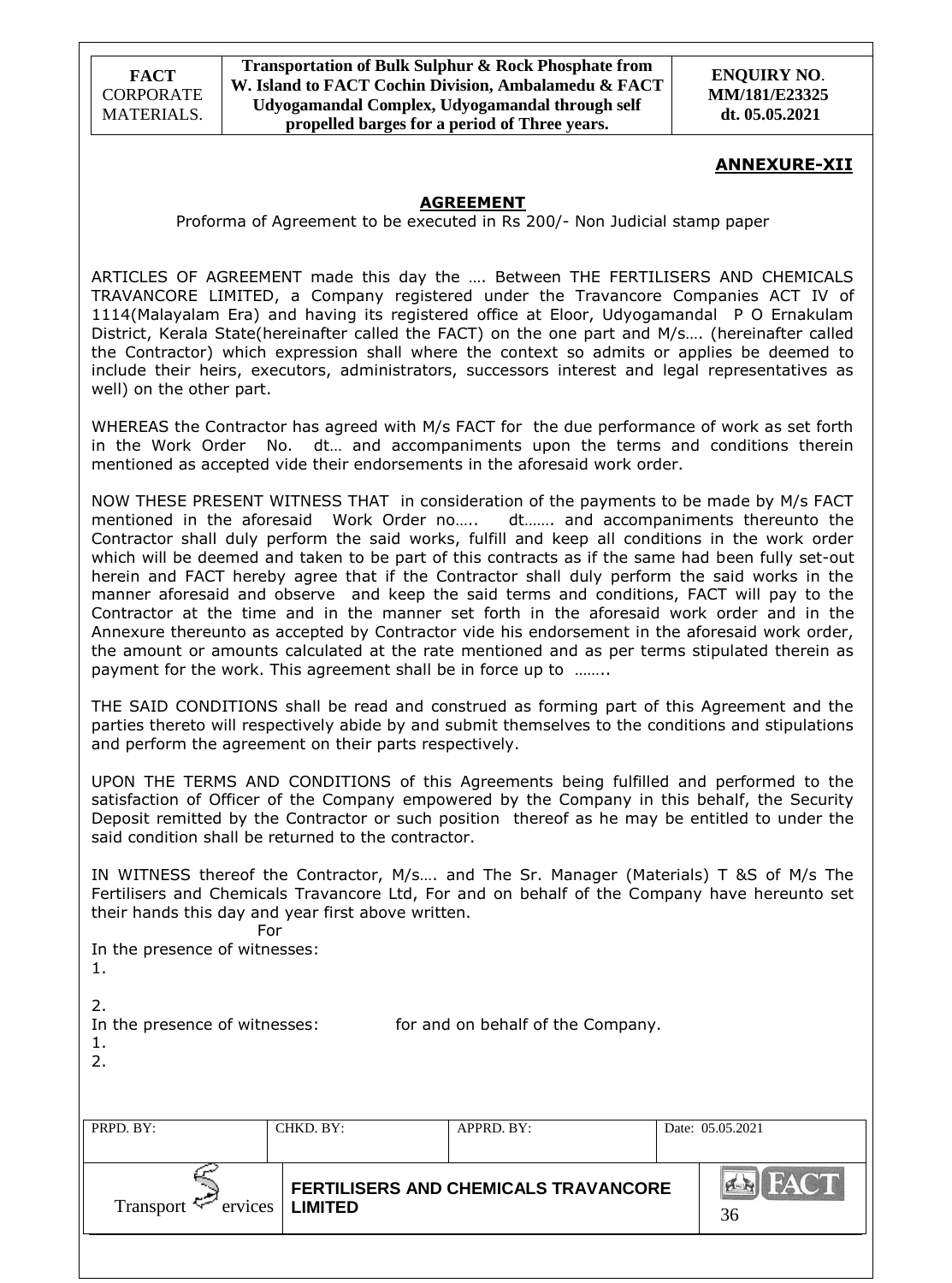**ENQUIRY NO**. **MM/181/E23325 dt. 05.05.2021**

### **ANNEXURE-XII**

## **AGREEMENT**

Proforma of Agreement to be executed in Rs 200/- Non Judicial stamp paper

ARTICLES OF AGREEMENT made this day the …. Between THE FERTILISERS AND CHEMICALS TRAVANCORE LIMITED, a Company registered under the Travancore Companies ACT IV of 1114(Malayalam Era) and having its registered office at Eloor, Udyogamandal P O Ernakulam District, Kerala State(hereinafter called the FACT) on the one part and M/s…. (hereinafter called the Contractor) which expression shall where the context so admits or applies be deemed to include their heirs, executors, administrators, successors interest and legal representatives as well) on the other part.

WHEREAS the Contractor has agreed with M/s FACT for the due performance of work as set forth in the Work Order No. dt… and accompaniments upon the terms and conditions therein mentioned as accepted vide their endorsements in the aforesaid work order.

NOW THESE PRESENT WITNESS THAT in consideration of the payments to be made by M/s FACT mentioned in the aforesaid Work Order no….. dt……. and accompaniments thereunto the Contractor shall duly perform the said works, fulfill and keep all conditions in the work order which will be deemed and taken to be part of this contracts as if the same had been fully set-out herein and FACT hereby agree that if the Contractor shall duly perform the said works in the manner aforesaid and observe and keep the said terms and conditions, FACT will pay to the Contractor at the time and in the manner set forth in the aforesaid work order and in the Annexure thereunto as accepted by Contractor vide his endorsement in the aforesaid work order, the amount or amounts calculated at the rate mentioned and as per terms stipulated therein as payment for the work. This agreement shall be in force up to ........

THE SAID CONDITIONS shall be read and construed as forming part of this Agreement and the parties thereto will respectively abide by and submit themselves to the conditions and stipulations and perform the agreement on their parts respectively.

UPON THE TERMS AND CONDITIONS of this Agreements being fulfilled and performed to the satisfaction of Officer of the Company empowered by the Company in this behalf, the Security Deposit remitted by the Contractor or such position thereof as he may be entitled to under the said condition shall be returned to the contractor.

IN WITNESS thereof the Contractor, M/s…. and The Sr. Manager (Materials) T &S of M/s The Fertilisers and Chemicals Travancore Ltd, For and on behalf of the Company have hereunto set their hands this day and year first above written.

For

In the presence of witnesses:

1.

2.

In the presence of witnesses: for and on behalf of the Company.

1.

| . .<br>I |  |
|----------|--|
|          |  |

| PRPD. BY:                      | CHKD. BY:      | APPRD. BY:                                  | Date: 05.05.2021  |
|--------------------------------|----------------|---------------------------------------------|-------------------|
| Transport $\approx$<br>ervices | <b>LIMITED</b> | <b>FERTILISERS AND CHEMICALS TRAVANCORE</b> | <b>FACT</b><br>36 |
|                                |                |                                             |                   |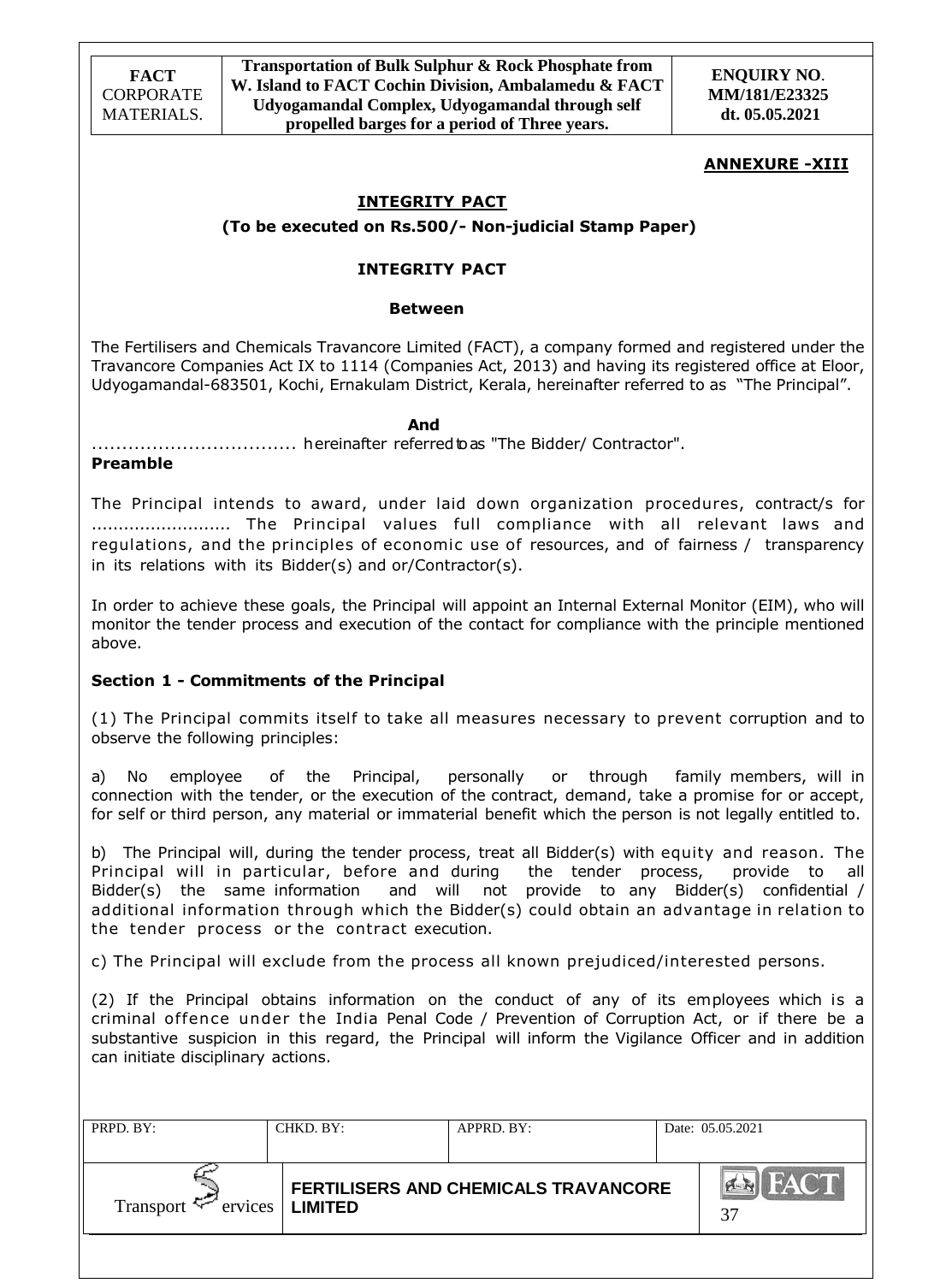## **ANNEXURE -XIII**

## **INTEGRITY PACT**

**(To be executed on Rs.500/- Non-judicial Stamp Paper)**

### **INTEGRITY PACT**

#### **Between**

The Fertilisers and Chemicals Travancore Limited (FACT), a company formed and registered under the Travancore Companies Act IX to 1114 (Companies Act, 2013) and having its registered office at Eloor, Udyogamandal-683501, Kochi, Ernakulam District, Kerala, hereinafter referred to as "The Principal".

#### *And* **And**

.................................. hereinafter referredtoas "The Bidder/ Contractor".

### **Preamble**

The Principal intends to award, under laid down organization procedures, contract/s for .......................... The Principal values full compliance with all relevant laws and regulations, and the principles of economic use of resources, and of fairness / transparency in its relations with its Bidder(s) and or/Contractor(s).

In order to achieve these goals, the Principal will appoint an Internal External Monitor (EIM), who will monitor the tender process and execution of the contact for compliance with the principle mentioned above.

### **Section 1 - Commitments of the Principal**

(1) The Principal commits itself to take all measures necessary to prevent corruption and to observe the following principles:

a) No employee of the Principal, personally or through family members, will in connection with the tender, or the execution of the contract, demand, take a promise for or accept, for self or third person, any material or immaterial benefit which the person is not legally entitled to.

b) The Principal will, during the tender process, treat all Bidder(s) with equity and reason. The Principal will in particular, before and during the tender process, provide to all Bidder(s) the same information and will not provide to any Bidder(s) confidential / additional information through which the Bidder(s) could obtain an advantage in relation to the tender process or the contract execution.

c) The Principal will exclude from the process all known prejudiced/interested persons.

(2) If the Principal obtains information on the conduct of any of its employees which is a criminal offence under the India Penal Code / Prevention of Corruption Act, or if there be a substantive suspicion in this regard, the Principal will inform the Vigilance Officer and in addition can initiate disciplinary actions.

| PRPD. BY:                   | CHKD. BY:      | APPRD. BY:                           | Date: 05.05.2021  |
|-----------------------------|----------------|--------------------------------------|-------------------|
| Transport $\leq$<br>ervices | <b>LIMITED</b> | FERTILISERS AND CHEMICALS TRAVANCORE | <b>FACT</b><br>37 |
|                             |                |                                      |                   |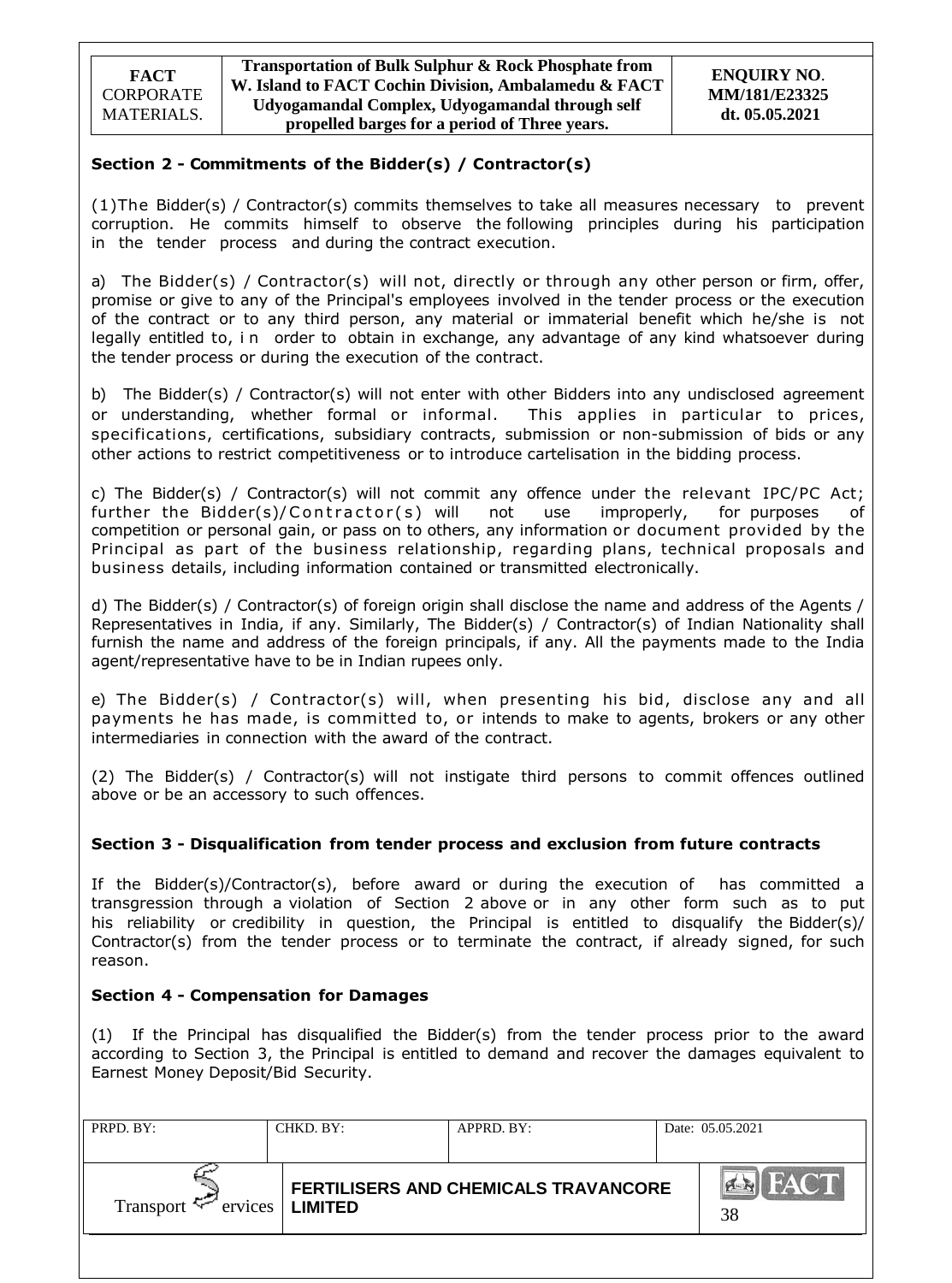## **Section 2 - Commitments of the Bidder(s) / Contractor(s)**

(1)The Bidder(s) / Contractor(s) commits themselves to take all measures necessary to prevent corruption. He commits himself to observe the following principles during his participation in the tender process and during the contract execution.

a) The Bidder(s) / Contractor(s) will not, directly or through any other person or firm, offer, promise or give to any of the Principal's employees involved in the tender process or the execution of the contract or to any third person, any material or immaterial benefit which he/she is not legally entitled to, in order to obtain in exchange, any advantage of any kind whatsoever during the tender process or during the execution of the contract.

b) The Bidder(s) / Contractor(s) will not enter with other Bidders into any undisclosed agreement or understanding, whether formal or informal. This applies in particular to prices, specifications, certifications, subsidiary contracts, submission or non-submission of bids or any other actions to restrict competitiveness or to introduce cartelisation in the bidding process.

c) The Bidder(s) / Contractor(s) will not commit any offence under the relevant IPC/PC Act; further the Bidder(s)/  $Contractor(s)$  will not use improperly, for purposes competition or personal gain, or pass on to others, any information or document provided by the Principal as part of the business relationship, regarding plans, technical proposals and business details, including information contained or transmitted electronically.

d) The Bidder(s) / Contractor(s) of foreign origin shall disclose the name and address of the Agents / Representatives in India, if any. Similarly, The Bidder(s) / Contractor(s) of Indian Nationality shall furnish the name and address of the foreign principals, if any. All the payments made to the India agent/representative have to be in Indian rupees only.

e) The Bidder(s) / Contractor(s) will, when presenting his bid, disclose any and all payments he has made, is committed to, or intends to make to agents, brokers or any other intermediaries in connection with the award of the contract.

(2) The Bidder(s) / Contractor(s) will not instigate third persons to commit offences outlined above or be an accessory to such offences.

### **Section 3 - Disqualification from tender process and exclusion from future contracts**

If the Bidder(s)/Contractor(s), before award or during the execution of has committed a transgression through a violation of Section 2 above or in any other form such as to put his reliability or credibility in question, the Principal is entitled to disqualify the Bidder(s)/ Contractor(s) from the tender process or to terminate the contract, if already signed, for such reason.

### **Section 4 - Compensation for Damages**

(1) If the Principal has disqualified the Bidder(s) from the tender process prior to the award according to Section 3, the Principal is entitled to demand and recover the damages equivalent to Earnest Money Deposit/Bid Security.

| PRPD. BY:                      | CHKD. BY:      | APPRD. BY:                           | Date: 05.05.2021  |
|--------------------------------|----------------|--------------------------------------|-------------------|
| Transport $\approx$<br>ervices | <b>LIMITED</b> | FERTILISERS AND CHEMICALS TRAVANCORE | <b>FACT</b><br>38 |
|                                |                |                                      |                   |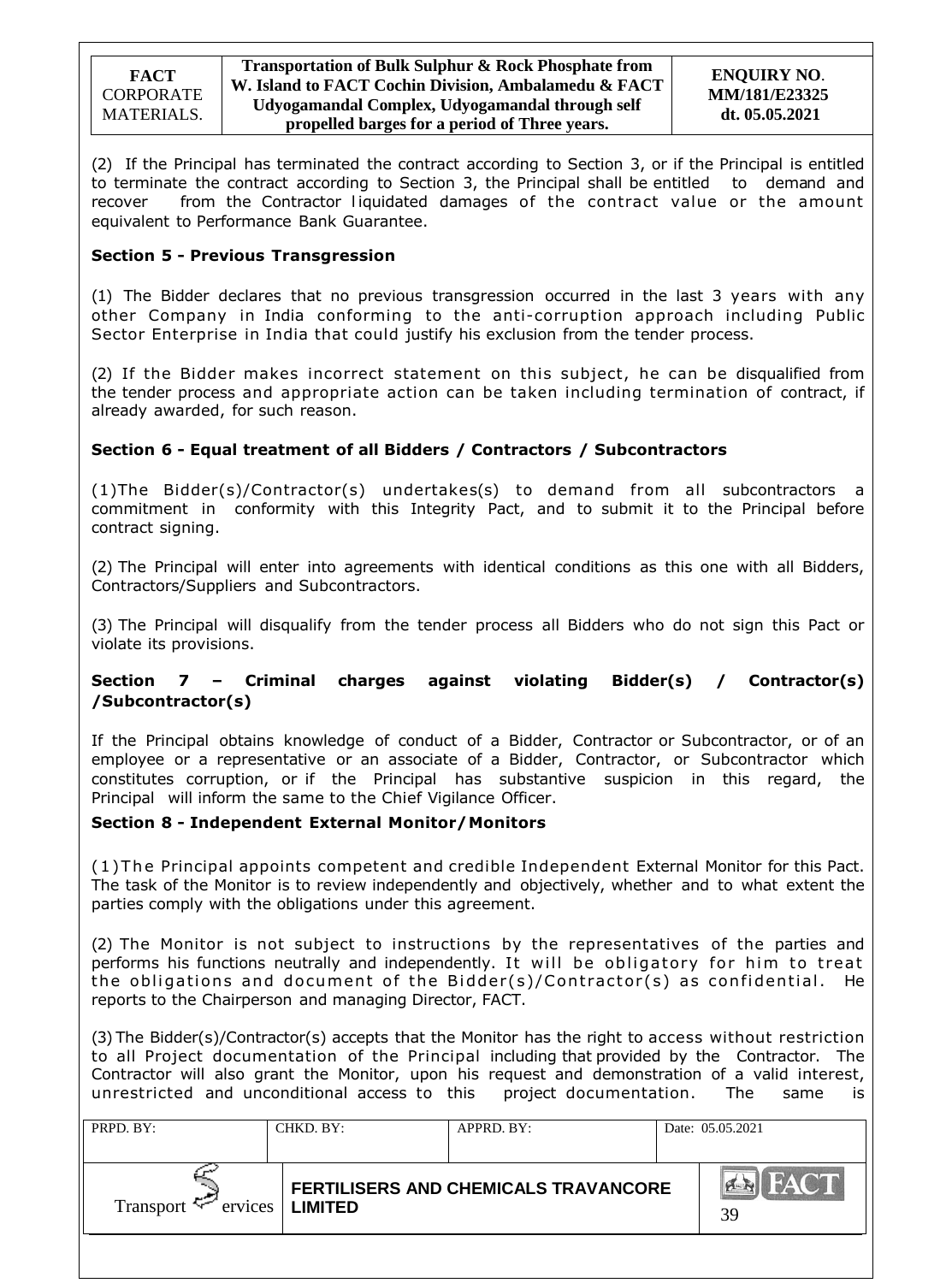(2) If the Principal has terminated the contract according to Section 3, or if the Principal is entitled to terminate the contract according to Section 3, the Principal shall be entitled to demand and recover from the Contractor liquidated damages of the contract value or the amount equivalent to Performance Bank Guarantee.

## **Section 5 - Previous Transgression**

(1) The Bidder declares that no previous transgression occurred in the last 3 years with any other Company in India conforming to the anti-corruption approach including Public Sector Enterprise in India that could justify his exclusion from the tender process.

(2) If the Bidder makes incorrect statement on this subject, he can be disqualified from the tender process and appropriate action can be taken including termination of contract, if already awarded, for such reason.

## **Section 6 - Equal treatment of all Bidders / Contractors / Subcontractors**

(1)The Bidder(s)/Contractor(s) undertakes(s) to demand from all subcontractors a commitment in conformity with this Integrity Pact, and to submit it to the Principal before contract signing.

(2) The Principal will enter into agreements with identical conditions as this one with all Bidders, Contractors/Suppliers and Subcontractors.

(3) The Principal will disqualify from the tender process all Bidders who do not sign this Pact or violate its provisions.

## **Section 7 – Criminal charges against violating Bidder(s) / Contractor(s) /Subcontractor(s)**

If the Principal obtains knowledge of conduct of a Bidder, Contractor or Subcontractor, or of an employee or a representative or an associate of a Bidder, Contractor, or Subcontractor which constitutes corruption, or if the Principal has substantive suspicion in this regard, the Principal will inform the same to the Chief Vigilance Officer.

## **Section 8 - Independent External Monitor/Monitors**

( 1 ) T he Principal appoints competent and credible Independent External Monitor for this Pact. The task of the Monitor is to review independently and objectively, whether and to what extent the parties comply with the obligations under this agreement.

(2) The Monitor is not subject to instructions by the representatives of the parties and performs his functions neutrally and independently. It will be obligatory for him to treat the obligations and document of the Bidder(s)/Contractor(s) as confidential. He reports to the Chairperson and managing Director, FACT.

(3) The Bidder(s)/Contractor(s) accepts that the Monitor has the right to access without restriction to all Project documentation of the Principal including that provided by the Contractor. The Contractor will also grant the Monitor, upon his request and demonstration of a valid interest, unrestricted and unconditional access to this project documentation. The same is

| Date: 05.05.2021  | APPRD. BY:                           |                | CHKD. BY: | PRPD. BY:                         |
|-------------------|--------------------------------------|----------------|-----------|-----------------------------------|
| <b>FACT</b><br>39 | FERTILISERS AND CHEMICALS TRAVANCORE | <b>LIMITED</b> |           | ervices <sup>1</sup><br>Transport |
|                   |                                      |                |           |                                   |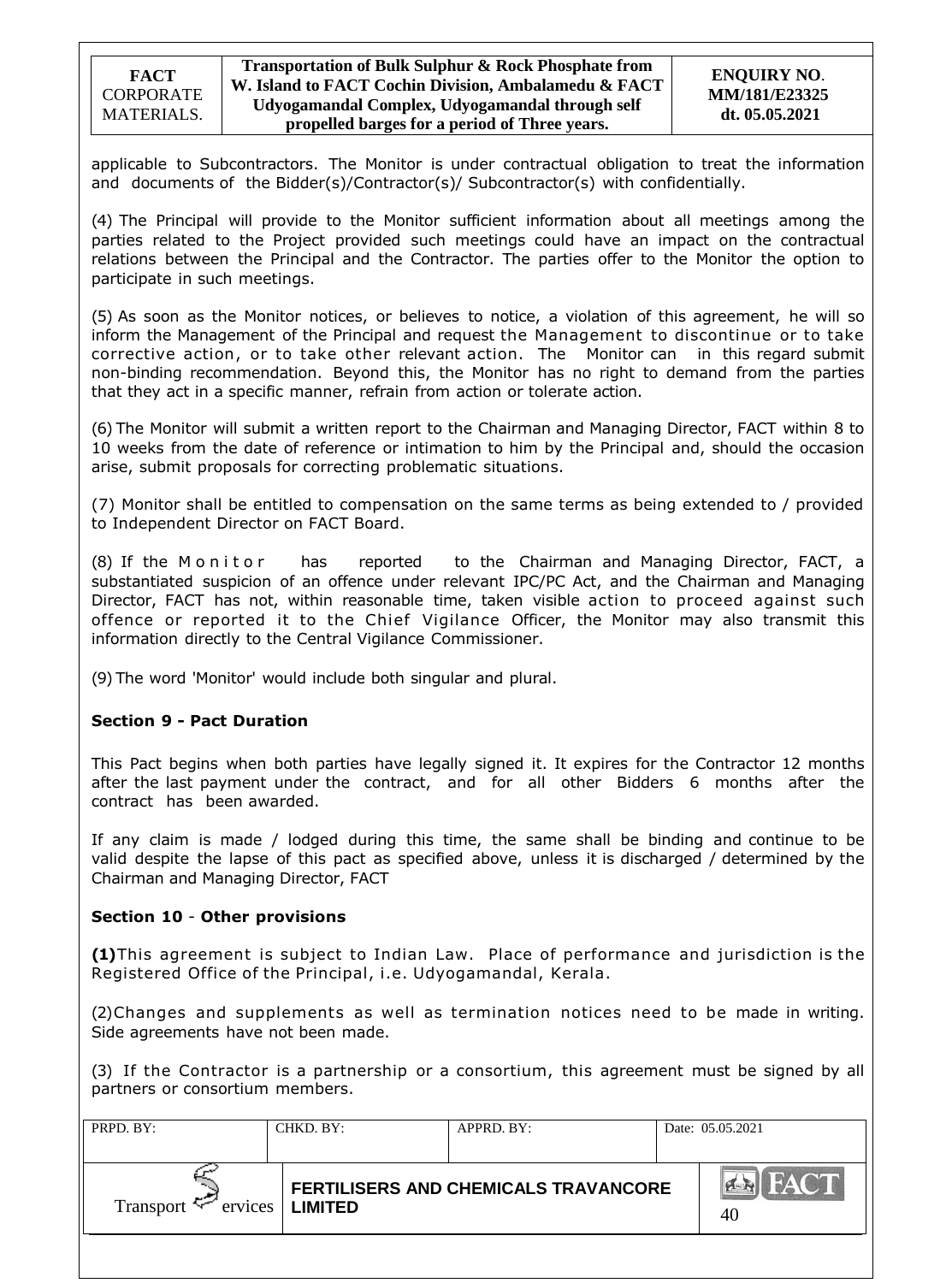applicable to Subcontractors. The Monitor is under contractual obligation to treat the information and documents of the Bidder(s)/Contractor(s)/ Subcontractor(s) with confidentially.

(4) The Principal will provide to the Monitor sufficient information about all meetings among the parties related to the Project provided such meetings could have an impact on the contractual relations between the Principal and the Contractor. The parties offer to the Monitor the option to participate in such meetings.

(5) As soon as the Monitor notices, or believes to notice, a violation of this agreement, he will so inform the Management of the Principal and request the Management to discontinue or to take corrective action, or to take other relevant action. The Monitor can in this regard submit non-binding recommendation. Beyond this, the Monitor has no right to demand from the parties that they act in a specific manner, refrain from action or tolerate action.

(6) The Monitor will submit a written report to the Chairman and Managing Director, FACT within 8 to 10 weeks from the date of reference or intimation to him by the Principal and, should the occasion arise, submit proposals for correcting problematic situations.

(7) Monitor shall be entitled to compensation on the same terms as being extended to / provided to Independent Director on FACT Board.

(8) If the Monitor has reported to the Chairman and Managing Director, FACT, a substantiated suspicion of an offence under relevant IPC/PC Act, and the Chairman and Managing Director, FACT has not, within reasonable time, taken visible action to proceed against such offence or reported it to the Chief Vigilance Officer, the Monitor may also transmit this information directly to the Central Vigilance Commissioner.

(9) The word 'Monitor' would include both singular and plural.

## **Section 9 - Pact Duration**

This Pact begins when both parties have legally signed it. It expires for the Contractor 12 months after the last payment under the contract, and for all other Bidders 6 months after the contract has been awarded.

If any claim is made / lodged during this time, the same shall be binding and continue to be valid despite the lapse of this pact as specified above, unless it is discharged / determined by the Chairman and Managing Director, FACT

### **Section 10** - **Other provisions**

**(1)**This agreement is subject to Indian Law. Place of performance and jurisdiction is the Registered Office of the Principal, i.e. Udyogamandal, Kerala.

(2)Changes and supplements as well as termination notices need to be made in writing. Side agreements have not been made.

(3) If the Contractor is a partnership or a consortium, this agreement must be signed by all partners or consortium members.

| PRPD. BY:           | CHKD. BY:         | APPRD. BY:                           | Date: 05.05.2021 |
|---------------------|-------------------|--------------------------------------|------------------|
| Transport $\approx$ | ervices   LIMITED | FERTILISERS AND CHEMICALS TRAVANCORE | FACT<br>40       |
|                     |                   |                                      |                  |